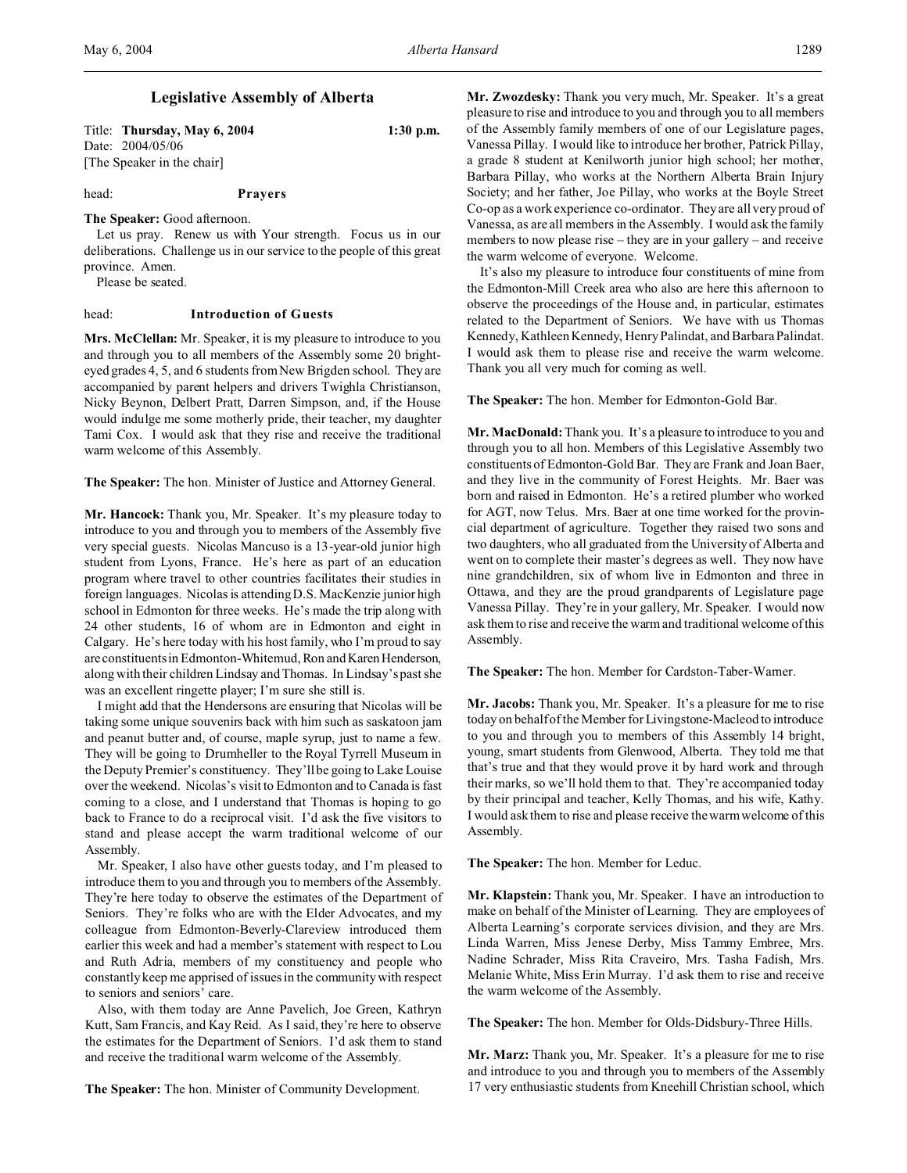# **Legislative Assembly of Alberta**

Title: **Thursday, May 6, 2004 1:30 p.m.** Date: 2004/05/06 [The Speaker in the chair]

# head: **Prayers**

**The Speaker:** Good afternoon.

Let us pray. Renew us with Your strength. Focus us in our deliberations. Challenge us in our service to the people of this great province. Amen.

Please be seated.

# head: **Introduction of Guests**

**Mrs. McClellan:** Mr. Speaker, it is my pleasure to introduce to you and through you to all members of the Assembly some 20 brighteyed grades 4, 5, and 6 students from New Brigden school. They are accompanied by parent helpers and drivers Twighla Christianson, Nicky Beynon, Delbert Pratt, Darren Simpson, and, if the House would indulge me some motherly pride, their teacher, my daughter Tami Cox. I would ask that they rise and receive the traditional warm welcome of this Assembly.

**The Speaker:** The hon. Minister of Justice and Attorney General.

**Mr. Hancock:** Thank you, Mr. Speaker. It's my pleasure today to introduce to you and through you to members of the Assembly five very special guests. Nicolas Mancuso is a 13-year-old junior high student from Lyons, France. He's here as part of an education program where travel to other countries facilitates their studies in foreign languages. Nicolas is attending D.S. MacKenzie junior high school in Edmonton for three weeks. He's made the trip along with 24 other students, 16 of whom are in Edmonton and eight in Calgary. He's here today with his host family, who I'm proud to say are constituents in Edmonton-Whitemud, Ron and Karen Henderson, along with their children Lindsay and Thomas. In Lindsay's past she was an excellent ringette player; I'm sure she still is.

I might add that the Hendersons are ensuring that Nicolas will be taking some unique souvenirs back with him such as saskatoon jam and peanut butter and, of course, maple syrup, just to name a few. They will be going to Drumheller to the Royal Tyrrell Museum in the Deputy Premier's constituency. They'll be going to Lake Louise over the weekend. Nicolas's visit to Edmonton and to Canada is fast coming to a close, and I understand that Thomas is hoping to go back to France to do a reciprocal visit. I'd ask the five visitors to stand and please accept the warm traditional welcome of our Assembly.

Mr. Speaker, I also have other guests today, and I'm pleased to introduce them to you and through you to members of the Assembly. They're here today to observe the estimates of the Department of Seniors. They're folks who are with the Elder Advocates, and my colleague from Edmonton-Beverly-Clareview introduced them earlier this week and had a member's statement with respect to Lou and Ruth Adria, members of my constituency and people who constantly keep me apprised of issues in the community with respect to seniors and seniors' care.

Also, with them today are Anne Pavelich, Joe Green, Kathryn Kutt, Sam Francis, and Kay Reid. As I said, they're here to observe the estimates for the Department of Seniors. I'd ask them to stand and receive the traditional warm welcome of the Assembly.

**The Speaker:** The hon. Minister of Community Development.

**Mr. Zwozdesky:** Thank you very much, Mr. Speaker. It's a great pleasure to rise and introduce to you and through you to all members of the Assembly family members of one of our Legislature pages, Vanessa Pillay. I would like to introduce her brother, Patrick Pillay, a grade 8 student at Kenilworth junior high school; her mother, Barbara Pillay, who works at the Northern Alberta Brain Injury Society; and her father, Joe Pillay, who works at the Boyle Street Co-op as a work experience co-ordinator. They are all very proud of Vanessa, as are all members in the Assembly. I would ask the family members to now please rise – they are in your gallery – and receive the warm welcome of everyone. Welcome.

It's also my pleasure to introduce four constituents of mine from the Edmonton-Mill Creek area who also are here this afternoon to observe the proceedings of the House and, in particular, estimates related to the Department of Seniors. We have with us Thomas Kennedy, Kathleen Kennedy, Henry Palindat, and Barbara Palindat. I would ask them to please rise and receive the warm welcome. Thank you all very much for coming as well.

**The Speaker:** The hon. Member for Edmonton-Gold Bar.

**Mr. MacDonald:** Thank you. It's a pleasure to introduce to you and through you to all hon. Members of this Legislative Assembly two constituents of Edmonton-Gold Bar. They are Frank and Joan Baer, and they live in the community of Forest Heights. Mr. Baer was born and raised in Edmonton. He's a retired plumber who worked for AGT, now Telus. Mrs. Baer at one time worked for the provincial department of agriculture. Together they raised two sons and two daughters, who all graduated from the University of Alberta and went on to complete their master's degrees as well. They now have nine grandchildren, six of whom live in Edmonton and three in Ottawa, and they are the proud grandparents of Legislature page Vanessa Pillay. They're in your gallery, Mr. Speaker. I would now ask them to rise and receive the warm and traditional welcome of this Assembly.

**The Speaker:** The hon. Member for Cardston-Taber-Warner.

**Mr. Jacobs:** Thank you, Mr. Speaker. It's a pleasure for me to rise today on behalf of the Member for Livingstone-Macleod to introduce to you and through you to members of this Assembly 14 bright, young, smart students from Glenwood, Alberta. They told me that that's true and that they would prove it by hard work and through their marks, so we'll hold them to that. They're accompanied today by their principal and teacher, Kelly Thomas, and his wife, Kathy. I would ask them to rise and please receive the warm welcome of this Assembly.

**The Speaker:** The hon. Member for Leduc.

**Mr. Klapstein:** Thank you, Mr. Speaker. I have an introduction to make on behalf of the Minister of Learning. They are employees of Alberta Learning's corporate services division, and they are Mrs. Linda Warren, Miss Jenese Derby, Miss Tammy Embree, Mrs. Nadine Schrader, Miss Rita Craveiro, Mrs. Tasha Fadish, Mrs. Melanie White, Miss Erin Murray. I'd ask them to rise and receive the warm welcome of the Assembly.

**The Speaker:** The hon. Member for Olds-Didsbury-Three Hills.

**Mr. Marz:** Thank you, Mr. Speaker. It's a pleasure for me to rise and introduce to you and through you to members of the Assembly 17 very enthusiastic students from Kneehill Christian school, which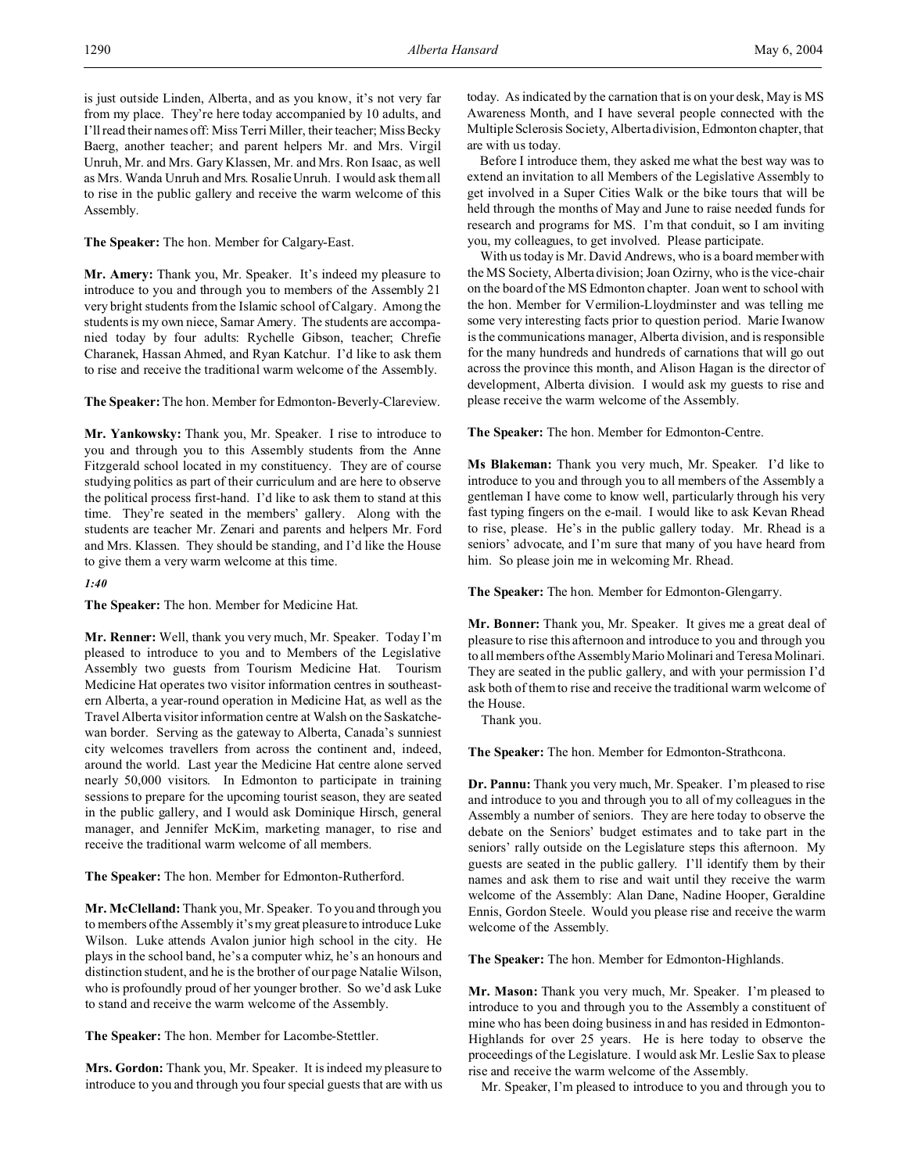is just outside Linden, Alberta, and as you know, it's not very far from my place. They're here today accompanied by 10 adults, and I'll read their names off: Miss Terri Miller, their teacher; Miss Becky Baerg, another teacher; and parent helpers Mr. and Mrs. Virgil Unruh, Mr. and Mrs. Gary Klassen, Mr. and Mrs. Ron Isaac, as well as Mrs. Wanda Unruh and Mrs. Rosalie Unruh. I would ask them all to rise in the public gallery and receive the warm welcome of this Assembly.

**The Speaker:** The hon. Member for Calgary-East.

**Mr. Amery:** Thank you, Mr. Speaker. It's indeed my pleasure to introduce to you and through you to members of the Assembly 21 very bright students from the Islamic school of Calgary. Among the students is my own niece, Samar Amery. The students are accompanied today by four adults: Rychelle Gibson, teacher; Chrefie Charanek, Hassan Ahmed, and Ryan Katchur. I'd like to ask them to rise and receive the traditional warm welcome of the Assembly.

**The Speaker:**The hon. Member for Edmonton-Beverly-Clareview.

**Mr. Yankowsky:** Thank you, Mr. Speaker. I rise to introduce to you and through you to this Assembly students from the Anne Fitzgerald school located in my constituency. They are of course studying politics as part of their curriculum and are here to observe the political process first-hand. I'd like to ask them to stand at this time. They're seated in the members' gallery. Along with the students are teacher Mr. Zenari and parents and helpers Mr. Ford and Mrs. Klassen. They should be standing, and I'd like the House to give them a very warm welcome at this time.

*1:40*

**The Speaker:** The hon. Member for Medicine Hat.

**Mr. Renner:** Well, thank you very much, Mr. Speaker. Today I'm pleased to introduce to you and to Members of the Legislative Assembly two guests from Tourism Medicine Hat. Tourism Medicine Hat operates two visitor information centres in southeastern Alberta, a year-round operation in Medicine Hat, as well as the Travel Alberta visitor information centre at Walsh on the Saskatchewan border. Serving as the gateway to Alberta, Canada's sunniest city welcomes travellers from across the continent and, indeed, around the world. Last year the Medicine Hat centre alone served nearly 50,000 visitors. In Edmonton to participate in training sessions to prepare for the upcoming tourist season, they are seated in the public gallery, and I would ask Dominique Hirsch, general manager, and Jennifer McKim, marketing manager, to rise and receive the traditional warm welcome of all members.

**The Speaker:** The hon. Member for Edmonton-Rutherford.

**Mr. McClelland:** Thank you, Mr. Speaker. To you and through you to members of the Assembly it's my great pleasure to introduce Luke Wilson. Luke attends Avalon junior high school in the city. He plays in the school band, he's a computer whiz, he's an honours and distinction student, and he is the brother of our page Natalie Wilson, who is profoundly proud of her younger brother. So we'd ask Luke to stand and receive the warm welcome of the Assembly.

**The Speaker:** The hon. Member for Lacombe-Stettler.

**Mrs. Gordon:** Thank you, Mr. Speaker. It is indeed my pleasure to introduce to you and through you four special guests that are with us

today. As indicated by the carnation that is on your desk, May is MS Awareness Month, and I have several people connected with the Multiple Sclerosis Society, Alberta division, Edmonton chapter, that are with us today.

Before I introduce them, they asked me what the best way was to extend an invitation to all Members of the Legislative Assembly to get involved in a Super Cities Walk or the bike tours that will be held through the months of May and June to raise needed funds for research and programs for MS. I'm that conduit, so I am inviting you, my colleagues, to get involved. Please participate.

With us today is Mr. David Andrews, who is a board member with the MS Society, Alberta division; Joan Ozirny, who is the vice-chair on the board of the MS Edmonton chapter. Joan went to school with the hon. Member for Vermilion-Lloydminster and was telling me some very interesting facts prior to question period. Marie Iwanow is the communications manager, Alberta division, and is responsible for the many hundreds and hundreds of carnations that will go out across the province this month, and Alison Hagan is the director of development, Alberta division. I would ask my guests to rise and please receive the warm welcome of the Assembly.

**The Speaker:** The hon. Member for Edmonton-Centre.

**Ms Blakeman:** Thank you very much, Mr. Speaker. I'd like to introduce to you and through you to all members of the Assembly a gentleman I have come to know well, particularly through his very fast typing fingers on the e-mail. I would like to ask Kevan Rhead to rise, please. He's in the public gallery today. Mr. Rhead is a seniors' advocate, and I'm sure that many of you have heard from him. So please join me in welcoming Mr. Rhead.

**The Speaker:** The hon. Member for Edmonton-Glengarry.

**Mr. Bonner:** Thank you, Mr. Speaker. It gives me a great deal of pleasure to rise this afternoon and introduce to you and through you to all members of the Assembly Mario Molinari and Teresa Molinari. They are seated in the public gallery, and with your permission I'd ask both of them to rise and receive the traditional warm welcome of the House.

Thank you.

**The Speaker:** The hon. Member for Edmonton-Strathcona.

**Dr. Pannu:** Thank you very much, Mr. Speaker. I'm pleased to rise and introduce to you and through you to all of my colleagues in the Assembly a number of seniors. They are here today to observe the debate on the Seniors' budget estimates and to take part in the seniors' rally outside on the Legislature steps this afternoon. My guests are seated in the public gallery. I'll identify them by their names and ask them to rise and wait until they receive the warm welcome of the Assembly: Alan Dane, Nadine Hooper, Geraldine Ennis, Gordon Steele. Would you please rise and receive the warm welcome of the Assembly.

**The Speaker:** The hon. Member for Edmonton-Highlands.

**Mr. Mason:** Thank you very much, Mr. Speaker. I'm pleased to introduce to you and through you to the Assembly a constituent of mine who has been doing business in and has resided in Edmonton-Highlands for over 25 years. He is here today to observe the proceedings of the Legislature. I would ask Mr. Leslie Sax to please rise and receive the warm welcome of the Assembly.

Mr. Speaker, I'm pleased to introduce to you and through you to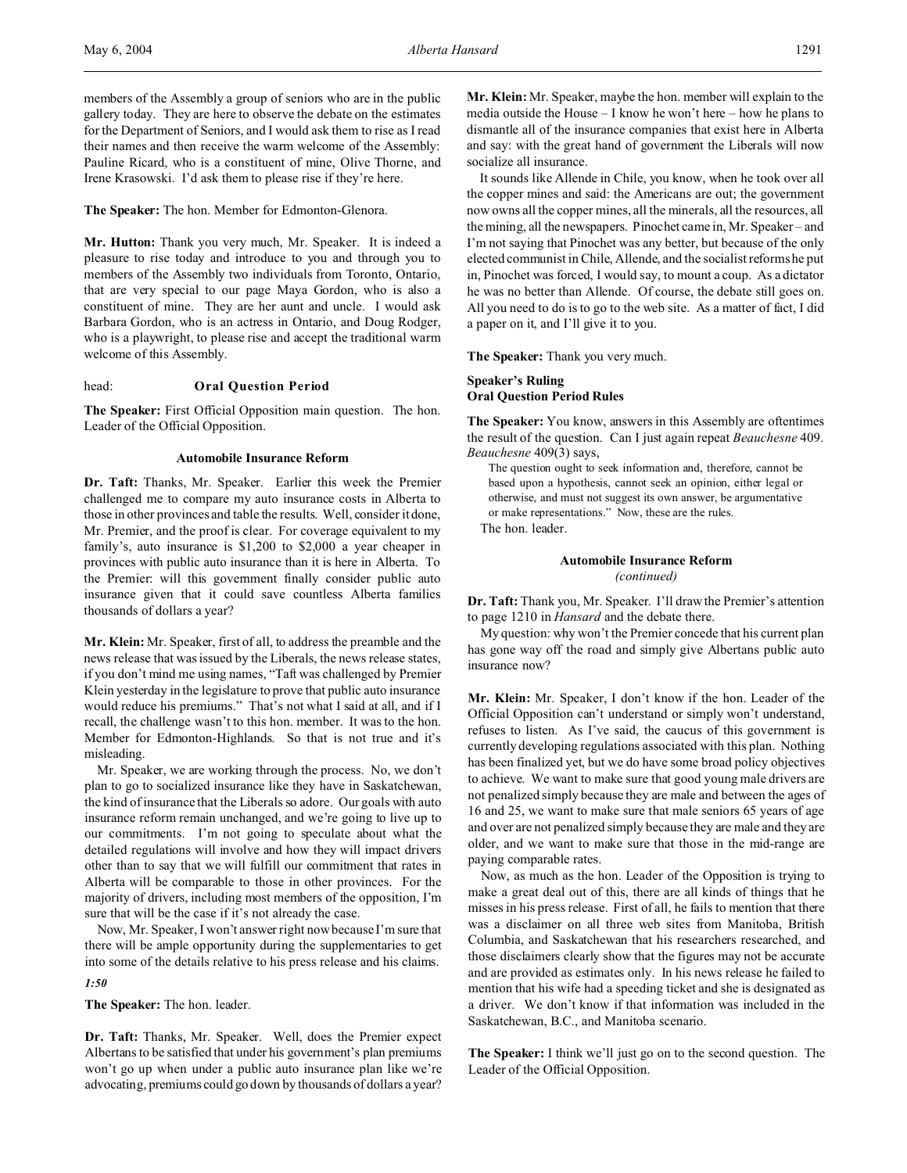members of the Assembly a group of seniors who are in the public gallery today. They are here to observe the debate on the estimates for the Department of Seniors, and I would ask them to rise as I read their names and then receive the warm welcome of the Assembly: Pauline Ricard, who is a constituent of mine, Olive Thorne, and Irene Krasowski. I'd ask them to please rise if they're here.

**The Speaker:** The hon. Member for Edmonton-Glenora.

**Mr. Hutton:** Thank you very much, Mr. Speaker. It is indeed a pleasure to rise today and introduce to you and through you to members of the Assembly two individuals from Toronto, Ontario, that are very special to our page Maya Gordon, who is also a constituent of mine. They are her aunt and uncle. I would ask Barbara Gordon, who is an actress in Ontario, and Doug Rodger, who is a playwright, to please rise and accept the traditional warm welcome of this Assembly.

#### head: **Oral Question Period**

**The Speaker:** First Official Opposition main question. The hon. Leader of the Official Opposition.

#### **Automobile Insurance Reform**

**Dr. Taft:** Thanks, Mr. Speaker. Earlier this week the Premier challenged me to compare my auto insurance costs in Alberta to those in other provinces and table the results. Well, consider it done, Mr. Premier, and the proof is clear. For coverage equivalent to my family's, auto insurance is \$1,200 to \$2,000 a year cheaper in provinces with public auto insurance than it is here in Alberta. To the Premier: will this government finally consider public auto insurance given that it could save countless Alberta families thousands of dollars a year?

**Mr. Klein:** Mr. Speaker, first of all, to address the preamble and the news release that was issued by the Liberals, the news release states, if you don't mind me using names, "Taft was challenged by Premier Klein yesterday in the legislature to prove that public auto insurance would reduce his premiums." That's not what I said at all, and if I recall, the challenge wasn't to this hon. member. It was to the hon. Member for Edmonton-Highlands. So that is not true and it's misleading.

Mr. Speaker, we are working through the process. No, we don't plan to go to socialized insurance like they have in Saskatchewan, the kind of insurance that the Liberals so adore. Our goals with auto insurance reform remain unchanged, and we're going to live up to our commitments. I'm not going to speculate about what the detailed regulations will involve and how they will impact drivers other than to say that we will fulfill our commitment that rates in Alberta will be comparable to those in other provinces. For the majority of drivers, including most members of the opposition, I'm sure that will be the case if it's not already the case.

Now, Mr. Speaker, I won't answer right now because I'm sure that there will be ample opportunity during the supplementaries to get into some of the details relative to his press release and his claims.

*1:50*

**The Speaker:** The hon. leader.

**Dr. Taft:** Thanks, Mr. Speaker. Well, does the Premier expect Albertans to be satisfied that under his government's plan premiums won't go up when under a public auto insurance plan like we're advocating, premiums could go down by thousands of dollars a year?

**Mr. Klein:** Mr. Speaker, maybe the hon. member will explain to the media outside the House – I know he won't here – how he plans to dismantle all of the insurance companies that exist here in Alberta and say: with the great hand of government the Liberals will now socialize all insurance.

It sounds like Allende in Chile, you know, when he took over all the copper mines and said: the Americans are out; the government now owns all the copper mines, all the minerals, all the resources, all the mining, all the newspapers. Pinochet came in, Mr. Speaker – and I'm not saying that Pinochet was any better, but because of the only elected communist in Chile, Allende, and the socialist reforms he put in, Pinochet was forced, I would say, to mount a coup. As a dictator he was no better than Allende. Of course, the debate still goes on. All you need to do is to go to the web site. As a matter of fact, I did a paper on it, and I'll give it to you.

**The Speaker:** Thank you very much.

# **Speaker's Ruling Oral Question Period Rules**

**The Speaker:** You know, answers in this Assembly are oftentimes the result of the question. Can I just again repeat *Beauchesne* 409. *Beauchesne* 409(3) says,

The question ought to seek information and, therefore, cannot be based upon a hypothesis, cannot seek an opinion, either legal or otherwise, and must not suggest its own answer, be argumentative or make representations." Now, these are the rules. The hon. leader.

# **Automobile Insurance Reform**

*(continued)*

**Dr. Taft:** Thank you, Mr. Speaker. I'll draw the Premier's attention to page 1210 in *Hansard* and the debate there.

My question: why won't the Premier concede that his current plan has gone way off the road and simply give Albertans public auto insurance now?

**Mr. Klein:** Mr. Speaker, I don't know if the hon. Leader of the Official Opposition can't understand or simply won't understand, refuses to listen. As I've said, the caucus of this government is currently developing regulations associated with this plan. Nothing has been finalized yet, but we do have some broad policy objectives to achieve. We want to make sure that good young male drivers are not penalized simply because they are male and between the ages of 16 and 25, we want to make sure that male seniors 65 years of age and over are not penalized simply because they are male and they are older, and we want to make sure that those in the mid-range are paying comparable rates.

Now, as much as the hon. Leader of the Opposition is trying to make a great deal out of this, there are all kinds of things that he misses in his press release. First of all, he fails to mention that there was a disclaimer on all three web sites from Manitoba, British Columbia, and Saskatchewan that his researchers researched, and those disclaimers clearly show that the figures may not be accurate and are provided as estimates only. In his news release he failed to mention that his wife had a speeding ticket and she is designated as a driver. We don't know if that information was included in the Saskatchewan, B.C., and Manitoba scenario.

**The Speaker:** I think we'll just go on to the second question. The Leader of the Official Opposition.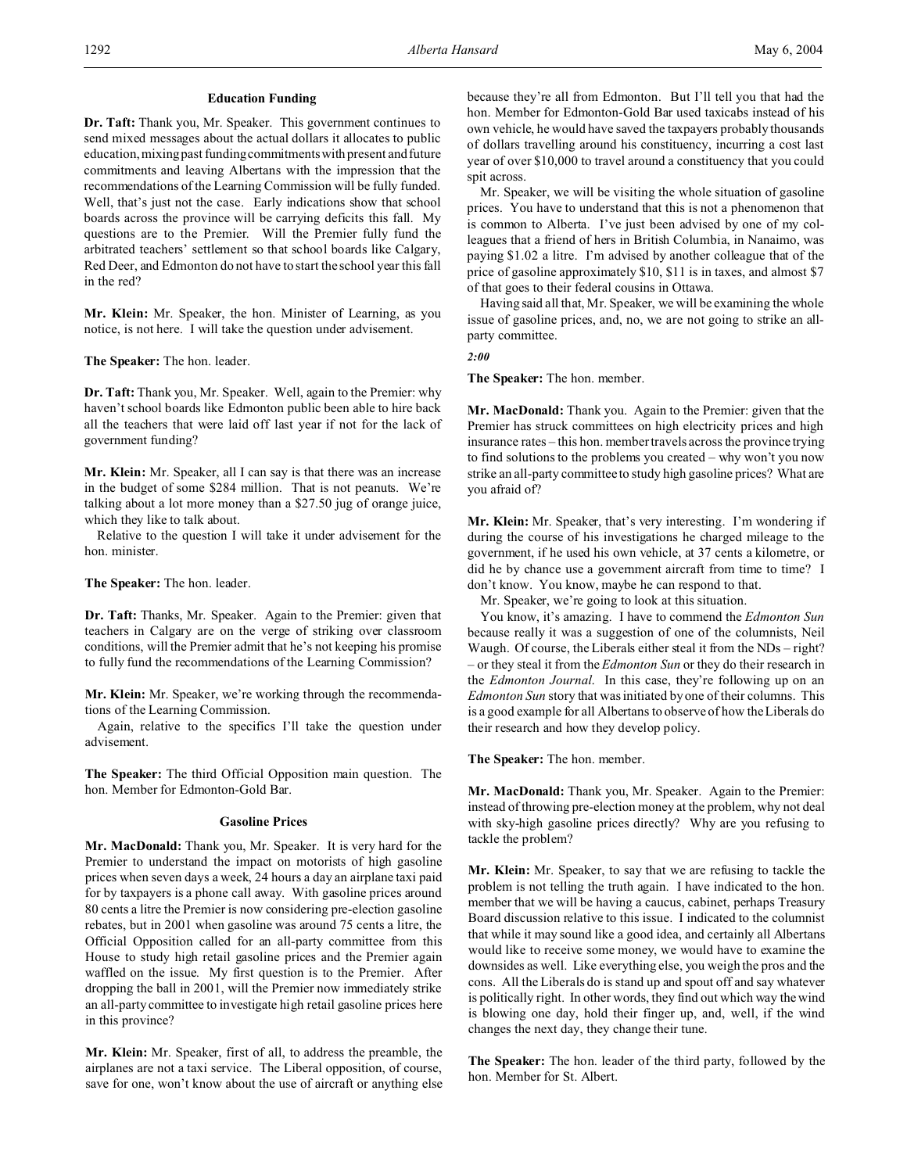# **Education Funding**

**Dr. Taft:** Thank you, Mr. Speaker. This government continues to send mixed messages about the actual dollars it allocates to public education, mixing past funding commitments with present and future commitments and leaving Albertans with the impression that the recommendations of the Learning Commission will be fully funded. Well, that's just not the case. Early indications show that school boards across the province will be carrying deficits this fall. My questions are to the Premier. Will the Premier fully fund the arbitrated teachers' settlement so that school boards like Calgary, Red Deer, and Edmonton do not have to start the school year this fall in the red?

**Mr. Klein:** Mr. Speaker, the hon. Minister of Learning, as you notice, is not here. I will take the question under advisement.

**The Speaker:** The hon. leader.

**Dr. Taft:** Thank you, Mr. Speaker. Well, again to the Premier: why haven't school boards like Edmonton public been able to hire back all the teachers that were laid off last year if not for the lack of government funding?

**Mr. Klein:** Mr. Speaker, all I can say is that there was an increase in the budget of some \$284 million. That is not peanuts. We're talking about a lot more money than a \$27.50 jug of orange juice, which they like to talk about.

Relative to the question I will take it under advisement for the hon. minister.

**The Speaker:** The hon. leader.

**Dr. Taft:** Thanks, Mr. Speaker. Again to the Premier: given that teachers in Calgary are on the verge of striking over classroom conditions, will the Premier admit that he's not keeping his promise to fully fund the recommendations of the Learning Commission?

**Mr. Klein:** Mr. Speaker, we're working through the recommendations of the Learning Commission.

Again, relative to the specifics I'll take the question under advisement.

**The Speaker:** The third Official Opposition main question. The hon. Member for Edmonton-Gold Bar.

# **Gasoline Prices**

**Mr. MacDonald:** Thank you, Mr. Speaker. It is very hard for the Premier to understand the impact on motorists of high gasoline prices when seven days a week, 24 hours a day an airplane taxi paid for by taxpayers is a phone call away. With gasoline prices around 80 cents a litre the Premier is now considering pre-election gasoline rebates, but in 2001 when gasoline was around 75 cents a litre, the Official Opposition called for an all-party committee from this House to study high retail gasoline prices and the Premier again waffled on the issue. My first question is to the Premier. After dropping the ball in 2001, will the Premier now immediately strike an all-party committee to investigate high retail gasoline prices here in this province?

**Mr. Klein:** Mr. Speaker, first of all, to address the preamble, the airplanes are not a taxi service. The Liberal opposition, of course, save for one, won't know about the use of aircraft or anything else because they're all from Edmonton. But I'll tell you that had the hon. Member for Edmonton-Gold Bar used taxicabs instead of his own vehicle, he would have saved the taxpayers probably thousands of dollars travelling around his constituency, incurring a cost last year of over \$10,000 to travel around a constituency that you could spit across.

Mr. Speaker, we will be visiting the whole situation of gasoline prices. You have to understand that this is not a phenomenon that is common to Alberta. I've just been advised by one of my colleagues that a friend of hers in British Columbia, in Nanaimo, was paying \$1.02 a litre. I'm advised by another colleague that of the price of gasoline approximately \$10, \$11 is in taxes, and almost \$7 of that goes to their federal cousins in Ottawa.

Having said all that, Mr. Speaker, we will be examining the whole issue of gasoline prices, and, no, we are not going to strike an allparty committee.

*2:00*

**The Speaker:** The hon. member.

**Mr. MacDonald:** Thank you. Again to the Premier: given that the Premier has struck committees on high electricity prices and high insurance rates – this hon. member travels across the province trying to find solutions to the problems you created – why won't you now strike an all-party committee to study high gasoline prices? What are you afraid of?

**Mr. Klein:** Mr. Speaker, that's very interesting. I'm wondering if during the course of his investigations he charged mileage to the government, if he used his own vehicle, at 37 cents a kilometre, or did he by chance use a government aircraft from time to time? I don't know. You know, maybe he can respond to that.

Mr. Speaker, we're going to look at this situation.

You know, it's amazing. I have to commend the *Edmonton Sun* because really it was a suggestion of one of the columnists, Neil Waugh. Of course, the Liberals either steal it from the NDs – right? – or they steal it from the *Edmonton Sun* or they do their research in the *Edmonton Journal*. In this case, they're following up on an *Edmonton Sun* story that was initiated by one of their columns. This is a good example for all Albertans to observe of how the Liberals do their research and how they develop policy.

**The Speaker:** The hon. member.

**Mr. MacDonald:** Thank you, Mr. Speaker. Again to the Premier: instead of throwing pre-election money at the problem, why not deal with sky-high gasoline prices directly? Why are you refusing to tackle the problem?

**Mr. Klein:** Mr. Speaker, to say that we are refusing to tackle the problem is not telling the truth again. I have indicated to the hon. member that we will be having a caucus, cabinet, perhaps Treasury Board discussion relative to this issue. I indicated to the columnist that while it may sound like a good idea, and certainly all Albertans would like to receive some money, we would have to examine the downsides as well. Like everything else, you weigh the pros and the cons. All the Liberals do is stand up and spout off and say whatever is politically right. In other words, they find out which way the wind is blowing one day, hold their finger up, and, well, if the wind changes the next day, they change their tune.

**The Speaker:** The hon. leader of the third party, followed by the hon. Member for St. Albert.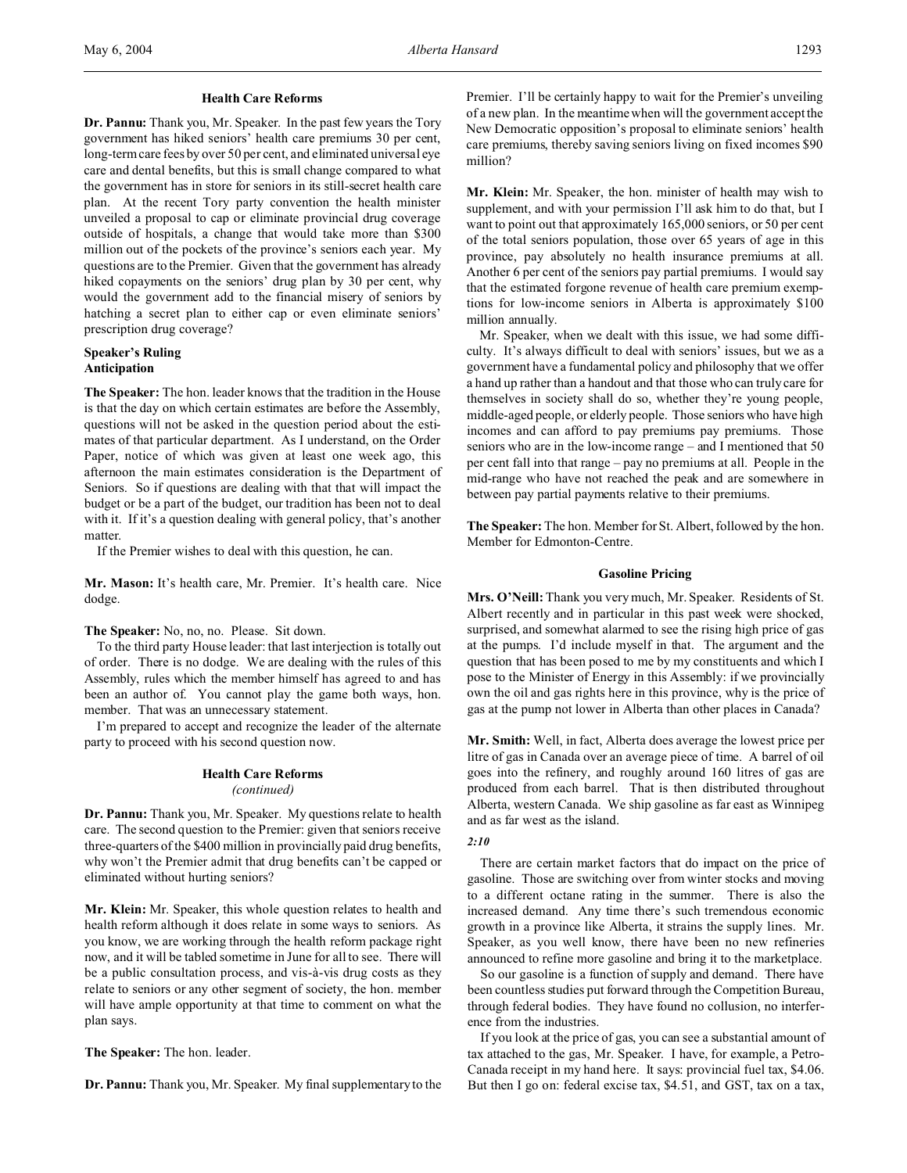## **Health Care Reforms**

**Dr. Pannu:** Thank you, Mr. Speaker. In the past few years the Tory government has hiked seniors' health care premiums 30 per cent, long-term care fees by over 50 per cent, and eliminated universal eye care and dental benefits, but this is small change compared to what the government has in store for seniors in its still-secret health care plan. At the recent Tory party convention the health minister unveiled a proposal to cap or eliminate provincial drug coverage outside of hospitals, a change that would take more than \$300 million out of the pockets of the province's seniors each year. My questions are to the Premier. Given that the government has already hiked copayments on the seniors' drug plan by 30 per cent, why would the government add to the financial misery of seniors by hatching a secret plan to either cap or even eliminate seniors' prescription drug coverage?

# **Speaker's Ruling Anticipation**

**The Speaker:** The hon. leader knows that the tradition in the House is that the day on which certain estimates are before the Assembly, questions will not be asked in the question period about the estimates of that particular department. As I understand, on the Order Paper, notice of which was given at least one week ago, this afternoon the main estimates consideration is the Department of Seniors. So if questions are dealing with that that will impact the budget or be a part of the budget, our tradition has been not to deal with it. If it's a question dealing with general policy, that's another matter.

If the Premier wishes to deal with this question, he can.

**Mr. Mason:** It's health care, Mr. Premier. It's health care. Nice dodge.

### **The Speaker:** No, no, no. Please. Sit down.

To the third party House leader: that last interjection is totally out of order. There is no dodge. We are dealing with the rules of this Assembly, rules which the member himself has agreed to and has been an author of. You cannot play the game both ways, hon. member. That was an unnecessary statement.

I'm prepared to accept and recognize the leader of the alternate party to proceed with his second question now.

### **Health Care Reforms** *(continued)*

**Dr. Pannu:** Thank you, Mr. Speaker. My questions relate to health

care. The second question to the Premier: given that seniors receive three-quarters of the \$400 million in provincially paid drug benefits, why won't the Premier admit that drug benefits can't be capped or eliminated without hurting seniors?

**Mr. Klein:** Mr. Speaker, this whole question relates to health and health reform although it does relate in some ways to seniors. As you know, we are working through the health reform package right now, and it will be tabled sometime in June for all to see. There will be a public consultation process, and vis-à-vis drug costs as they relate to seniors or any other segment of society, the hon. member will have ample opportunity at that time to comment on what the plan says.

**The Speaker:** The hon. leader.

**Dr. Pannu:** Thank you, Mr. Speaker. My final supplementary to the

Premier. I'll be certainly happy to wait for the Premier's unveiling of a new plan. In the meantime when will the government accept the New Democratic opposition's proposal to eliminate seniors' health care premiums, thereby saving seniors living on fixed incomes \$90 million?

**Mr. Klein:** Mr. Speaker, the hon. minister of health may wish to supplement, and with your permission I'll ask him to do that, but I want to point out that approximately 165,000 seniors, or 50 per cent of the total seniors population, those over 65 years of age in this province, pay absolutely no health insurance premiums at all. Another 6 per cent of the seniors pay partial premiums. I would say that the estimated forgone revenue of health care premium exemptions for low-income seniors in Alberta is approximately \$100 million annually.

Mr. Speaker, when we dealt with this issue, we had some difficulty. It's always difficult to deal with seniors' issues, but we as a government have a fundamental policy and philosophy that we offer a hand up rather than a handout and that those who can truly care for themselves in society shall do so, whether they're young people, middle-aged people, or elderly people. Those seniors who have high incomes and can afford to pay premiums pay premiums. Those seniors who are in the low-income range – and I mentioned that 50 per cent fall into that range – pay no premiums at all. People in the mid-range who have not reached the peak and are somewhere in between pay partial payments relative to their premiums.

**The Speaker:** The hon. Member for St. Albert, followed by the hon. Member for Edmonton-Centre.

#### **Gasoline Pricing**

**Mrs. O'Neill:** Thank you very much, Mr. Speaker. Residents of St. Albert recently and in particular in this past week were shocked, surprised, and somewhat alarmed to see the rising high price of gas at the pumps. I'd include myself in that. The argument and the question that has been posed to me by my constituents and which I pose to the Minister of Energy in this Assembly: if we provincially own the oil and gas rights here in this province, why is the price of gas at the pump not lower in Alberta than other places in Canada?

**Mr. Smith:** Well, in fact, Alberta does average the lowest price per litre of gas in Canada over an average piece of time. A barrel of oil goes into the refinery, and roughly around 160 litres of gas are produced from each barrel. That is then distributed throughout Alberta, western Canada. We ship gasoline as far east as Winnipeg and as far west as the island.

#### *2:10*

There are certain market factors that do impact on the price of gasoline. Those are switching over from winter stocks and moving to a different octane rating in the summer. There is also the increased demand. Any time there's such tremendous economic growth in a province like Alberta, it strains the supply lines. Mr. Speaker, as you well know, there have been no new refineries announced to refine more gasoline and bring it to the marketplace.

So our gasoline is a function of supply and demand. There have been countless studies put forward through the Competition Bureau, through federal bodies. They have found no collusion, no interference from the industries.

If you look at the price of gas, you can see a substantial amount of tax attached to the gas, Mr. Speaker. I have, for example, a Petro-Canada receipt in my hand here. It says: provincial fuel tax, \$4.06. But then I go on: federal excise tax, \$4.51, and GST, tax on a tax,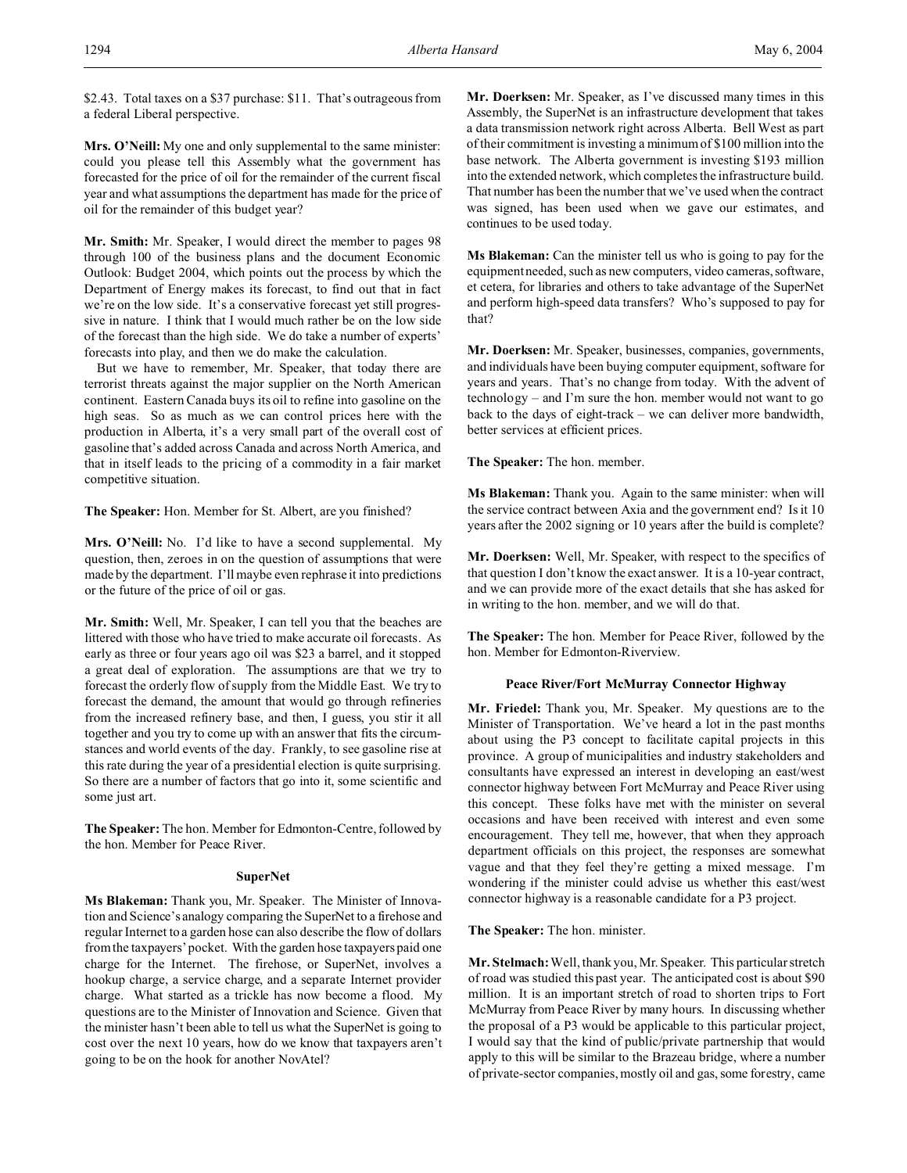\$2.43. Total taxes on a \$37 purchase: \$11. That's outrageous from a federal Liberal perspective.

**Mrs. O'Neill:** My one and only supplemental to the same minister: could you please tell this Assembly what the government has forecasted for the price of oil for the remainder of the current fiscal year and what assumptions the department has made for the price of oil for the remainder of this budget year?

**Mr. Smith:** Mr. Speaker, I would direct the member to pages 98 through 100 of the business plans and the document Economic Outlook: Budget 2004, which points out the process by which the Department of Energy makes its forecast, to find out that in fact we're on the low side. It's a conservative forecast yet still progressive in nature. I think that I would much rather be on the low side of the forecast than the high side. We do take a number of experts' forecasts into play, and then we do make the calculation.

But we have to remember, Mr. Speaker, that today there are terrorist threats against the major supplier on the North American continent. Eastern Canada buys its oil to refine into gasoline on the high seas. So as much as we can control prices here with the production in Alberta, it's a very small part of the overall cost of gasoline that's added across Canada and across North America, and that in itself leads to the pricing of a commodity in a fair market competitive situation.

**The Speaker:** Hon. Member for St. Albert, are you finished?

**Mrs. O'Neill:** No. I'd like to have a second supplemental. My question, then, zeroes in on the question of assumptions that were made by the department. I'll maybe even rephrase it into predictions or the future of the price of oil or gas.

**Mr. Smith:** Well, Mr. Speaker, I can tell you that the beaches are littered with those who have tried to make accurate oil forecasts. As early as three or four years ago oil was \$23 a barrel, and it stopped a great deal of exploration. The assumptions are that we try to forecast the orderly flow of supply from the Middle East. We try to forecast the demand, the amount that would go through refineries from the increased refinery base, and then, I guess, you stir it all together and you try to come up with an answer that fits the circumstances and world events of the day. Frankly, to see gasoline rise at this rate during the year of a presidential election is quite surprising. So there are a number of factors that go into it, some scientific and some just art.

**The Speaker:** The hon. Member for Edmonton-Centre, followed by the hon. Member for Peace River.

## **SuperNet**

**Ms Blakeman:** Thank you, Mr. Speaker. The Minister of Innovation and Science's analogy comparing the SuperNet to a firehose and regular Internet to a garden hose can also describe the flow of dollars from the taxpayers' pocket. With the garden hose taxpayers paid one charge for the Internet. The firehose, or SuperNet, involves a hookup charge, a service charge, and a separate Internet provider charge. What started as a trickle has now become a flood. My questions are to the Minister of Innovation and Science. Given that the minister hasn't been able to tell us what the SuperNet is going to cost over the next 10 years, how do we know that taxpayers aren't going to be on the hook for another NovAtel?

**Mr. Doerksen:** Mr. Speaker, as I've discussed many times in this Assembly, the SuperNet is an infrastructure development that takes a data transmission network right across Alberta. Bell West as part of their commitment is investing a minimum of \$100 million into the base network. The Alberta government is investing \$193 million into the extended network, which completes the infrastructure build. That number has been the number that we've used when the contract was signed, has been used when we gave our estimates, and continues to be used today.

**Ms Blakeman:** Can the minister tell us who is going to pay for the equipment needed, such as new computers, video cameras, software, et cetera, for libraries and others to take advantage of the SuperNet and perform high-speed data transfers? Who's supposed to pay for that?

**Mr. Doerksen:** Mr. Speaker, businesses, companies, governments, and individuals have been buying computer equipment, software for years and years. That's no change from today. With the advent of technology – and I'm sure the hon. member would not want to go back to the days of eight-track – we can deliver more bandwidth, better services at efficient prices.

**The Speaker:** The hon. member.

**Ms Blakeman:** Thank you. Again to the same minister: when will the service contract between Axia and the government end? Is it 10 years after the 2002 signing or 10 years after the build is complete?

**Mr. Doerksen:** Well, Mr. Speaker, with respect to the specifics of that question I don't know the exact answer. It is a 10-year contract, and we can provide more of the exact details that she has asked for in writing to the hon. member, and we will do that.

**The Speaker:** The hon. Member for Peace River, followed by the hon. Member for Edmonton-Riverview.

# **Peace River/Fort McMurray Connector Highway**

**Mr. Friedel:** Thank you, Mr. Speaker. My questions are to the Minister of Transportation. We've heard a lot in the past months about using the P3 concept to facilitate capital projects in this province. A group of municipalities and industry stakeholders and consultants have expressed an interest in developing an east/west connector highway between Fort McMurray and Peace River using this concept. These folks have met with the minister on several occasions and have been received with interest and even some encouragement. They tell me, however, that when they approach department officials on this project, the responses are somewhat vague and that they feel they're getting a mixed message. I'm wondering if the minister could advise us whether this east/west connector highway is a reasonable candidate for a P3 project.

**The Speaker:** The hon. minister.

**Mr. Stelmach:** Well, thank you, Mr. Speaker. This particular stretch of road was studied this past year. The anticipated cost is about \$90 million. It is an important stretch of road to shorten trips to Fort McMurray from Peace River by many hours. In discussing whether the proposal of a P3 would be applicable to this particular project, I would say that the kind of public/private partnership that would apply to this will be similar to the Brazeau bridge, where a number of private-sector companies, mostly oil and gas, some forestry, came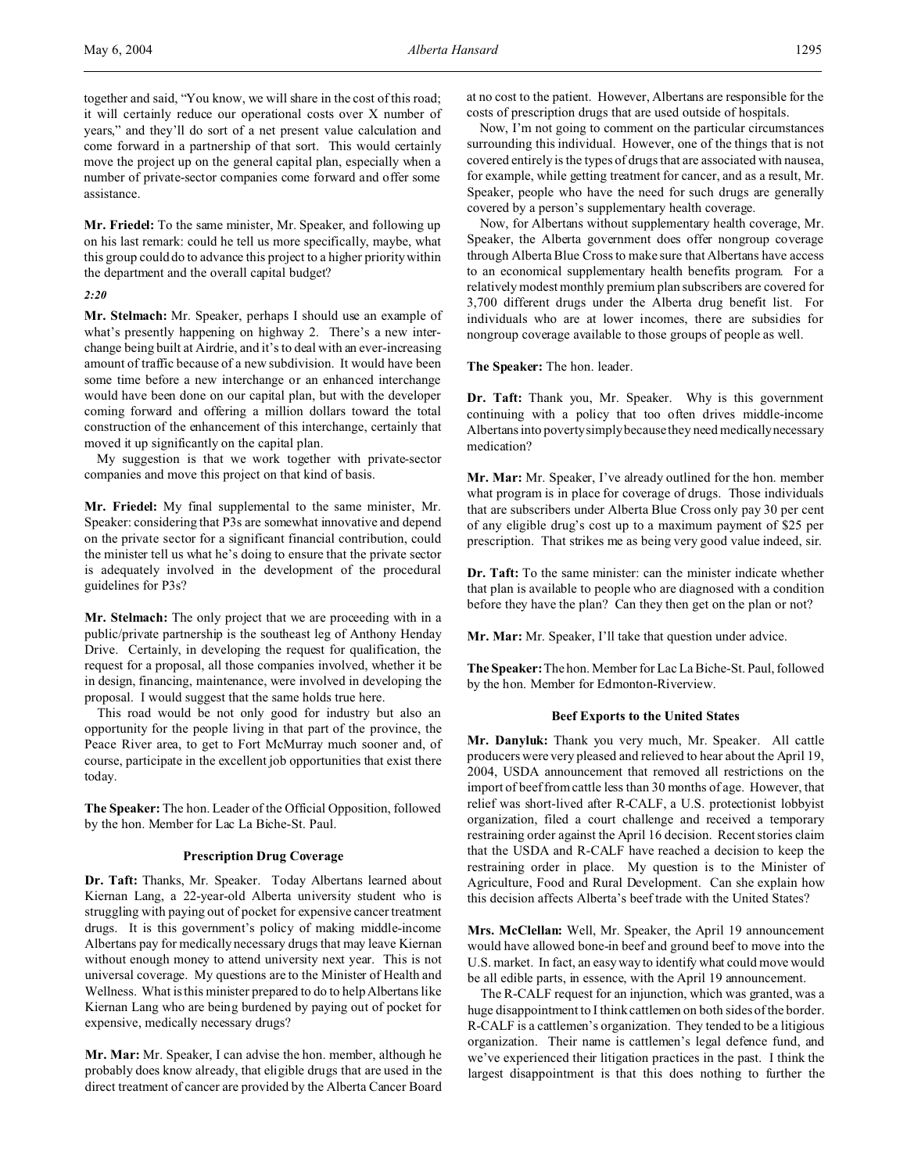**Mr. Friedel:** To the same minister, Mr. Speaker, and following up on his last remark: could he tell us more specifically, maybe, what this group could do to advance this project to a higher priority within the department and the overall capital budget?

# *2:20*

**Mr. Stelmach:** Mr. Speaker, perhaps I should use an example of what's presently happening on highway 2. There's a new interchange being built at Airdrie, and it's to deal with an ever-increasing amount of traffic because of a new subdivision. It would have been some time before a new interchange or an enhanced interchange would have been done on our capital plan, but with the developer coming forward and offering a million dollars toward the total construction of the enhancement of this interchange, certainly that moved it up significantly on the capital plan.

My suggestion is that we work together with private-sector companies and move this project on that kind of basis.

**Mr. Friedel:** My final supplemental to the same minister, Mr. Speaker: considering that P3s are somewhat innovative and depend on the private sector for a significant financial contribution, could the minister tell us what he's doing to ensure that the private sector is adequately involved in the development of the procedural guidelines for P3s?

**Mr. Stelmach:** The only project that we are proceeding with in a public/private partnership is the southeast leg of Anthony Henday Drive. Certainly, in developing the request for qualification, the request for a proposal, all those companies involved, whether it be in design, financing, maintenance, were involved in developing the proposal. I would suggest that the same holds true here.

This road would be not only good for industry but also an opportunity for the people living in that part of the province, the Peace River area, to get to Fort McMurray much sooner and, of course, participate in the excellent job opportunities that exist there today.

**The Speaker:** The hon. Leader of the Official Opposition, followed by the hon. Member for Lac La Biche-St. Paul.

## **Prescription Drug Coverage**

**Dr. Taft:** Thanks, Mr. Speaker. Today Albertans learned about Kiernan Lang, a 22-year-old Alberta university student who is struggling with paying out of pocket for expensive cancer treatment drugs. It is this government's policy of making middle-income Albertans pay for medically necessary drugs that may leave Kiernan without enough money to attend university next year. This is not universal coverage. My questions are to the Minister of Health and Wellness. What is this minister prepared to do to help Albertans like Kiernan Lang who are being burdened by paying out of pocket for expensive, medically necessary drugs?

**Mr. Mar:** Mr. Speaker, I can advise the hon. member, although he probably does know already, that eligible drugs that are used in the direct treatment of cancer are provided by the Alberta Cancer Board

at no cost to the patient. However, Albertans are responsible for the costs of prescription drugs that are used outside of hospitals.

Now, I'm not going to comment on the particular circumstances surrounding this individual. However, one of the things that is not covered entirely is the types of drugs that are associated with nausea, for example, while getting treatment for cancer, and as a result, Mr. Speaker, people who have the need for such drugs are generally covered by a person's supplementary health coverage.

Now, for Albertans without supplementary health coverage, Mr. Speaker, the Alberta government does offer nongroup coverage through Alberta Blue Cross to make sure that Albertans have access to an economical supplementary health benefits program. For a relatively modest monthly premium plan subscribers are covered for 3,700 different drugs under the Alberta drug benefit list. For individuals who are at lower incomes, there are subsidies for nongroup coverage available to those groups of people as well.

### **The Speaker:** The hon. leader.

**Dr. Taft:** Thank you, Mr. Speaker. Why is this government continuing with a policy that too often drives middle-income Albertans into poverty simply because they need medicallynecessary medication?

**Mr. Mar:** Mr. Speaker, I've already outlined for the hon. member what program is in place for coverage of drugs. Those individuals that are subscribers under Alberta Blue Cross only pay 30 per cent of any eligible drug's cost up to a maximum payment of \$25 per prescription. That strikes me as being very good value indeed, sir.

**Dr. Taft:** To the same minister: can the minister indicate whether that plan is available to people who are diagnosed with a condition before they have the plan? Can they then get on the plan or not?

**Mr. Mar:** Mr. Speaker, I'll take that question under advice.

**The Speaker:**The hon. Member for Lac La Biche-St. Paul, followed by the hon. Member for Edmonton-Riverview.

#### **Beef Exports to the United States**

**Mr. Danyluk:** Thank you very much, Mr. Speaker. All cattle producers were very pleased and relieved to hear about the April 19, 2004, USDA announcement that removed all restrictions on the import of beef from cattle less than 30 months of age. However, that relief was short-lived after R-CALF, a U.S. protectionist lobbyist organization, filed a court challenge and received a temporary restraining order against the April 16 decision. Recent stories claim that the USDA and R-CALF have reached a decision to keep the restraining order in place. My question is to the Minister of Agriculture, Food and Rural Development. Can she explain how this decision affects Alberta's beef trade with the United States?

**Mrs. McClellan:** Well, Mr. Speaker, the April 19 announcement would have allowed bone-in beef and ground beef to move into the U.S. market. In fact, an easy way to identify what could move would be all edible parts, in essence, with the April 19 announcement.

The R-CALF request for an injunction, which was granted, was a huge disappointment to I think cattlemen on both sides of the border. R-CALF is a cattlemen's organization. They tended to be a litigious organization. Their name is cattlemen's legal defence fund, and we've experienced their litigation practices in the past. I think the largest disappointment is that this does nothing to further the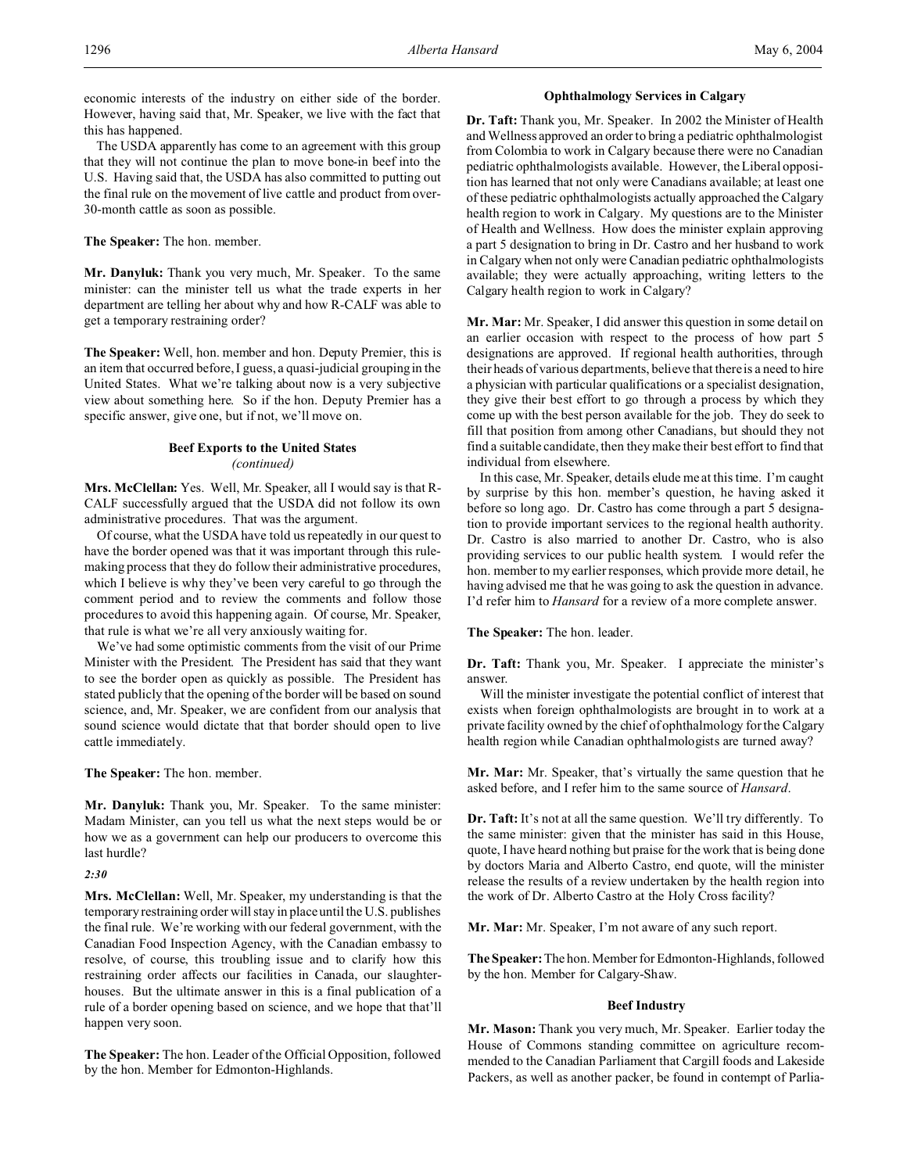economic interests of the industry on either side of the border. However, having said that, Mr. Speaker, we live with the fact that this has happened.

The USDA apparently has come to an agreement with this group that they will not continue the plan to move bone-in beef into the U.S. Having said that, the USDA has also committed to putting out the final rule on the movement of live cattle and product from over-30-month cattle as soon as possible.

# **The Speaker:** The hon. member.

**Mr. Danyluk:** Thank you very much, Mr. Speaker. To the same minister: can the minister tell us what the trade experts in her department are telling her about why and how R-CALF was able to get a temporary restraining order?

**The Speaker:** Well, hon. member and hon. Deputy Premier, this is an item that occurred before, I guess, a quasi-judicial grouping in the United States. What we're talking about now is a very subjective view about something here. So if the hon. Deputy Premier has a specific answer, give one, but if not, we'll move on.

# **Beef Exports to the United States** *(continued)*

**Mrs. McClellan:** Yes. Well, Mr. Speaker, all I would say is that R-CALF successfully argued that the USDA did not follow its own administrative procedures. That was the argument.

Of course, what the USDA have told us repeatedly in our quest to have the border opened was that it was important through this rulemaking process that they do follow their administrative procedures, which I believe is why they've been very careful to go through the comment period and to review the comments and follow those procedures to avoid this happening again. Of course, Mr. Speaker, that rule is what we're all very anxiously waiting for.

We've had some optimistic comments from the visit of our Prime Minister with the President. The President has said that they want to see the border open as quickly as possible. The President has stated publicly that the opening of the border will be based on sound science, and, Mr. Speaker, we are confident from our analysis that sound science would dictate that that border should open to live cattle immediately.

**The Speaker:** The hon. member.

**Mr. Danyluk:** Thank you, Mr. Speaker. To the same minister: Madam Minister, can you tell us what the next steps would be or how we as a government can help our producers to overcome this last hurdle?

### *2:30*

**Mrs. McClellan:** Well, Mr. Speaker, my understanding is that the temporary restraining order will stay in place until the U.S. publishes the final rule. We're working with our federal government, with the Canadian Food Inspection Agency, with the Canadian embassy to resolve, of course, this troubling issue and to clarify how this restraining order affects our facilities in Canada, our slaughterhouses. But the ultimate answer in this is a final publication of a rule of a border opening based on science, and we hope that that'll happen very soon.

**The Speaker:** The hon. Leader of the Official Opposition, followed by the hon. Member for Edmonton-Highlands.

# **Ophthalmology Services in Calgary**

**Dr. Taft:** Thank you, Mr. Speaker. In 2002 the Minister of Health and Wellness approved an order to bring a pediatric ophthalmologist from Colombia to work in Calgary because there were no Canadian pediatric ophthalmologists available. However, the Liberal opposition has learned that not only were Canadians available; at least one of these pediatric ophthalmologists actually approached the Calgary health region to work in Calgary. My questions are to the Minister of Health and Wellness. How does the minister explain approving a part 5 designation to bring in Dr. Castro and her husband to work in Calgary when not only were Canadian pediatric ophthalmologists available; they were actually approaching, writing letters to the Calgary health region to work in Calgary?

**Mr. Mar:** Mr. Speaker, I did answer this question in some detail on an earlier occasion with respect to the process of how part 5 designations are approved. If regional health authorities, through their heads of various departments, believe that there is a need to hire a physician with particular qualifications or a specialist designation, they give their best effort to go through a process by which they come up with the best person available for the job. They do seek to fill that position from among other Canadians, but should they not find a suitable candidate, then they make their best effort to find that individual from elsewhere.

In this case, Mr. Speaker, details elude me at this time. I'm caught by surprise by this hon. member's question, he having asked it before so long ago. Dr. Castro has come through a part 5 designation to provide important services to the regional health authority. Dr. Castro is also married to another Dr. Castro, who is also providing services to our public health system. I would refer the hon. member to my earlier responses, which provide more detail, he having advised me that he was going to ask the question in advance. I'd refer him to *Hansard* for a review of a more complete answer.

**The Speaker:** The hon. leader.

**Dr. Taft:** Thank you, Mr. Speaker. I appreciate the minister's answer.

Will the minister investigate the potential conflict of interest that exists when foreign ophthalmologists are brought in to work at a private facility owned by the chief of ophthalmology for the Calgary health region while Canadian ophthalmologists are turned away?

**Mr. Mar:** Mr. Speaker, that's virtually the same question that he asked before, and I refer him to the same source of *Hansard*.

**Dr. Taft:** It's not at all the same question. We'll try differently. To the same minister: given that the minister has said in this House, quote, I have heard nothing but praise for the work that is being done by doctors Maria and Alberto Castro, end quote, will the minister release the results of a review undertaken by the health region into the work of Dr. Alberto Castro at the Holy Cross facility?

**Mr. Mar:** Mr. Speaker, I'm not aware of any such report.

**The Speaker:** The hon. Member for Edmonton-Highlands, followed by the hon. Member for Calgary-Shaw.

# **Beef Industry**

**Mr. Mason:** Thank you very much, Mr. Speaker. Earlier today the House of Commons standing committee on agriculture recommended to the Canadian Parliament that Cargill foods and Lakeside Packers, as well as another packer, be found in contempt of Parlia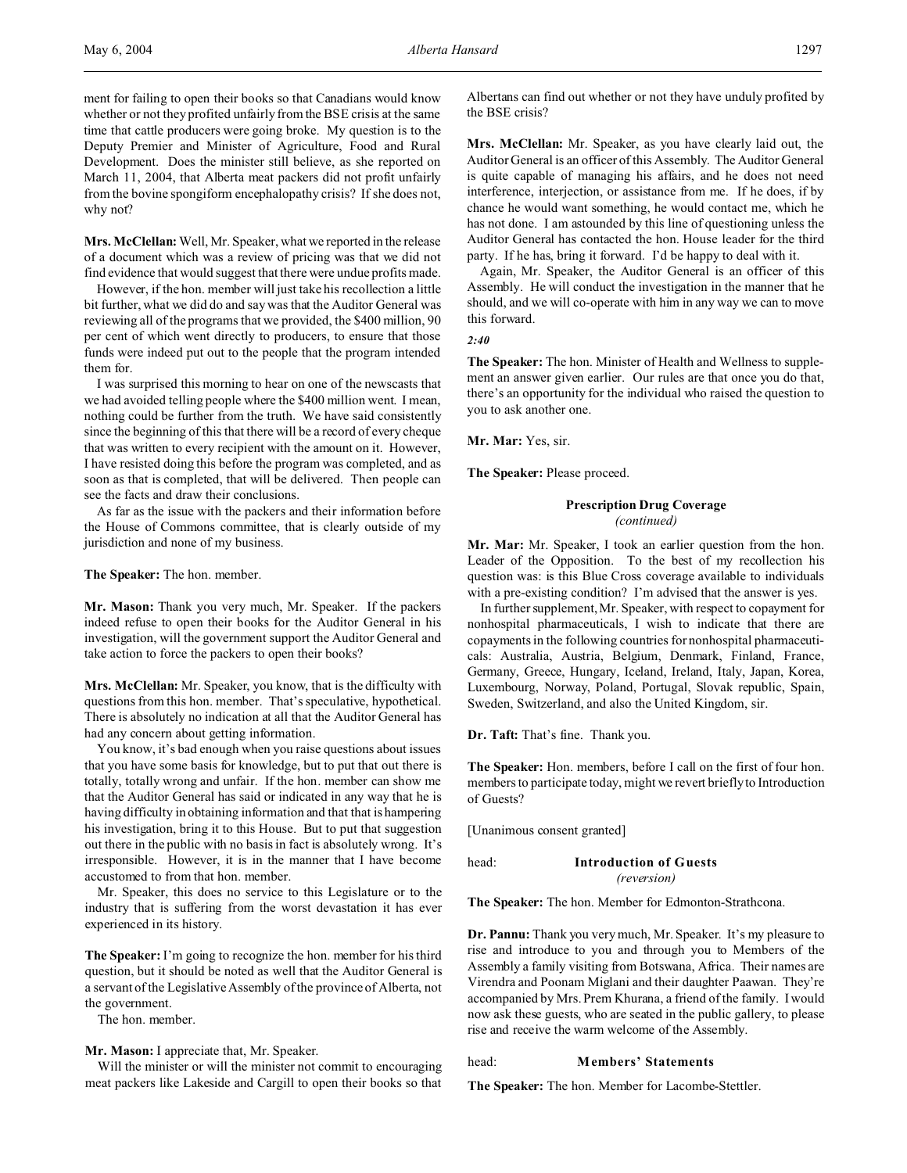ment for failing to open their books so that Canadians would know whether or not they profited unfairly from the BSE crisis at the same time that cattle producers were going broke. My question is to the Deputy Premier and Minister of Agriculture, Food and Rural Development. Does the minister still believe, as she reported on March 11, 2004, that Alberta meat packers did not profit unfairly from the bovine spongiform encephalopathy crisis? If she does not, why not?

**Mrs. McClellan:** Well, Mr. Speaker, what we reported in the release of a document which was a review of pricing was that we did not find evidence that would suggest that there were undue profits made.

However, if the hon. member will just take his recollection a little bit further, what we did do and say was that the Auditor General was reviewing all of the programs that we provided, the \$400 million, 90 per cent of which went directly to producers, to ensure that those funds were indeed put out to the people that the program intended them for.

I was surprised this morning to hear on one of the newscasts that we had avoided telling people where the \$400 million went. I mean, nothing could be further from the truth. We have said consistently since the beginning of this that there will be a record of every cheque that was written to every recipient with the amount on it. However, I have resisted doing this before the program was completed, and as soon as that is completed, that will be delivered. Then people can see the facts and draw their conclusions.

As far as the issue with the packers and their information before the House of Commons committee, that is clearly outside of my jurisdiction and none of my business.

**The Speaker:** The hon. member.

**Mr. Mason:** Thank you very much, Mr. Speaker. If the packers indeed refuse to open their books for the Auditor General in his investigation, will the government support the Auditor General and take action to force the packers to open their books?

**Mrs. McClellan:** Mr. Speaker, you know, that is the difficulty with questions from this hon. member. That's speculative, hypothetical. There is absolutely no indication at all that the Auditor General has had any concern about getting information.

You know, it's bad enough when you raise questions about issues that you have some basis for knowledge, but to put that out there is totally, totally wrong and unfair. If the hon. member can show me that the Auditor General has said or indicated in any way that he is having difficulty in obtaining information and that that is hampering his investigation, bring it to this House. But to put that suggestion out there in the public with no basis in fact is absolutely wrong. It's irresponsible. However, it is in the manner that I have become accustomed to from that hon. member.

Mr. Speaker, this does no service to this Legislature or to the industry that is suffering from the worst devastation it has ever experienced in its history.

**The Speaker:** I'm going to recognize the hon. member for his third question, but it should be noted as well that the Auditor General is a servant of the Legislative Assembly of the province of Alberta, not the government.

The hon. member.

**Mr. Mason:** I appreciate that, Mr. Speaker.

Will the minister or will the minister not commit to encouraging meat packers like Lakeside and Cargill to open their books so that Albertans can find out whether or not they have unduly profited by the BSE crisis?

**Mrs. McClellan:** Mr. Speaker, as you have clearly laid out, the Auditor General is an officer of this Assembly. The Auditor General is quite capable of managing his affairs, and he does not need interference, interjection, or assistance from me. If he does, if by chance he would want something, he would contact me, which he has not done. I am astounded by this line of questioning unless the Auditor General has contacted the hon. House leader for the third party. If he has, bring it forward. I'd be happy to deal with it.

Again, Mr. Speaker, the Auditor General is an officer of this Assembly. He will conduct the investigation in the manner that he should, and we will co-operate with him in any way we can to move this forward.

*2:40*

**The Speaker:** The hon. Minister of Health and Wellness to supplement an answer given earlier. Our rules are that once you do that, there's an opportunity for the individual who raised the question to you to ask another one.

**Mr. Mar:** Yes, sir.

**The Speaker:** Please proceed.

# **Prescription Drug Coverage** *(continued)*

**Mr. Mar:** Mr. Speaker, I took an earlier question from the hon. Leader of the Opposition. To the best of my recollection his question was: is this Blue Cross coverage available to individuals with a pre-existing condition? I'm advised that the answer is yes.

In further supplement, Mr. Speaker, with respect to copayment for nonhospital pharmaceuticals, I wish to indicate that there are copayments in the following countries for nonhospital pharmaceuticals: Australia, Austria, Belgium, Denmark, Finland, France, Germany, Greece, Hungary, Iceland, Ireland, Italy, Japan, Korea, Luxembourg, Norway, Poland, Portugal, Slovak republic, Spain, Sweden, Switzerland, and also the United Kingdom, sir.

**Dr. Taft:** That's fine. Thank you.

**The Speaker:** Hon. members, before I call on the first of four hon. members to participate today, might we revert briefly to Introduction of Guests?

[Unanimous consent granted]

head: **Introduction of Guests**

*(reversion)*

**The Speaker:** The hon. Member for Edmonton-Strathcona.

**Dr. Pannu:** Thank you very much, Mr. Speaker. It's my pleasure to rise and introduce to you and through you to Members of the Assembly a family visiting from Botswana, Africa. Their names are Virendra and Poonam Miglani and their daughter Paawan. They're accompanied by Mrs. Prem Khurana, a friend of the family. I would now ask these guests, who are seated in the public gallery, to please rise and receive the warm welcome of the Assembly.

head: **Members' Statements**

**The Speaker:** The hon. Member for Lacombe-Stettler.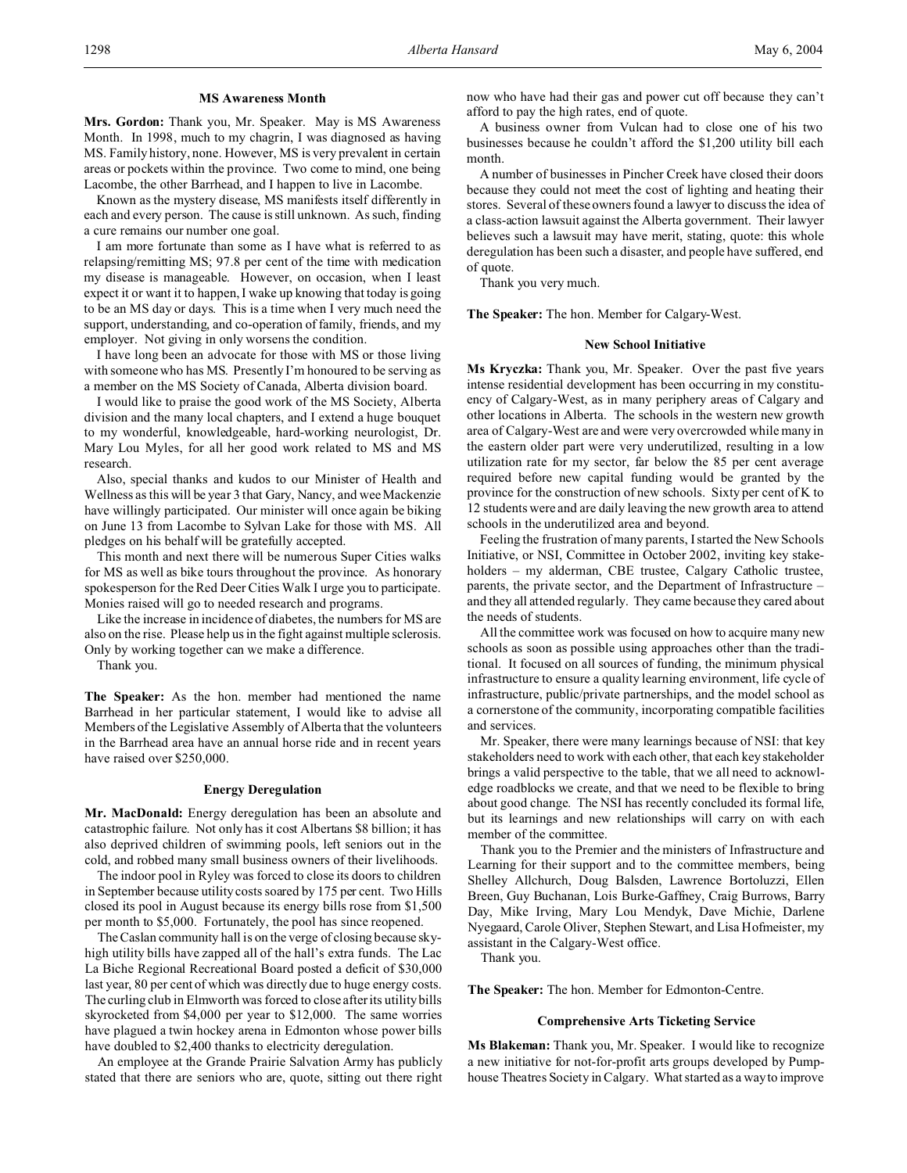# **MS Awareness Month**

**Mrs. Gordon:** Thank you, Mr. Speaker. May is MS Awareness Month. In 1998, much to my chagrin, I was diagnosed as having MS. Family history, none. However, MS is very prevalent in certain areas or pockets within the province. Two come to mind, one being Lacombe, the other Barrhead, and I happen to live in Lacombe.

Known as the mystery disease, MS manifests itself differently in each and every person. The cause is still unknown. As such, finding a cure remains our number one goal.

I am more fortunate than some as I have what is referred to as relapsing/remitting MS; 97.8 per cent of the time with medication my disease is manageable. However, on occasion, when I least expect it or want it to happen, I wake up knowing that today is going to be an MS day or days. This is a time when I very much need the support, understanding, and co-operation of family, friends, and my employer. Not giving in only worsens the condition.

I have long been an advocate for those with MS or those living with someone who has MS. Presently I'm honoured to be serving as a member on the MS Society of Canada, Alberta division board.

I would like to praise the good work of the MS Society, Alberta division and the many local chapters, and I extend a huge bouquet to my wonderful, knowledgeable, hard-working neurologist, Dr. Mary Lou Myles, for all her good work related to MS and MS research.

Also, special thanks and kudos to our Minister of Health and Wellness as this will be year 3 that Gary, Nancy, and wee Mackenzie have willingly participated. Our minister will once again be biking on June 13 from Lacombe to Sylvan Lake for those with MS. All pledges on his behalf will be gratefully accepted.

This month and next there will be numerous Super Cities walks for MS as well as bike tours throughout the province. As honorary spokesperson for the Red Deer Cities Walk I urge you to participate. Monies raised will go to needed research and programs.

Like the increase in incidence of diabetes, the numbers for MS are also on the rise. Please help us in the fight against multiple sclerosis. Only by working together can we make a difference.

Thank you.

**The Speaker:** As the hon. member had mentioned the name Barrhead in her particular statement, I would like to advise all Members of the Legislative Assembly of Alberta that the volunteers in the Barrhead area have an annual horse ride and in recent years have raised over \$250,000.

# **Energy Deregulation**

**Mr. MacDonald:** Energy deregulation has been an absolute and catastrophic failure. Not only has it cost Albertans \$8 billion; it has also deprived children of swimming pools, left seniors out in the cold, and robbed many small business owners of their livelihoods.

The indoor pool in Ryley was forced to close its doors to children in September because utility costs soared by 175 per cent. Two Hills closed its pool in August because its energy bills rose from \$1,500 per month to \$5,000. Fortunately, the pool has since reopened.

The Caslan community hall is on the verge of closing because skyhigh utility bills have zapped all of the hall's extra funds. The Lac La Biche Regional Recreational Board posted a deficit of \$30,000 last year, 80 per cent of which was directly due to huge energy costs. The curling club in Elmworth was forced to close after its utility bills skyrocketed from \$4,000 per year to \$12,000. The same worries have plagued a twin hockey arena in Edmonton whose power bills have doubled to \$2,400 thanks to electricity deregulation.

An employee at the Grande Prairie Salvation Army has publicly stated that there are seniors who are, quote, sitting out there right now who have had their gas and power cut off because they can't afford to pay the high rates, end of quote.

A business owner from Vulcan had to close one of his two businesses because he couldn't afford the \$1,200 utility bill each month.

A number of businesses in Pincher Creek have closed their doors because they could not meet the cost of lighting and heating their stores. Several of these owners found a lawyer to discuss the idea of a class-action lawsuit against the Alberta government. Their lawyer believes such a lawsuit may have merit, stating, quote: this whole deregulation has been such a disaster, and people have suffered, end of quote.

Thank you very much.

**The Speaker:** The hon. Member for Calgary-West.

### **New School Initiative**

**Ms Kryczka:** Thank you, Mr. Speaker. Over the past five years intense residential development has been occurring in my constituency of Calgary-West, as in many periphery areas of Calgary and other locations in Alberta. The schools in the western new growth area of Calgary-West are and were very overcrowded while many in the eastern older part were very underutilized, resulting in a low utilization rate for my sector, far below the 85 per cent average required before new capital funding would be granted by the province for the construction of new schools. Sixty per cent of K to 12 students were and are daily leaving the new growth area to attend schools in the underutilized area and beyond.

Feeling the frustration of many parents, I started the New Schools Initiative, or NSI, Committee in October 2002, inviting key stakeholders – my alderman, CBE trustee, Calgary Catholic trustee, parents, the private sector, and the Department of Infrastructure – and they all attended regularly. They came because they cared about the needs of students.

All the committee work was focused on how to acquire many new schools as soon as possible using approaches other than the traditional. It focused on all sources of funding, the minimum physical infrastructure to ensure a quality learning environment, life cycle of infrastructure, public/private partnerships, and the model school as a cornerstone of the community, incorporating compatible facilities and services.

Mr. Speaker, there were many learnings because of NSI: that key stakeholders need to work with each other, that each key stakeholder brings a valid perspective to the table, that we all need to acknowledge roadblocks we create, and that we need to be flexible to bring about good change. The NSI has recently concluded its formal life, but its learnings and new relationships will carry on with each member of the committee.

Thank you to the Premier and the ministers of Infrastructure and Learning for their support and to the committee members, being Shelley Allchurch, Doug Balsden, Lawrence Bortoluzzi, Ellen Breen, Guy Buchanan, Lois Burke-Gaffney, Craig Burrows, Barry Day, Mike Irving, Mary Lou Mendyk, Dave Michie, Darlene Nyegaard, Carole Oliver, Stephen Stewart, and Lisa Hofmeister, my assistant in the Calgary-West office.

Thank you.

**The Speaker:** The hon. Member for Edmonton-Centre.

#### **Comprehensive Arts Ticketing Service**

**Ms Blakeman:** Thank you, Mr. Speaker. I would like to recognize a new initiative for not-for-profit arts groups developed by Pumphouse Theatres Society in Calgary. What started as a way to improve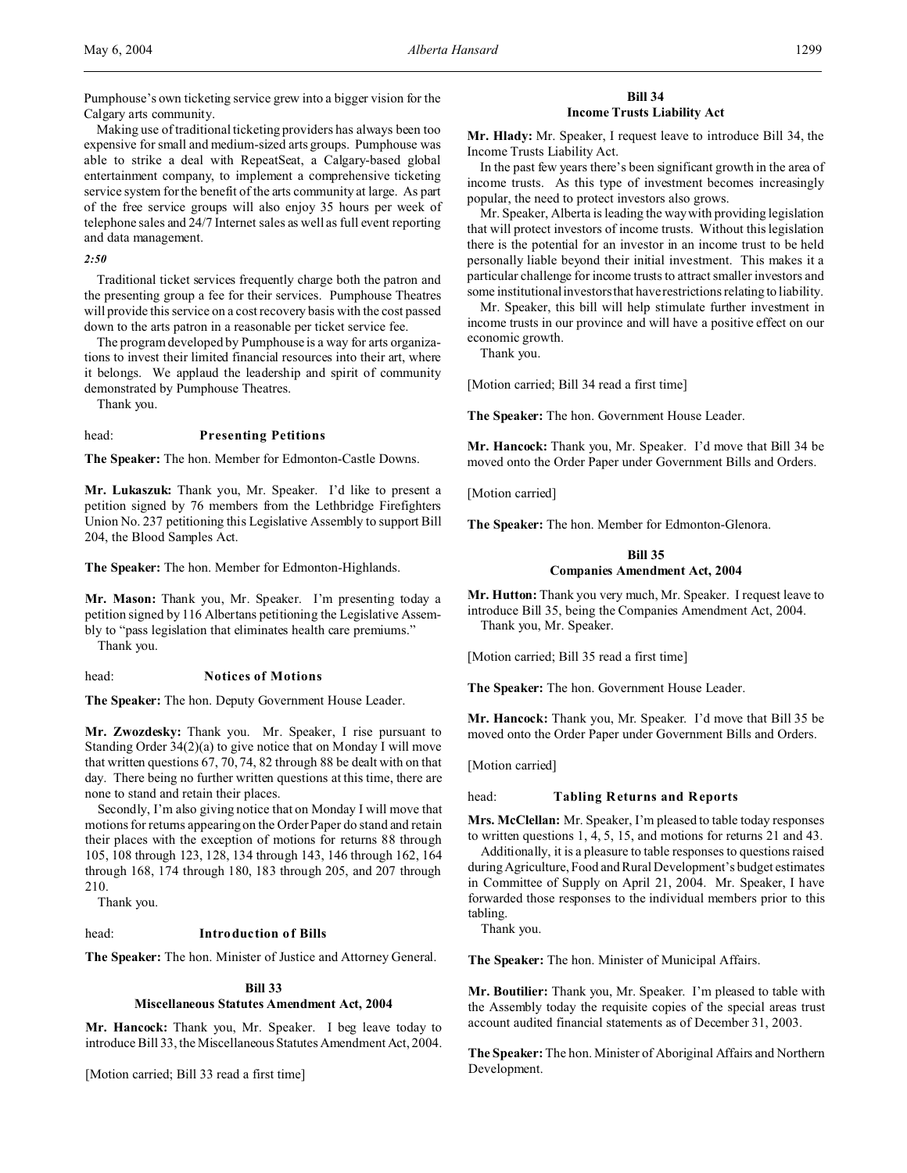Pumphouse's own ticketing service grew into a bigger vision for the Calgary arts community.

Making use of traditional ticketing providers has always been too expensive for small and medium-sized arts groups. Pumphouse was able to strike a deal with RepeatSeat, a Calgary-based global entertainment company, to implement a comprehensive ticketing service system for the benefit of the arts community at large. As part of the free service groups will also enjoy 35 hours per week of telephone sales and 24/7 Internet sales as well as full event reporting and data management.

# *2:50*

Traditional ticket services frequently charge both the patron and the presenting group a fee for their services. Pumphouse Theatres will provide this service on a cost recovery basis with the cost passed down to the arts patron in a reasonable per ticket service fee.

The program developed by Pumphouse is a way for arts organizations to invest their limited financial resources into their art, where it belongs. We applaud the leadership and spirit of community demonstrated by Pumphouse Theatres.

Thank you.

## head: **Presenting Petitions**

**The Speaker:** The hon. Member for Edmonton-Castle Downs.

**Mr. Lukaszuk:** Thank you, Mr. Speaker. I'd like to present a petition signed by 76 members from the Lethbridge Firefighters Union No. 237 petitioning this Legislative Assembly to support Bill 204, the Blood Samples Act.

**The Speaker:** The hon. Member for Edmonton-Highlands.

**Mr. Mason:** Thank you, Mr. Speaker. I'm presenting today a petition signed by 116 Albertans petitioning the Legislative Assembly to "pass legislation that eliminates health care premiums." Thank you.

# head: **Notices of Motions**

**The Speaker:** The hon. Deputy Government House Leader.

**Mr. Zwozdesky:** Thank you. Mr. Speaker, I rise pursuant to Standing Order 34(2)(a) to give notice that on Monday I will move that written questions 67, 70, 74, 82 through 88 be dealt with on that day. There being no further written questions at this time, there are none to stand and retain their places.

Secondly, I'm also giving notice that on Monday I will move that motions for returns appearing on the Order Paper do stand and retain their places with the exception of motions for returns 88 through 105, 108 through 123, 128, 134 through 143, 146 through 162, 164 through 168, 174 through 180, 183 through 205, and 207 through 210.

Thank you.

### head: **Introduction of Bills**

**The Speaker:** The hon. Minister of Justice and Attorney General.

#### **Bill 33**

## **Miscellaneous Statutes Amendment Act, 2004**

**Mr. Hancock:** Thank you, Mr. Speaker. I beg leave today to introduce Bill 33, the Miscellaneous Statutes Amendment Act, 2004.

[Motion carried; Bill 33 read a first time]

# **Bill 34 Income Trusts Liability Act**

**Mr. Hlady:** Mr. Speaker, I request leave to introduce Bill 34, the Income Trusts Liability Act.

In the past few years there's been significant growth in the area of income trusts. As this type of investment becomes increasingly popular, the need to protect investors also grows.

Mr. Speaker, Alberta is leading the way with providing legislation that will protect investors of income trusts. Without this legislation there is the potential for an investor in an income trust to be held personally liable beyond their initial investment. This makes it a particular challenge for income trusts to attract smaller investors and some institutional investors that have restrictions relating to liability.

Mr. Speaker, this bill will help stimulate further investment in income trusts in our province and will have a positive effect on our economic growth.

Thank you.

[Motion carried; Bill 34 read a first time]

**The Speaker:** The hon. Government House Leader.

**Mr. Hancock:** Thank you, Mr. Speaker. I'd move that Bill 34 be moved onto the Order Paper under Government Bills and Orders.

[Motion carried]

**The Speaker:** The hon. Member for Edmonton-Glenora.

# **Bill 35**

# **Companies Amendment Act, 2004**

**Mr. Hutton:** Thank you very much, Mr. Speaker. I request leave to introduce Bill 35, being the Companies Amendment Act, 2004. Thank you, Mr. Speaker.

[Motion carried; Bill 35 read a first time]

**The Speaker:** The hon. Government House Leader.

**Mr. Hancock:** Thank you, Mr. Speaker. I'd move that Bill 35 be moved onto the Order Paper under Government Bills and Orders.

[Motion carried]

### head: **Tabling Returns and Reports**

**Mrs. McClellan:** Mr. Speaker, I'm pleased to table today responses to written questions 1, 4, 5, 15, and motions for returns 21 and 43.

Additionally, it is a pleasure to table responses to questions raised during Agriculture, Food and Rural Development's budget estimates in Committee of Supply on April 21, 2004. Mr. Speaker, I have forwarded those responses to the individual members prior to this tabling.

Thank you.

**The Speaker:** The hon. Minister of Municipal Affairs.

**Mr. Boutilier:** Thank you, Mr. Speaker. I'm pleased to table with the Assembly today the requisite copies of the special areas trust account audited financial statements as of December 31, 2003.

**The Speaker:** The hon. Minister of Aboriginal Affairs and Northern Development.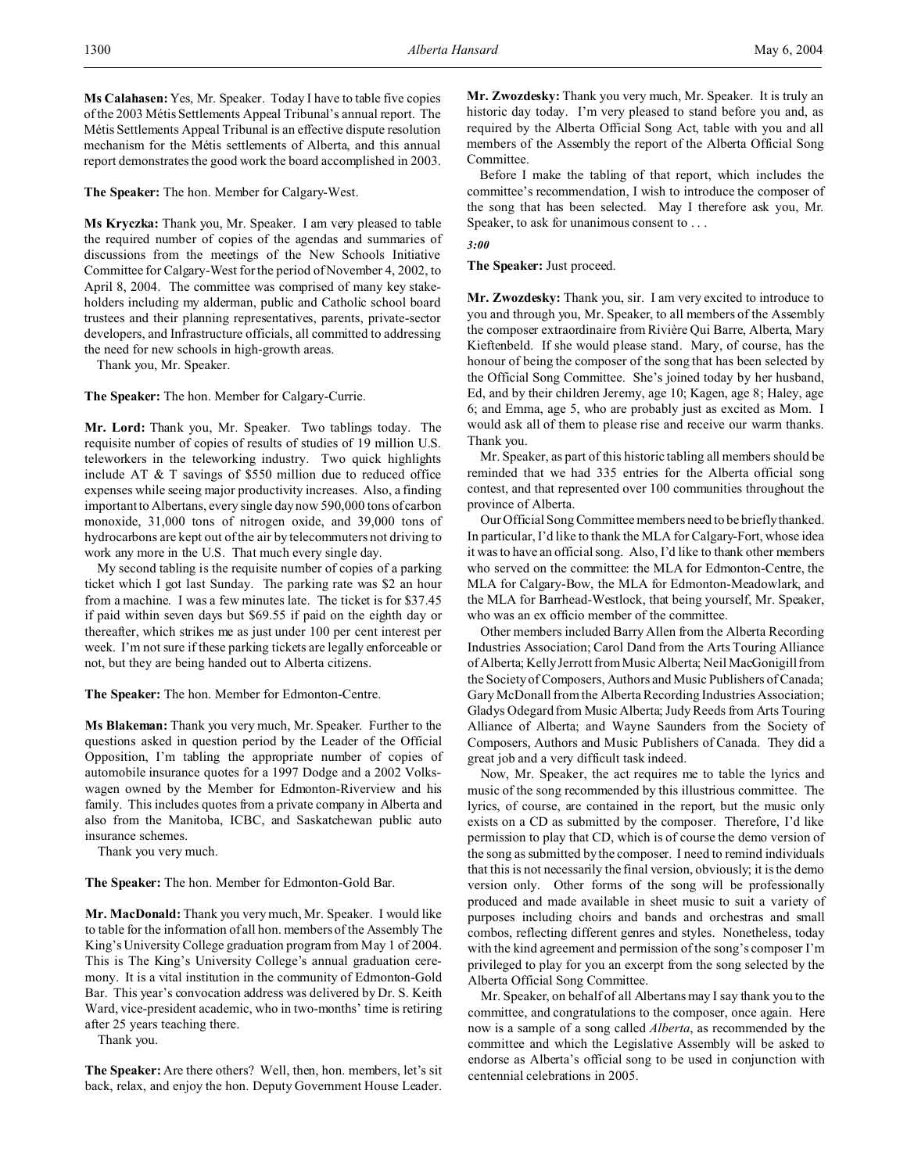**Ms Calahasen:** Yes, Mr. Speaker. Today I have to table five copies of the 2003 Métis Settlements Appeal Tribunal's annual report. The Métis Settlements Appeal Tribunal is an effective dispute resolution mechanism for the Métis settlements of Alberta, and this annual report demonstrates the good work the board accomplished in 2003.

**The Speaker:** The hon. Member for Calgary-West.

**Ms Kryczka:** Thank you, Mr. Speaker. I am very pleased to table the required number of copies of the agendas and summaries of discussions from the meetings of the New Schools Initiative Committee for Calgary-West for the period of November 4, 2002, to April 8, 2004. The committee was comprised of many key stakeholders including my alderman, public and Catholic school board trustees and their planning representatives, parents, private-sector developers, and Infrastructure officials, all committed to addressing the need for new schools in high-growth areas.

Thank you, Mr. Speaker.

**The Speaker:** The hon. Member for Calgary-Currie.

**Mr. Lord:** Thank you, Mr. Speaker. Two tablings today. The requisite number of copies of results of studies of 19 million U.S. teleworkers in the teleworking industry. Two quick highlights include AT & T savings of \$550 million due to reduced office expenses while seeing major productivity increases. Also, a finding important to Albertans, every single day now 590,000 tons of carbon monoxide, 31,000 tons of nitrogen oxide, and 39,000 tons of hydrocarbons are kept out of the air by telecommuters not driving to work any more in the U.S. That much every single day.

My second tabling is the requisite number of copies of a parking ticket which I got last Sunday. The parking rate was \$2 an hour from a machine. I was a few minutes late. The ticket is for \$37.45 if paid within seven days but \$69.55 if paid on the eighth day or thereafter, which strikes me as just under 100 per cent interest per week. I'm not sure if these parking tickets are legally enforceable or not, but they are being handed out to Alberta citizens.

**The Speaker:** The hon. Member for Edmonton-Centre.

**Ms Blakeman:** Thank you very much, Mr. Speaker. Further to the questions asked in question period by the Leader of the Official Opposition, I'm tabling the appropriate number of copies of automobile insurance quotes for a 1997 Dodge and a 2002 Volkswagen owned by the Member for Edmonton-Riverview and his family. This includes quotes from a private company in Alberta and also from the Manitoba, ICBC, and Saskatchewan public auto insurance schemes.

Thank you very much.

**The Speaker:** The hon. Member for Edmonton-Gold Bar.

**Mr. MacDonald:** Thank you very much, Mr. Speaker. I would like to table for the information of all hon. members of the Assembly The King's University College graduation program from May 1 of 2004. This is The King's University College's annual graduation ceremony. It is a vital institution in the community of Edmonton-Gold Bar. This year's convocation address was delivered by Dr. S. Keith Ward, vice-president academic, who in two-months' time is retiring after 25 years teaching there.

Thank you.

**The Speaker:** Are there others? Well, then, hon. members, let's sit back, relax, and enjoy the hon. Deputy Government House Leader.

**Mr. Zwozdesky:** Thank you very much, Mr. Speaker. It is truly an historic day today. I'm very pleased to stand before you and, as required by the Alberta Official Song Act, table with you and all members of the Assembly the report of the Alberta Official Song Committee.

Before I make the tabling of that report, which includes the committee's recommendation, I wish to introduce the composer of the song that has been selected. May I therefore ask you, Mr. Speaker, to ask for unanimous consent to . . .

*3:00*

**The Speaker:** Just proceed.

**Mr. Zwozdesky:** Thank you, sir. I am very excited to introduce to you and through you, Mr. Speaker, to all members of the Assembly the composer extraordinaire from Rivière Qui Barre, Alberta, Mary Kieftenbeld. If she would please stand. Mary, of course, has the honour of being the composer of the song that has been selected by the Official Song Committee. She's joined today by her husband, Ed, and by their children Jeremy, age 10; Kagen, age 8; Haley, age 6; and Emma, age 5, who are probably just as excited as Mom. I would ask all of them to please rise and receive our warm thanks. Thank you.

Mr. Speaker, as part of this historic tabling all members should be reminded that we had 335 entries for the Alberta official song contest, and that represented over 100 communities throughout the province of Alberta.

Our Official Song Committee members need to be briefly thanked. In particular, I'd like to thank the MLA for Calgary-Fort, whose idea it was to have an official song. Also, I'd like to thank other members who served on the committee: the MLA for Edmonton-Centre, the MLA for Calgary-Bow, the MLA for Edmonton-Meadowlark, and the MLA for Barrhead-Westlock, that being yourself, Mr. Speaker, who was an ex officio member of the committee.

Other members included Barry Allen from the Alberta Recording Industries Association; Carol Dand from the Arts Touring Alliance of Alberta; Kelly Jerrott from Music Alberta; Neil MacGonigill from the Society of Composers, Authors and Music Publishers of Canada; Gary McDonall from the Alberta Recording Industries Association; Gladys Odegard from Music Alberta; Judy Reeds from Arts Touring Alliance of Alberta; and Wayne Saunders from the Society of Composers, Authors and Music Publishers of Canada. They did a great job and a very difficult task indeed.

Now, Mr. Speaker, the act requires me to table the lyrics and music of the song recommended by this illustrious committee. The lyrics, of course, are contained in the report, but the music only exists on a CD as submitted by the composer. Therefore, I'd like permission to play that CD, which is of course the demo version of the song as submitted by the composer. I need to remind individuals that this is not necessarily the final version, obviously; it is the demo version only. Other forms of the song will be professionally produced and made available in sheet music to suit a variety of purposes including choirs and bands and orchestras and small combos, reflecting different genres and styles. Nonetheless, today with the kind agreement and permission of the song's composer I'm privileged to play for you an excerpt from the song selected by the Alberta Official Song Committee.

Mr. Speaker, on behalf of all Albertans may I say thank you to the committee, and congratulations to the composer, once again. Here now is a sample of a song called *Alberta*, as recommended by the committee and which the Legislative Assembly will be asked to endorse as Alberta's official song to be used in conjunction with centennial celebrations in 2005.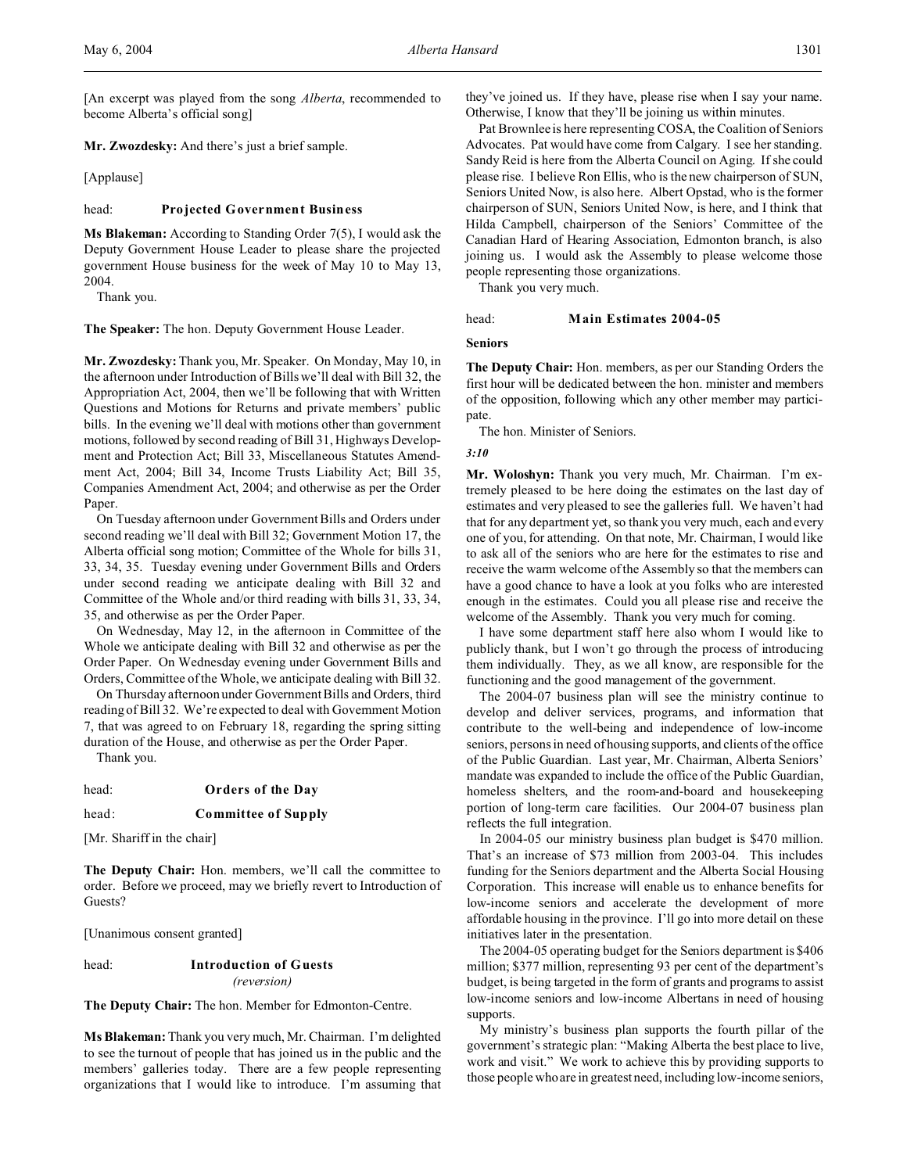[An excerpt was played from the song *Alberta*, recommended to become Alberta's official song]

**Mr. Zwozdesky:** And there's just a brief sample.

[Applause]

#### head: **Projected Government Business**

**Ms Blakeman:** According to Standing Order 7(5), I would ask the Deputy Government House Leader to please share the projected government House business for the week of May 10 to May 13, 2004.

Thank you.

**The Speaker:** The hon. Deputy Government House Leader.

**Mr. Zwozdesky:** Thank you, Mr. Speaker. On Monday, May 10, in the afternoon under Introduction of Bills we'll deal with Bill 32, the Appropriation Act, 2004, then we'll be following that with Written Questions and Motions for Returns and private members' public bills. In the evening we'll deal with motions other than government motions, followed by second reading of Bill 31, Highways Development and Protection Act; Bill 33, Miscellaneous Statutes Amendment Act, 2004; Bill 34, Income Trusts Liability Act; Bill 35, Companies Amendment Act, 2004; and otherwise as per the Order Paper.

On Tuesday afternoon under Government Bills and Orders under second reading we'll deal with Bill 32; Government Motion 17, the Alberta official song motion; Committee of the Whole for bills 31, 33, 34, 35. Tuesday evening under Government Bills and Orders under second reading we anticipate dealing with Bill 32 and Committee of the Whole and/or third reading with bills 31, 33, 34, 35, and otherwise as per the Order Paper.

On Wednesday, May 12, in the afternoon in Committee of the Whole we anticipate dealing with Bill 32 and otherwise as per the Order Paper. On Wednesday evening under Government Bills and Orders, Committee of the Whole, we anticipate dealing with Bill 32.

On Thursday afternoon under Government Bills and Orders, third reading of Bill 32. We're expected to deal with Government Motion 7, that was agreed to on February 18, regarding the spring sitting duration of the House, and otherwise as per the Order Paper.

Thank you.

head: **Orders of the Day**

# head: **Committee of Supply**

[Mr. Shariff in the chair]

**The Deputy Chair:** Hon. members, we'll call the committee to order. Before we proceed, may we briefly revert to Introduction of Guests?

[Unanimous consent granted]

# head: **Introduction of Guests** *(reversion)*

**The Deputy Chair:** The hon. Member for Edmonton-Centre.

**Ms Blakeman:** Thank you very much, Mr. Chairman. I'm delighted to see the turnout of people that has joined us in the public and the members' galleries today. There are a few people representing organizations that I would like to introduce. I'm assuming that

they've joined us. If they have, please rise when I say your name. Otherwise, I know that they'll be joining us within minutes.

Pat Brownlee is here representing COSA, the Coalition of Seniors Advocates. Pat would have come from Calgary. I see her standing. Sandy Reid is here from the Alberta Council on Aging. If she could please rise. I believe Ron Ellis, who is the new chairperson of SUN, Seniors United Now, is also here. Albert Opstad, who is the former chairperson of SUN, Seniors United Now, is here, and I think that Hilda Campbell, chairperson of the Seniors' Committee of the Canadian Hard of Hearing Association, Edmonton branch, is also joining us. I would ask the Assembly to please welcome those people representing those organizations.

Thank you very much.

#### head: **Main Estimates 2004-05**

### **Seniors**

**The Deputy Chair:** Hon. members, as per our Standing Orders the first hour will be dedicated between the hon. minister and members of the opposition, following which any other member may participate.

The hon. Minister of Seniors.

#### *3:10*

**Mr. Woloshyn:** Thank you very much, Mr. Chairman. I'm extremely pleased to be here doing the estimates on the last day of estimates and very pleased to see the galleries full. We haven't had that for any department yet, so thank you very much, each and every one of you, for attending. On that note, Mr. Chairman, I would like to ask all of the seniors who are here for the estimates to rise and receive the warm welcome of the Assembly so that the members can have a good chance to have a look at you folks who are interested enough in the estimates. Could you all please rise and receive the welcome of the Assembly. Thank you very much for coming.

I have some department staff here also whom I would like to publicly thank, but I won't go through the process of introducing them individually. They, as we all know, are responsible for the functioning and the good management of the government.

The 2004-07 business plan will see the ministry continue to develop and deliver services, programs, and information that contribute to the well-being and independence of low-income seniors, persons in need of housing supports, and clients of the office of the Public Guardian. Last year, Mr. Chairman, Alberta Seniors' mandate was expanded to include the office of the Public Guardian, homeless shelters, and the room-and-board and housekeeping portion of long-term care facilities. Our 2004-07 business plan reflects the full integration.

In 2004-05 our ministry business plan budget is \$470 million. That's an increase of \$73 million from 2003-04. This includes funding for the Seniors department and the Alberta Social Housing Corporation. This increase will enable us to enhance benefits for low-income seniors and accelerate the development of more affordable housing in the province. I'll go into more detail on these initiatives later in the presentation.

The 2004-05 operating budget for the Seniors department is \$406 million; \$377 million, representing 93 per cent of the department's budget, is being targeted in the form of grants and programs to assist low-income seniors and low-income Albertans in need of housing supports.

My ministry's business plan supports the fourth pillar of the government's strategic plan: "Making Alberta the best place to live, work and visit." We work to achieve this by providing supports to those people who are in greatest need, including low-income seniors,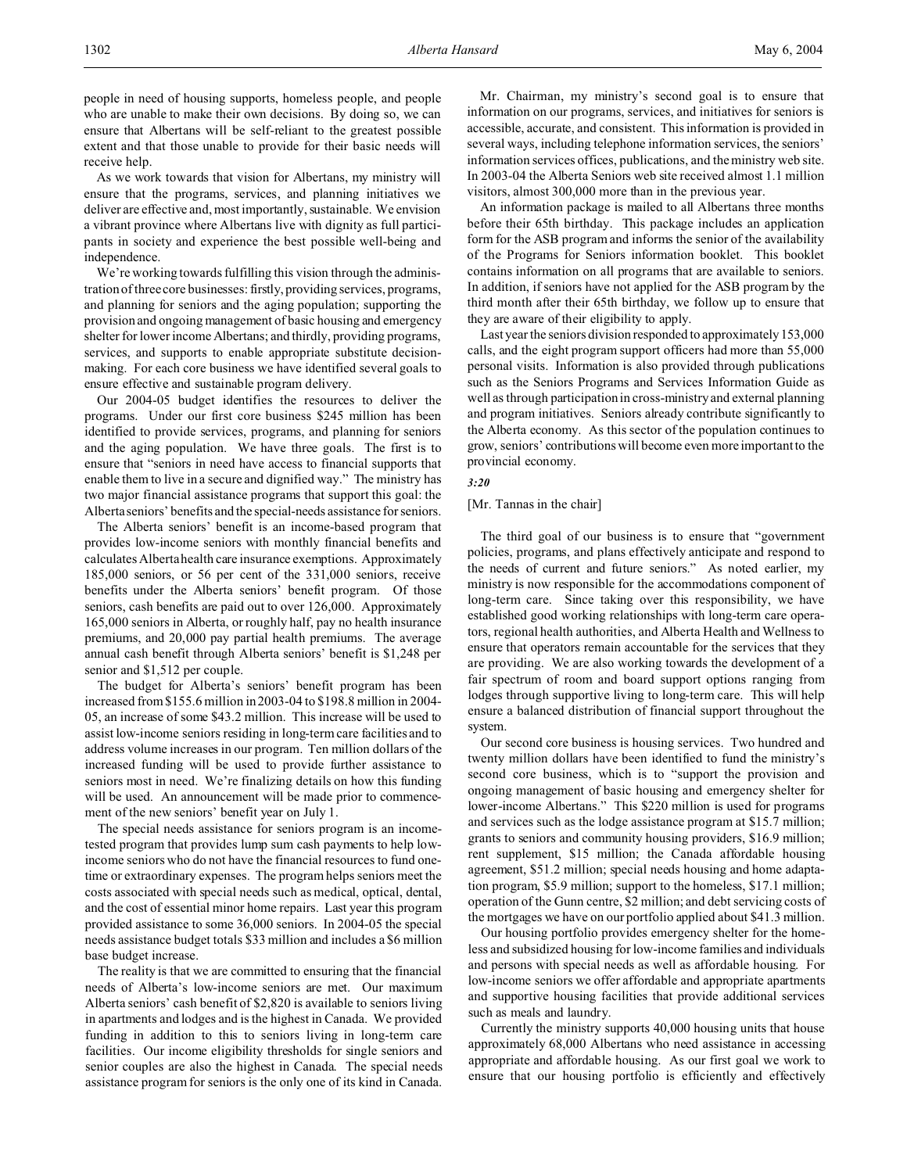people in need of housing supports, homeless people, and people who are unable to make their own decisions. By doing so, we can ensure that Albertans will be self-reliant to the greatest possible extent and that those unable to provide for their basic needs will receive help.

As we work towards that vision for Albertans, my ministry will ensure that the programs, services, and planning initiatives we deliver are effective and, most importantly, sustainable. We envision a vibrant province where Albertans live with dignity as full participants in society and experience the best possible well-being and independence.

We're working towards fulfilling this vision through the administration of three core businesses: firstly, providing services, programs, and planning for seniors and the aging population; supporting the provision and ongoing management of basic housing and emergency shelter for lower income Albertans; and thirdly, providing programs, services, and supports to enable appropriate substitute decisionmaking. For each core business we have identified several goals to ensure effective and sustainable program delivery.

Our 2004-05 budget identifies the resources to deliver the programs. Under our first core business \$245 million has been identified to provide services, programs, and planning for seniors and the aging population. We have three goals. The first is to ensure that "seniors in need have access to financial supports that enable them to live in a secure and dignified way." The ministry has two major financial assistance programs that support this goal: the Alberta seniors' benefits and the special-needs assistance for seniors.

The Alberta seniors' benefit is an income-based program that provides low-income seniors with monthly financial benefits and calculates Alberta health care insurance exemptions. Approximately 185,000 seniors, or 56 per cent of the 331,000 seniors, receive benefits under the Alberta seniors' benefit program. Of those seniors, cash benefits are paid out to over 126,000. Approximately 165,000 seniors in Alberta, or roughly half, pay no health insurance premiums, and 20,000 pay partial health premiums. The average annual cash benefit through Alberta seniors' benefit is \$1,248 per senior and \$1,512 per couple.

The budget for Alberta's seniors' benefit program has been increased from \$155.6 million in 2003-04 to \$198.8 million in 2004- 05, an increase of some \$43.2 million. This increase will be used to assist low-income seniors residing in long-term care facilities and to address volume increases in our program. Ten million dollars of the increased funding will be used to provide further assistance to seniors most in need. We're finalizing details on how this funding will be used. An announcement will be made prior to commencement of the new seniors' benefit year on July 1.

The special needs assistance for seniors program is an incometested program that provides lump sum cash payments to help lowincome seniors who do not have the financial resources to fund onetime or extraordinary expenses. The program helps seniors meet the costs associated with special needs such as medical, optical, dental, and the cost of essential minor home repairs. Last year this program provided assistance to some 36,000 seniors. In 2004-05 the special needs assistance budget totals \$33 million and includes a \$6 million base budget increase.

The reality is that we are committed to ensuring that the financial needs of Alberta's low-income seniors are met. Our maximum Alberta seniors' cash benefit of \$2,820 is available to seniors living in apartments and lodges and is the highest in Canada. We provided funding in addition to this to seniors living in long-term care facilities. Our income eligibility thresholds for single seniors and senior couples are also the highest in Canada. The special needs assistance program for seniors is the only one of its kind in Canada.

Mr. Chairman, my ministry's second goal is to ensure that information on our programs, services, and initiatives for seniors is accessible, accurate, and consistent. This information is provided in several ways, including telephone information services, the seniors' information services offices, publications, and the ministry web site. In 2003-04 the Alberta Seniors web site received almost 1.1 million visitors, almost 300,000 more than in the previous year.

An information package is mailed to all Albertans three months before their 65th birthday. This package includes an application form for the ASB program and informs the senior of the availability of the Programs for Seniors information booklet. This booklet contains information on all programs that are available to seniors. In addition, if seniors have not applied for the ASB program by the third month after their 65th birthday, we follow up to ensure that they are aware of their eligibility to apply.

Last year the seniors division responded to approximately 153,000 calls, and the eight program support officers had more than 55,000 personal visits. Information is also provided through publications such as the Seniors Programs and Services Information Guide as well as through participation in cross-ministry and external planning and program initiatives. Seniors already contribute significantly to the Alberta economy. As this sector of the population continues to grow, seniors' contributions will become even more important to the provincial economy.

#### *3:20*

### [Mr. Tannas in the chair]

The third goal of our business is to ensure that "government policies, programs, and plans effectively anticipate and respond to the needs of current and future seniors." As noted earlier, my ministry is now responsible for the accommodations component of long-term care. Since taking over this responsibility, we have established good working relationships with long-term care operators, regional health authorities, and Alberta Health and Wellness to ensure that operators remain accountable for the services that they are providing. We are also working towards the development of a fair spectrum of room and board support options ranging from lodges through supportive living to long-term care. This will help ensure a balanced distribution of financial support throughout the system.

Our second core business is housing services. Two hundred and twenty million dollars have been identified to fund the ministry's second core business, which is to "support the provision and ongoing management of basic housing and emergency shelter for lower-income Albertans." This \$220 million is used for programs and services such as the lodge assistance program at \$15.7 million; grants to seniors and community housing providers, \$16.9 million; rent supplement, \$15 million; the Canada affordable housing agreement, \$51.2 million; special needs housing and home adaptation program, \$5.9 million; support to the homeless, \$17.1 million; operation of the Gunn centre, \$2 million; and debt servicing costs of the mortgages we have on our portfolio applied about \$41.3 million.

Our housing portfolio provides emergency shelter for the homeless and subsidized housing for low-income families and individuals and persons with special needs as well as affordable housing. For low-income seniors we offer affordable and appropriate apartments and supportive housing facilities that provide additional services such as meals and laundry.

Currently the ministry supports 40,000 housing units that house approximately 68,000 Albertans who need assistance in accessing appropriate and affordable housing. As our first goal we work to ensure that our housing portfolio is efficiently and effectively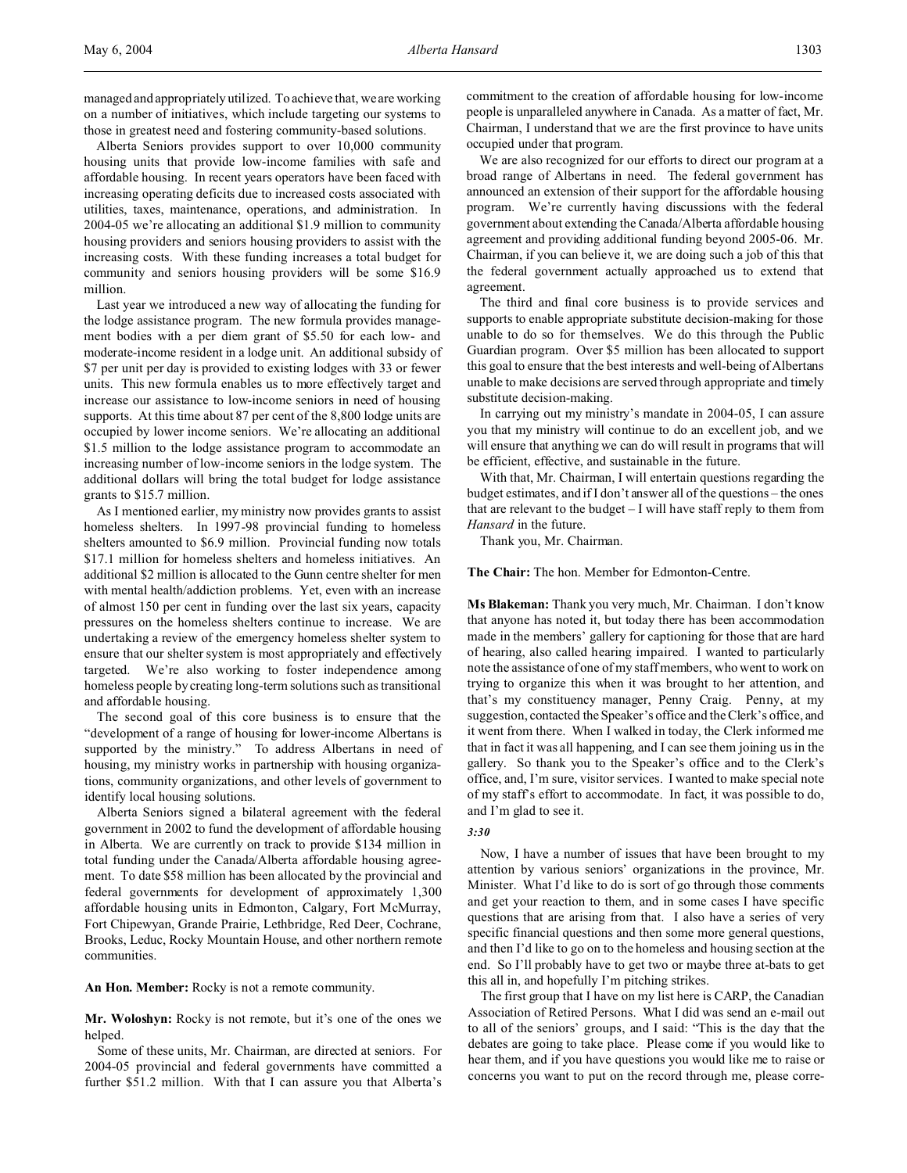managed and appropriately utilized. To achieve that, we are working on a number of initiatives, which include targeting our systems to those in greatest need and fostering community-based solutions.

Alberta Seniors provides support to over 10,000 community housing units that provide low-income families with safe and affordable housing. In recent years operators have been faced with increasing operating deficits due to increased costs associated with utilities, taxes, maintenance, operations, and administration. In 2004-05 we're allocating an additional \$1.9 million to community housing providers and seniors housing providers to assist with the increasing costs. With these funding increases a total budget for community and seniors housing providers will be some \$16.9 million.

Last year we introduced a new way of allocating the funding for the lodge assistance program. The new formula provides management bodies with a per diem grant of \$5.50 for each low- and moderate-income resident in a lodge unit. An additional subsidy of \$7 per unit per day is provided to existing lodges with 33 or fewer units. This new formula enables us to more effectively target and increase our assistance to low-income seniors in need of housing supports. At this time about 87 per cent of the 8,800 lodge units are occupied by lower income seniors. We're allocating an additional \$1.5 million to the lodge assistance program to accommodate an increasing number of low-income seniors in the lodge system. The additional dollars will bring the total budget for lodge assistance grants to \$15.7 million.

As I mentioned earlier, my ministry now provides grants to assist homeless shelters. In 1997-98 provincial funding to homeless shelters amounted to \$6.9 million. Provincial funding now totals \$17.1 million for homeless shelters and homeless initiatives. An additional \$2 million is allocated to the Gunn centre shelter for men with mental health/addiction problems. Yet, even with an increase of almost 150 per cent in funding over the last six years, capacity pressures on the homeless shelters continue to increase. We are undertaking a review of the emergency homeless shelter system to ensure that our shelter system is most appropriately and effectively targeted. We're also working to foster independence among homeless people by creating long-term solutions such as transitional and affordable housing.

The second goal of this core business is to ensure that the "development of a range of housing for lower-income Albertans is supported by the ministry." To address Albertans in need of housing, my ministry works in partnership with housing organizations, community organizations, and other levels of government to identify local housing solutions.

Alberta Seniors signed a bilateral agreement with the federal government in 2002 to fund the development of affordable housing in Alberta. We are currently on track to provide \$134 million in total funding under the Canada/Alberta affordable housing agreement. To date \$58 million has been allocated by the provincial and federal governments for development of approximately 1,300 affordable housing units in Edmonton, Calgary, Fort McMurray, Fort Chipewyan, Grande Prairie, Lethbridge, Red Deer, Cochrane, Brooks, Leduc, Rocky Mountain House, and other northern remote communities.

**An Hon. Member:** Rocky is not a remote community.

**Mr. Woloshyn:** Rocky is not remote, but it's one of the ones we helped.

Some of these units, Mr. Chairman, are directed at seniors. For 2004-05 provincial and federal governments have committed a further \$51.2 million. With that I can assure you that Alberta's commitment to the creation of affordable housing for low-income people is unparalleled anywhere in Canada. As a matter of fact, Mr. Chairman, I understand that we are the first province to have units occupied under that program.

We are also recognized for our efforts to direct our program at a broad range of Albertans in need. The federal government has announced an extension of their support for the affordable housing program. We're currently having discussions with the federal government about extending the Canada/Alberta affordable housing agreement and providing additional funding beyond 2005-06. Mr. Chairman, if you can believe it, we are doing such a job of this that the federal government actually approached us to extend that agreement.

The third and final core business is to provide services and supports to enable appropriate substitute decision-making for those unable to do so for themselves. We do this through the Public Guardian program. Over \$5 million has been allocated to support this goal to ensure that the best interests and well-being of Albertans unable to make decisions are served through appropriate and timely substitute decision-making.

In carrying out my ministry's mandate in 2004-05, I can assure you that my ministry will continue to do an excellent job, and we will ensure that anything we can do will result in programs that will be efficient, effective, and sustainable in the future.

With that, Mr. Chairman, I will entertain questions regarding the budget estimates, and if I don't answer all of the questions – the ones that are relevant to the budget – I will have staff reply to them from *Hansard* in the future.

Thank you, Mr. Chairman.

**The Chair:** The hon. Member for Edmonton-Centre.

**Ms Blakeman:** Thank you very much, Mr. Chairman. I don't know that anyone has noted it, but today there has been accommodation made in the members' gallery for captioning for those that are hard of hearing, also called hearing impaired. I wanted to particularly note the assistance of one of my staff members, who went to work on trying to organize this when it was brought to her attention, and that's my constituency manager, Penny Craig. Penny, at my suggestion, contacted the Speaker's office and the Clerk's office, and it went from there. When I walked in today, the Clerk informed me that in fact it was all happening, and I can see them joining us in the gallery. So thank you to the Speaker's office and to the Clerk's office, and, I'm sure, visitor services. I wanted to make special note of my staff's effort to accommodate. In fact, it was possible to do, and I'm glad to see it.

### *3:30*

Now, I have a number of issues that have been brought to my attention by various seniors' organizations in the province, Mr. Minister. What I'd like to do is sort of go through those comments and get your reaction to them, and in some cases I have specific questions that are arising from that. I also have a series of very specific financial questions and then some more general questions, and then I'd like to go on to the homeless and housing section at the end. So I'll probably have to get two or maybe three at-bats to get this all in, and hopefully I'm pitching strikes.

The first group that I have on my list here is CARP, the Canadian Association of Retired Persons. What I did was send an e-mail out to all of the seniors' groups, and I said: "This is the day that the debates are going to take place. Please come if you would like to hear them, and if you have questions you would like me to raise or concerns you want to put on the record through me, please corre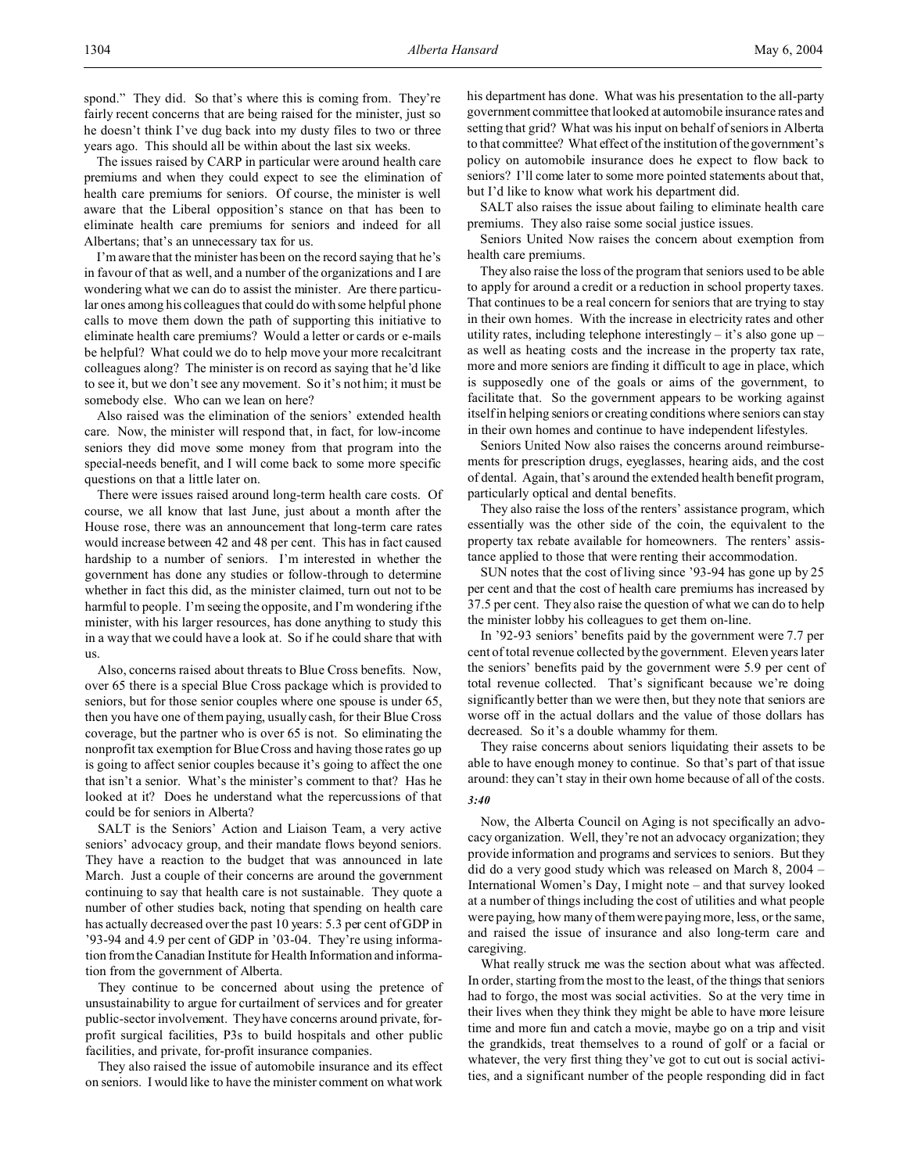spond." They did. So that's where this is coming from. They're fairly recent concerns that are being raised for the minister, just so he doesn't think I've dug back into my dusty files to two or three years ago. This should all be within about the last six weeks.

The issues raised by CARP in particular were around health care premiums and when they could expect to see the elimination of health care premiums for seniors. Of course, the minister is well aware that the Liberal opposition's stance on that has been to eliminate health care premiums for seniors and indeed for all Albertans; that's an unnecessary tax for us.

I'm aware that the minister has been on the record saying that he's in favour of that as well, and a number of the organizations and I are wondering what we can do to assist the minister. Are there particular ones among his colleagues that could do with some helpful phone calls to move them down the path of supporting this initiative to eliminate health care premiums? Would a letter or cards or e-mails be helpful? What could we do to help move your more recalcitrant colleagues along? The minister is on record as saying that he'd like to see it, but we don't see any movement. So it's not him; it must be somebody else. Who can we lean on here?

Also raised was the elimination of the seniors' extended health care. Now, the minister will respond that, in fact, for low-income seniors they did move some money from that program into the special-needs benefit, and I will come back to some more specific questions on that a little later on.

There were issues raised around long-term health care costs. Of course, we all know that last June, just about a month after the House rose, there was an announcement that long-term care rates would increase between 42 and 48 per cent. This has in fact caused hardship to a number of seniors. I'm interested in whether the government has done any studies or follow-through to determine whether in fact this did, as the minister claimed, turn out not to be harmful to people. I'm seeing the opposite, and I'm wondering if the minister, with his larger resources, has done anything to study this in a way that we could have a look at. So if he could share that with us.

Also, concerns raised about threats to Blue Cross benefits. Now, over 65 there is a special Blue Cross package which is provided to seniors, but for those senior couples where one spouse is under 65, then you have one of them paying, usually cash, for their Blue Cross coverage, but the partner who is over 65 is not. So eliminating the nonprofit tax exemption for Blue Cross and having those rates go up is going to affect senior couples because it's going to affect the one that isn't a senior. What's the minister's comment to that? Has he looked at it? Does he understand what the repercussions of that could be for seniors in Alberta?

SALT is the Seniors' Action and Liaison Team, a very active seniors' advocacy group, and their mandate flows beyond seniors. They have a reaction to the budget that was announced in late March. Just a couple of their concerns are around the government continuing to say that health care is not sustainable. They quote a number of other studies back, noting that spending on health care has actually decreased over the past 10 years: 5.3 per cent of GDP in '93-94 and 4.9 per cent of GDP in '03-04. They're using information from the Canadian Institute for Health Information and information from the government of Alberta.

They continue to be concerned about using the pretence of unsustainability to argue for curtailment of services and for greater public-sector involvement. They have concerns around private, forprofit surgical facilities, P3s to build hospitals and other public facilities, and private, for-profit insurance companies.

They also raised the issue of automobile insurance and its effect on seniors. I would like to have the minister comment on what work his department has done. What was his presentation to the all-party government committee that looked at automobile insurance rates and setting that grid? What was his input on behalf of seniors in Alberta to that committee? What effect of the institution of the government's policy on automobile insurance does he expect to flow back to seniors? I'll come later to some more pointed statements about that, but I'd like to know what work his department did.

SALT also raises the issue about failing to eliminate health care premiums. They also raise some social justice issues.

Seniors United Now raises the concern about exemption from health care premiums.

They also raise the loss of the program that seniors used to be able to apply for around a credit or a reduction in school property taxes. That continues to be a real concern for seniors that are trying to stay in their own homes. With the increase in electricity rates and other utility rates, including telephone interestingly  $-$  it's also gone up  $$ as well as heating costs and the increase in the property tax rate, more and more seniors are finding it difficult to age in place, which is supposedly one of the goals or aims of the government, to facilitate that. So the government appears to be working against itself in helping seniors or creating conditions where seniors can stay in their own homes and continue to have independent lifestyles.

Seniors United Now also raises the concerns around reimbursements for prescription drugs, eyeglasses, hearing aids, and the cost of dental. Again, that's around the extended health benefit program, particularly optical and dental benefits.

They also raise the loss of the renters' assistance program, which essentially was the other side of the coin, the equivalent to the property tax rebate available for homeowners. The renters' assistance applied to those that were renting their accommodation.

SUN notes that the cost of living since '93-94 has gone up by 25 per cent and that the cost of health care premiums has increased by 37.5 per cent. They also raise the question of what we can do to help the minister lobby his colleagues to get them on-line.

In '92-93 seniors' benefits paid by the government were 7.7 per cent of total revenue collected by the government. Eleven years later the seniors' benefits paid by the government were 5.9 per cent of total revenue collected. That's significant because we're doing significantly better than we were then, but they note that seniors are worse off in the actual dollars and the value of those dollars has decreased. So it's a double whammy for them.

They raise concerns about seniors liquidating their assets to be able to have enough money to continue. So that's part of that issue around: they can't stay in their own home because of all of the costs.

# *3:40*

Now, the Alberta Council on Aging is not specifically an advocacy organization. Well, they're not an advocacy organization; they provide information and programs and services to seniors. But they did do a very good study which was released on March 8, 2004 – International Women's Day, I might note – and that survey looked at a number of things including the cost of utilities and what people were paying, how many of them were paying more, less, or the same, and raised the issue of insurance and also long-term care and caregiving.

What really struck me was the section about what was affected. In order, starting from the most to the least, of the things that seniors had to forgo, the most was social activities. So at the very time in their lives when they think they might be able to have more leisure time and more fun and catch a movie, maybe go on a trip and visit the grandkids, treat themselves to a round of golf or a facial or whatever, the very first thing they've got to cut out is social activities, and a significant number of the people responding did in fact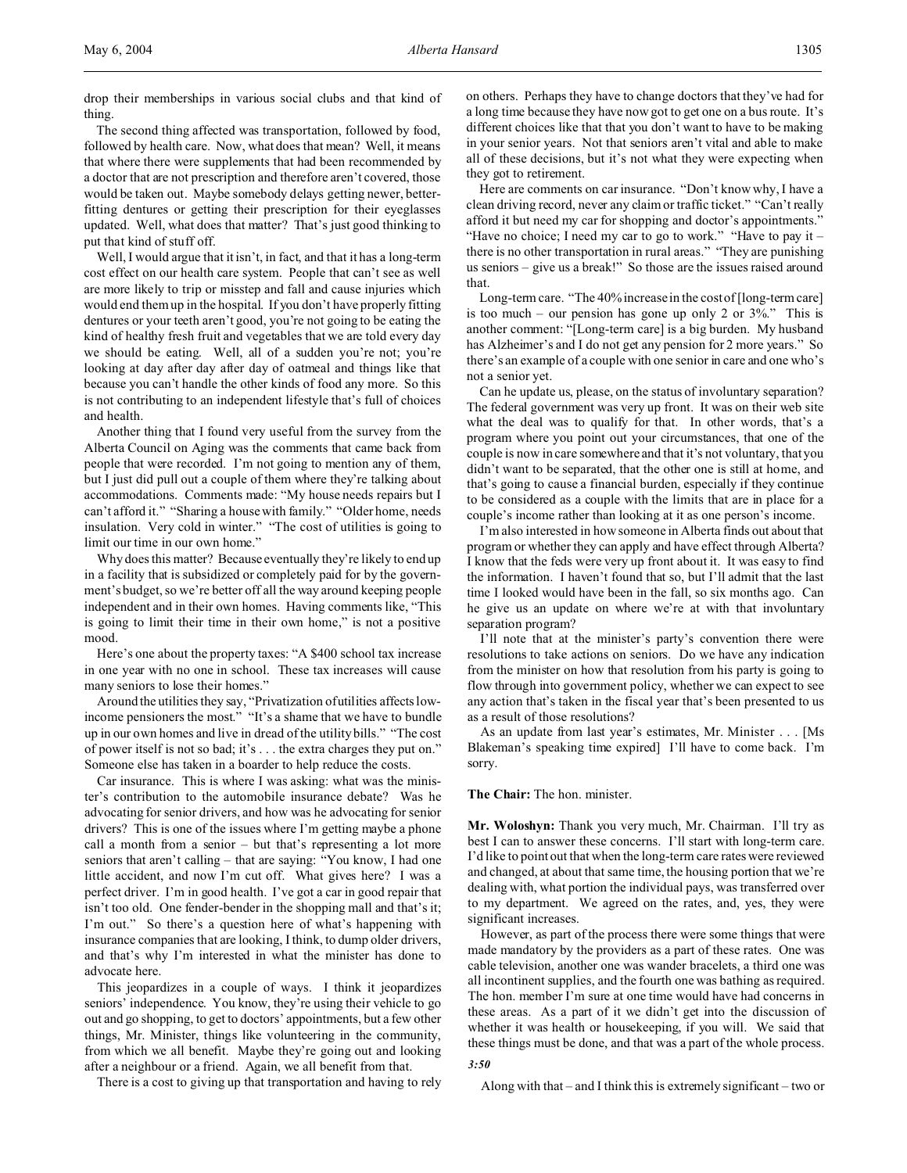drop their memberships in various social clubs and that kind of thing.

The second thing affected was transportation, followed by food, followed by health care. Now, what does that mean? Well, it means that where there were supplements that had been recommended by a doctor that are not prescription and therefore aren't covered, those would be taken out. Maybe somebody delays getting newer, betterfitting dentures or getting their prescription for their eyeglasses updated. Well, what does that matter? That's just good thinking to put that kind of stuff off.

Well, I would argue that it isn't, in fact, and that it has a long-term cost effect on our health care system. People that can't see as well are more likely to trip or misstep and fall and cause injuries which would end them up in the hospital. If you don't have properly fitting dentures or your teeth aren't good, you're not going to be eating the kind of healthy fresh fruit and vegetables that we are told every day we should be eating. Well, all of a sudden you're not; you're looking at day after day after day of oatmeal and things like that because you can't handle the other kinds of food any more. So this is not contributing to an independent lifestyle that's full of choices and health.

Another thing that I found very useful from the survey from the Alberta Council on Aging was the comments that came back from people that were recorded. I'm not going to mention any of them, but I just did pull out a couple of them where they're talking about accommodations. Comments made: "My house needs repairs but I can't afford it." "Sharing a house with family." "Older home, needs insulation. Very cold in winter." "The cost of utilities is going to limit our time in our own home."

Why does this matter? Because eventually they're likely to end up in a facility that is subsidized or completely paid for by the government's budget, so we're better off all the way around keeping people independent and in their own homes. Having comments like, "This is going to limit their time in their own home," is not a positive mood.

Here's one about the property taxes: "A \$400 school tax increase in one year with no one in school. These tax increases will cause many seniors to lose their homes."

Around the utilities they say, "Privatization of utilities affects lowincome pensioners the most." "It's a shame that we have to bundle up in our own homes and live in dread of the utility bills." "The cost of power itself is not so bad; it's . . . the extra charges they put on." Someone else has taken in a boarder to help reduce the costs.

Car insurance. This is where I was asking: what was the minister's contribution to the automobile insurance debate? Was he advocating for senior drivers, and how was he advocating for senior drivers? This is one of the issues where I'm getting maybe a phone call a month from a senior – but that's representing a lot more seniors that aren't calling – that are saying: "You know, I had one little accident, and now I'm cut off. What gives here? I was a perfect driver. I'm in good health. I've got a car in good repair that isn't too old. One fender-bender in the shopping mall and that's it; I'm out." So there's a question here of what's happening with insurance companies that are looking, I think, to dump older drivers, and that's why I'm interested in what the minister has done to advocate here.

This jeopardizes in a couple of ways. I think it jeopardizes seniors' independence. You know, they're using their vehicle to go out and go shopping, to get to doctors' appointments, but a few other things, Mr. Minister, things like volunteering in the community, from which we all benefit. Maybe they're going out and looking after a neighbour or a friend. Again, we all benefit from that.

There is a cost to giving up that transportation and having to rely

on others. Perhaps they have to change doctors that they've had for a long time because they have now got to get one on a bus route. It's different choices like that that you don't want to have to be making in your senior years. Not that seniors aren't vital and able to make all of these decisions, but it's not what they were expecting when they got to retirement.

Here are comments on car insurance. "Don't know why, I have a clean driving record, never any claim or traffic ticket." "Can't really afford it but need my car for shopping and doctor's appointments." "Have no choice; I need my car to go to work." "Have to pay it there is no other transportation in rural areas." "They are punishing us seniors – give us a break!" So those are the issues raised around that.

Long-term care. "The 40% increase in the cost of [long-term care] is too much – our pension has gone up only 2 or 3%." This is another comment: "[Long-term care] is a big burden. My husband has Alzheimer's and I do not get any pension for 2 more years." So there's an example of a couple with one senior in care and one who's not a senior yet.

Can he update us, please, on the status of involuntary separation? The federal government was very up front. It was on their web site what the deal was to qualify for that. In other words, that's a program where you point out your circumstances, that one of the couple is now in care somewhere and that it's not voluntary, that you didn't want to be separated, that the other one is still at home, and that's going to cause a financial burden, especially if they continue to be considered as a couple with the limits that are in place for a couple's income rather than looking at it as one person's income.

I'm also interested in how someone in Alberta finds out about that program or whether they can apply and have effect through Alberta? I know that the feds were very up front about it. It was easy to find the information. I haven't found that so, but I'll admit that the last time I looked would have been in the fall, so six months ago. Can he give us an update on where we're at with that involuntary separation program?

I'll note that at the minister's party's convention there were resolutions to take actions on seniors. Do we have any indication from the minister on how that resolution from his party is going to flow through into government policy, whether we can expect to see any action that's taken in the fiscal year that's been presented to us as a result of those resolutions?

As an update from last year's estimates, Mr. Minister . . . [Ms Blakeman's speaking time expired] I'll have to come back. I'm sorry.

# **The Chair:** The hon. minister.

**Mr. Woloshyn:** Thank you very much, Mr. Chairman. I'll try as best I can to answer these concerns. I'll start with long-term care. I'd like to point out that when the long-term care rates were reviewed and changed, at about that same time, the housing portion that we're dealing with, what portion the individual pays, was transferred over to my department. We agreed on the rates, and, yes, they were significant increases.

However, as part of the process there were some things that were made mandatory by the providers as a part of these rates. One was cable television, another one was wander bracelets, a third one was all incontinent supplies, and the fourth one was bathing as required. The hon. member I'm sure at one time would have had concerns in these areas. As a part of it we didn't get into the discussion of whether it was health or housekeeping, if you will. We said that these things must be done, and that was a part of the whole process.

*3:50*

Along with that – and I think this is extremely significant – two or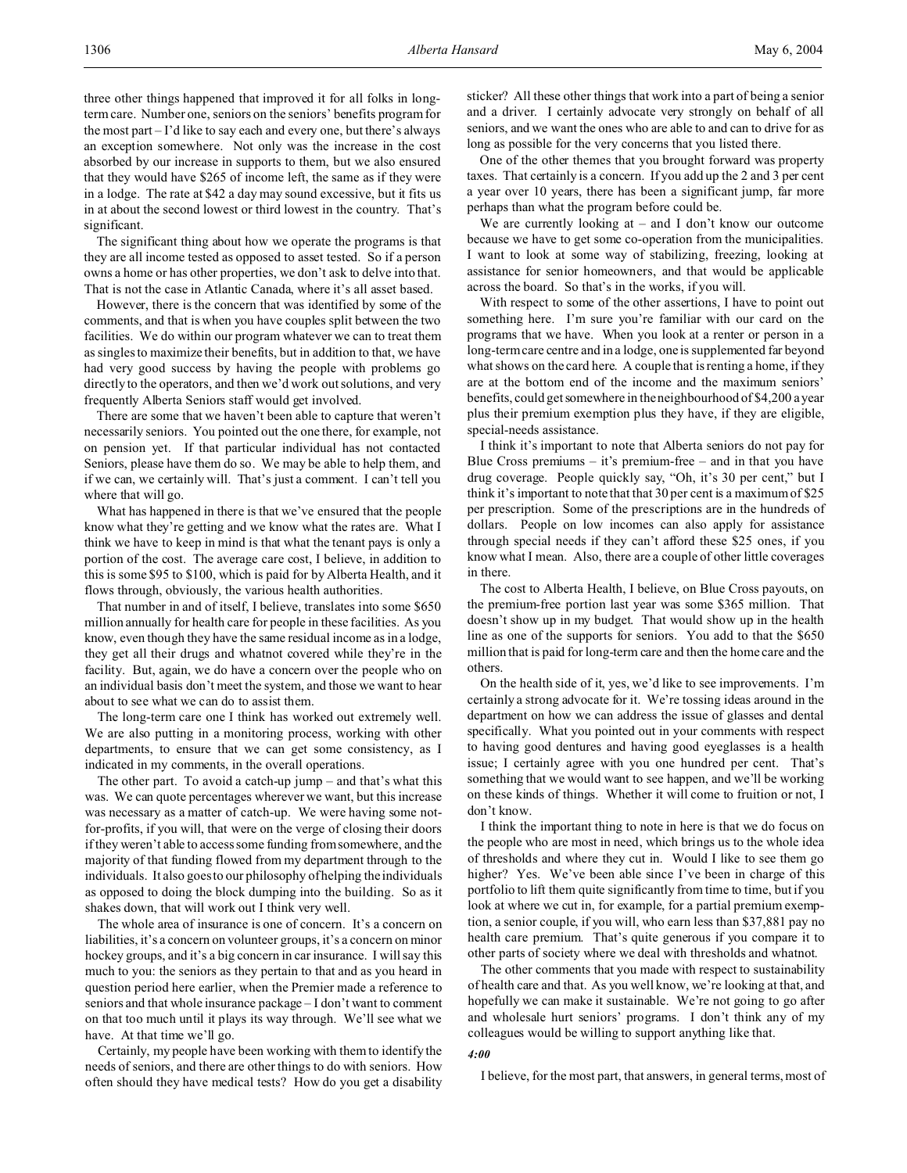three other things happened that improved it for all folks in longterm care. Number one, seniors on the seniors' benefits program for the most part – I'd like to say each and every one, but there's always an exception somewhere. Not only was the increase in the cost absorbed by our increase in supports to them, but we also ensured that they would have \$265 of income left, the same as if they were in a lodge. The rate at \$42 a day may sound excessive, but it fits us in at about the second lowest or third lowest in the country. That's significant.

The significant thing about how we operate the programs is that they are all income tested as opposed to asset tested. So if a person owns a home or has other properties, we don't ask to delve into that. That is not the case in Atlantic Canada, where it's all asset based.

However, there is the concern that was identified by some of the comments, and that is when you have couples split between the two facilities. We do within our program whatever we can to treat them as singles to maximize their benefits, but in addition to that, we have had very good success by having the people with problems go directly to the operators, and then we'd work out solutions, and very frequently Alberta Seniors staff would get involved.

There are some that we haven't been able to capture that weren't necessarily seniors. You pointed out the one there, for example, not on pension yet. If that particular individual has not contacted Seniors, please have them do so. We may be able to help them, and if we can, we certainly will. That's just a comment. I can't tell you where that will go.

What has happened in there is that we've ensured that the people know what they're getting and we know what the rates are. What I think we have to keep in mind is that what the tenant pays is only a portion of the cost. The average care cost, I believe, in addition to this is some \$95 to \$100, which is paid for by Alberta Health, and it flows through, obviously, the various health authorities.

That number in and of itself, I believe, translates into some \$650 million annually for health care for people in these facilities. As you know, even though they have the same residual income as in a lodge, they get all their drugs and whatnot covered while they're in the facility. But, again, we do have a concern over the people who on an individual basis don't meet the system, and those we want to hear about to see what we can do to assist them.

The long-term care one I think has worked out extremely well. We are also putting in a monitoring process, working with other departments, to ensure that we can get some consistency, as I indicated in my comments, in the overall operations.

The other part. To avoid a catch-up jump – and that's what this was. We can quote percentages wherever we want, but this increase was necessary as a matter of catch-up. We were having some notfor-profits, if you will, that were on the verge of closing their doors if they weren't able to access some funding from somewhere, and the majority of that funding flowed from my department through to the individuals. It also goes to our philosophy of helping the individuals as opposed to doing the block dumping into the building. So as it shakes down, that will work out I think very well.

The whole area of insurance is one of concern. It's a concern on liabilities, it's a concern on volunteer groups, it's a concern on minor hockey groups, and it's a big concern in car insurance. I will say this much to you: the seniors as they pertain to that and as you heard in question period here earlier, when the Premier made a reference to seniors and that whole insurance package – I don't want to comment on that too much until it plays its way through. We'll see what we have. At that time we'll go.

Certainly, my people have been working with them to identify the needs of seniors, and there are other things to do with seniors. How often should they have medical tests? How do you get a disability

sticker? All these other things that work into a part of being a senior and a driver. I certainly advocate very strongly on behalf of all seniors, and we want the ones who are able to and can to drive for as long as possible for the very concerns that you listed there.

One of the other themes that you brought forward was property taxes. That certainly is a concern. If you add up the 2 and 3 per cent a year over 10 years, there has been a significant jump, far more perhaps than what the program before could be.

We are currently looking at  $-$  and I don't know our outcome because we have to get some co-operation from the municipalities. I want to look at some way of stabilizing, freezing, looking at assistance for senior homeowners, and that would be applicable across the board. So that's in the works, if you will.

With respect to some of the other assertions, I have to point out something here. I'm sure you're familiar with our card on the programs that we have. When you look at a renter or person in a long-term care centre and in a lodge, one is supplemented far beyond what shows on the card here. A couple that is renting a home, if they are at the bottom end of the income and the maximum seniors' benefits, could get somewhere in the neighbourhood of \$4,200 a year plus their premium exemption plus they have, if they are eligible, special-needs assistance.

I think it's important to note that Alberta seniors do not pay for Blue Cross premiums  $-$  it's premium-free  $-$  and in that you have drug coverage. People quickly say, "Oh, it's 30 per cent," but I think it's important to note that that 30 per cent is a maximum of \$25 per prescription. Some of the prescriptions are in the hundreds of dollars. People on low incomes can also apply for assistance through special needs if they can't afford these \$25 ones, if you know what I mean. Also, there are a couple of other little coverages in there.

The cost to Alberta Health, I believe, on Blue Cross payouts, on the premium-free portion last year was some \$365 million. That doesn't show up in my budget. That would show up in the health line as one of the supports for seniors. You add to that the \$650 million that is paid for long-term care and then the home care and the others.

On the health side of it, yes, we'd like to see improvements. I'm certainly a strong advocate for it. We're tossing ideas around in the department on how we can address the issue of glasses and dental specifically. What you pointed out in your comments with respect to having good dentures and having good eyeglasses is a health issue; I certainly agree with you one hundred per cent. That's something that we would want to see happen, and we'll be working on these kinds of things. Whether it will come to fruition or not, I don't know.

I think the important thing to note in here is that we do focus on the people who are most in need, which brings us to the whole idea of thresholds and where they cut in. Would I like to see them go higher? Yes. We've been able since I've been in charge of this portfolio to lift them quite significantly from time to time, but if you look at where we cut in, for example, for a partial premium exemption, a senior couple, if you will, who earn less than \$37,881 pay no health care premium. That's quite generous if you compare it to other parts of society where we deal with thresholds and whatnot.

The other comments that you made with respect to sustainability of health care and that. As you well know, we're looking at that, and hopefully we can make it sustainable. We're not going to go after and wholesale hurt seniors' programs. I don't think any of my colleagues would be willing to support anything like that.

#### *4:00*

I believe, for the most part, that answers, in general terms, most of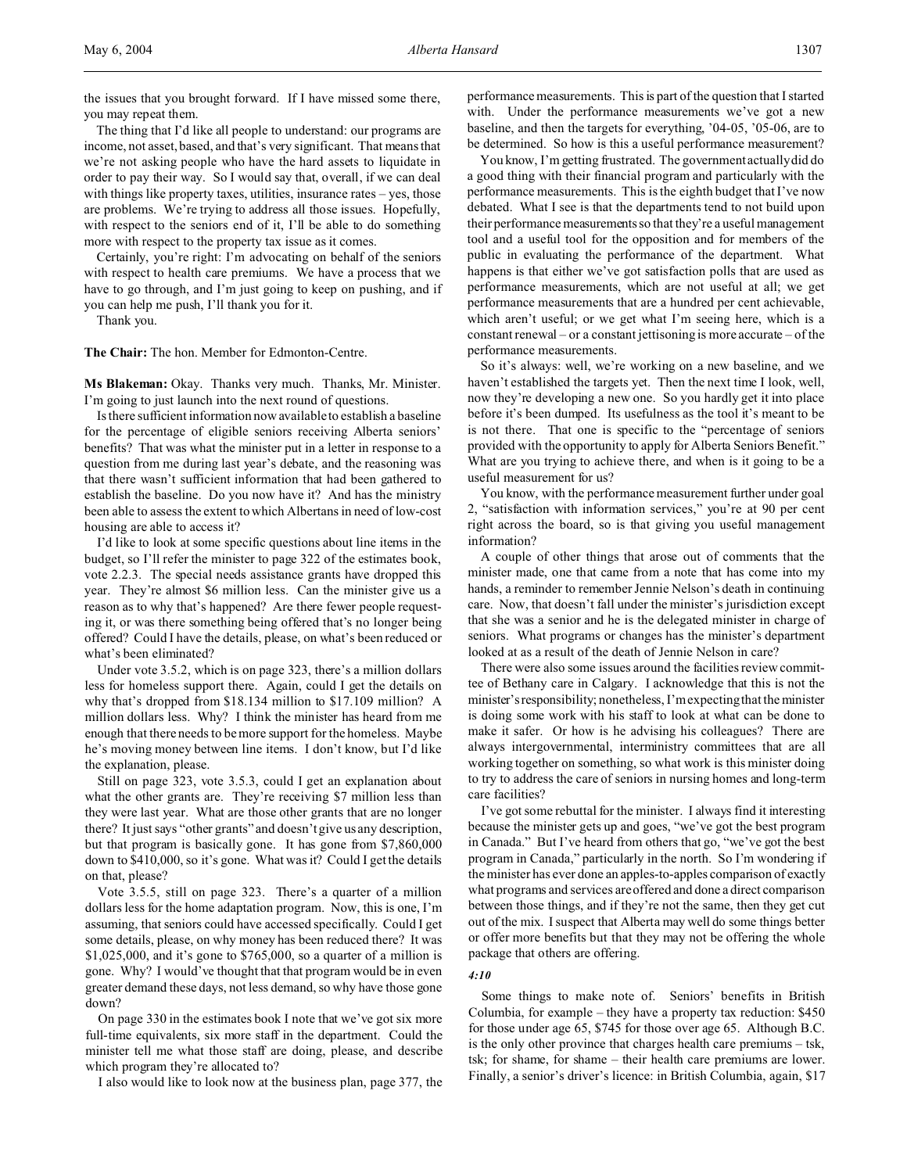the issues that you brought forward. If I have missed some there, you may repeat them.

The thing that I'd like all people to understand: our programs are income, not asset, based, and that's very significant. That means that we're not asking people who have the hard assets to liquidate in order to pay their way. So I would say that, overall, if we can deal with things like property taxes, utilities, insurance rates – yes, those are problems. We're trying to address all those issues. Hopefully, with respect to the seniors end of it, I'll be able to do something more with respect to the property tax issue as it comes.

Certainly, you're right: I'm advocating on behalf of the seniors with respect to health care premiums. We have a process that we have to go through, and I'm just going to keep on pushing, and if you can help me push, I'll thank you for it.

Thank you.

**The Chair:** The hon. Member for Edmonton-Centre.

**Ms Blakeman:** Okay. Thanks very much. Thanks, Mr. Minister. I'm going to just launch into the next round of questions.

Is there sufficient information now available to establish a baseline for the percentage of eligible seniors receiving Alberta seniors' benefits? That was what the minister put in a letter in response to a question from me during last year's debate, and the reasoning was that there wasn't sufficient information that had been gathered to establish the baseline. Do you now have it? And has the ministry been able to assess the extent to which Albertans in need of low-cost housing are able to access it?

I'd like to look at some specific questions about line items in the budget, so I'll refer the minister to page 322 of the estimates book, vote 2.2.3. The special needs assistance grants have dropped this year. They're almost \$6 million less. Can the minister give us a reason as to why that's happened? Are there fewer people requesting it, or was there something being offered that's no longer being offered? Could I have the details, please, on what's been reduced or what's been eliminated?

Under vote 3.5.2, which is on page 323, there's a million dollars less for homeless support there. Again, could I get the details on why that's dropped from \$18.134 million to \$17.109 million? A million dollars less. Why? I think the minister has heard from me enough that there needs to be more support for the homeless. Maybe he's moving money between line items. I don't know, but I'd like the explanation, please.

Still on page 323, vote 3.5.3, could I get an explanation about what the other grants are. They're receiving \$7 million less than they were last year. What are those other grants that are no longer there? It just says "other grants" and doesn't give us any description, but that program is basically gone. It has gone from \$7,860,000 down to \$410,000, so it's gone. What was it? Could I get the details on that, please?

Vote 3.5.5, still on page 323. There's a quarter of a million dollars less for the home adaptation program. Now, this is one, I'm assuming, that seniors could have accessed specifically. Could I get some details, please, on why money has been reduced there? It was \$1,025,000, and it's gone to \$765,000, so a quarter of a million is gone. Why? I would've thought that that program would be in even greater demand these days, not less demand, so why have those gone down?

On page 330 in the estimates book I note that we've got six more full-time equivalents, six more staff in the department. Could the minister tell me what those staff are doing, please, and describe which program they're allocated to?

I also would like to look now at the business plan, page 377, the

performance measurements. This is part of the question that I started with. Under the performance measurements we've got a new baseline, and then the targets for everything, '04-05, '05-06, are to be determined. So how is this a useful performance measurement?

You know, I'm getting frustrated. The government actually did do a good thing with their financial program and particularly with the performance measurements. This is the eighth budget that I've now debated. What I see is that the departments tend to not build upon their performance measurements so that they're a useful management tool and a useful tool for the opposition and for members of the public in evaluating the performance of the department. What happens is that either we've got satisfaction polls that are used as performance measurements, which are not useful at all; we get performance measurements that are a hundred per cent achievable, which aren't useful; or we get what I'm seeing here, which is a constant renewal – or a constant jettisoning is more accurate – of the performance measurements.

So it's always: well, we're working on a new baseline, and we haven't established the targets yet. Then the next time I look, well, now they're developing a new one. So you hardly get it into place before it's been dumped. Its usefulness as the tool it's meant to be is not there. That one is specific to the "percentage of seniors provided with the opportunity to apply for Alberta Seniors Benefit." What are you trying to achieve there, and when is it going to be a useful measurement for us?

You know, with the performance measurement further under goal 2, "satisfaction with information services," you're at 90 per cent right across the board, so is that giving you useful management information?

A couple of other things that arose out of comments that the minister made, one that came from a note that has come into my hands, a reminder to remember Jennie Nelson's death in continuing care. Now, that doesn't fall under the minister's jurisdiction except that she was a senior and he is the delegated minister in charge of seniors. What programs or changes has the minister's department looked at as a result of the death of Jennie Nelson in care?

There were also some issues around the facilities review committee of Bethany care in Calgary. I acknowledge that this is not the minister'sresponsibility; nonetheless, I'm expecting that the minister is doing some work with his staff to look at what can be done to make it safer. Or how is he advising his colleagues? There are always intergovernmental, interministry committees that are all working together on something, so what work is this minister doing to try to address the care of seniors in nursing homes and long-term care facilities?

I've got some rebuttal for the minister. I always find it interesting because the minister gets up and goes, "we've got the best program in Canada." But I've heard from others that go, "we've got the best program in Canada," particularly in the north. So I'm wondering if the minister has ever done an apples-to-apples comparison of exactly what programs and services are offered and done a direct comparison between those things, and if they're not the same, then they get cut out of the mix. I suspect that Alberta may well do some things better or offer more benefits but that they may not be offering the whole package that others are offering.

# *4:10*

Some things to make note of. Seniors' benefits in British Columbia, for example – they have a property tax reduction: \$450 for those under age 65, \$745 for those over age 65. Although B.C. is the only other province that charges health care premiums – tsk, tsk; for shame, for shame – their health care premiums are lower. Finally, a senior's driver's licence: in British Columbia, again, \$17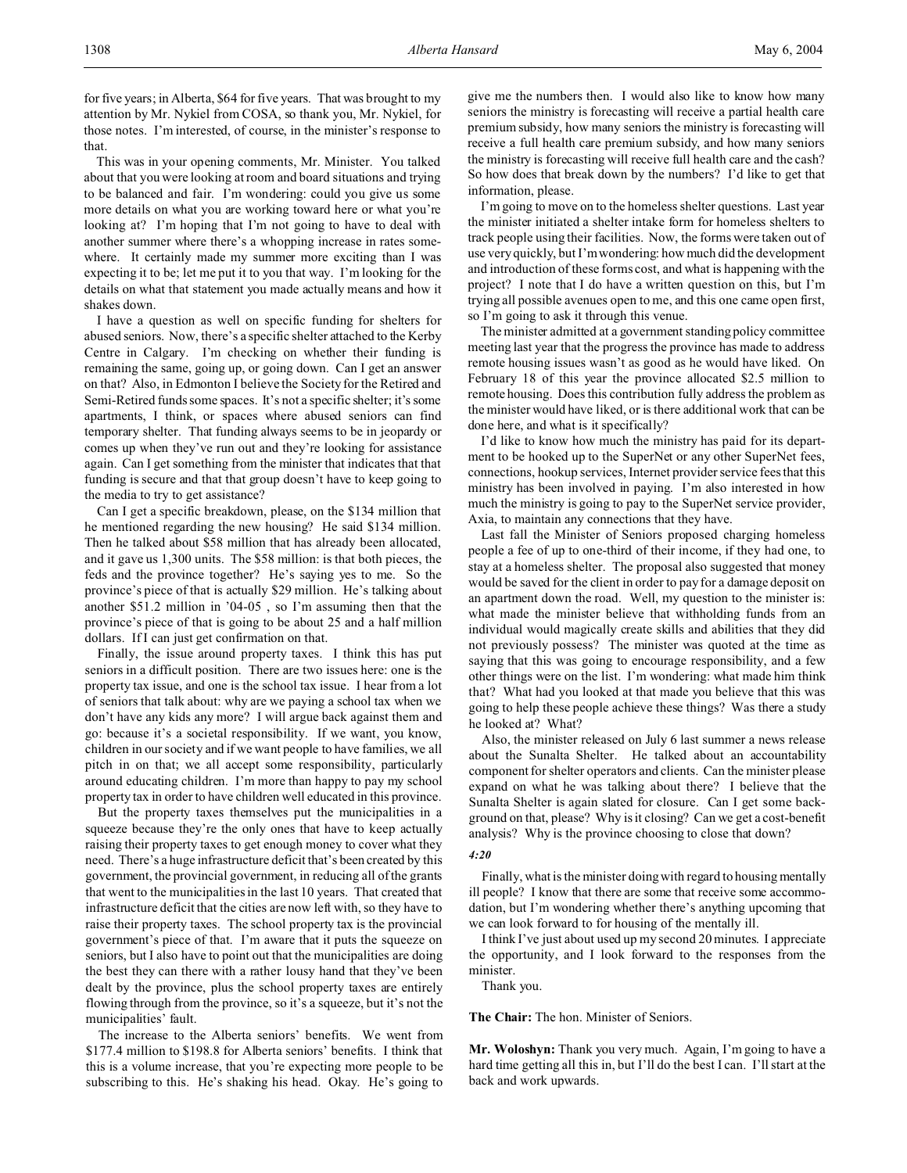This was in your opening comments, Mr. Minister. You talked about that you were looking at room and board situations and trying to be balanced and fair. I'm wondering: could you give us some more details on what you are working toward here or what you're looking at? I'm hoping that I'm not going to have to deal with another summer where there's a whopping increase in rates somewhere. It certainly made my summer more exciting than I was expecting it to be; let me put it to you that way. I'm looking for the details on what that statement you made actually means and how it shakes down.

I have a question as well on specific funding for shelters for abused seniors. Now, there's a specific shelter attached to the Kerby Centre in Calgary. I'm checking on whether their funding is remaining the same, going up, or going down. Can I get an answer on that? Also, in Edmonton I believe the Society for the Retired and Semi-Retired funds some spaces. It's not a specific shelter; it's some apartments, I think, or spaces where abused seniors can find temporary shelter. That funding always seems to be in jeopardy or comes up when they've run out and they're looking for assistance again. Can I get something from the minister that indicates that that funding is secure and that that group doesn't have to keep going to the media to try to get assistance?

Can I get a specific breakdown, please, on the \$134 million that he mentioned regarding the new housing? He said \$134 million. Then he talked about \$58 million that has already been allocated, and it gave us 1,300 units. The \$58 million: is that both pieces, the feds and the province together? He's saying yes to me. So the province's piece of that is actually \$29 million. He's talking about another \$51.2 million in '04-05 , so I'm assuming then that the province's piece of that is going to be about 25 and a half million dollars. If I can just get confirmation on that.

Finally, the issue around property taxes. I think this has put seniors in a difficult position. There are two issues here: one is the property tax issue, and one is the school tax issue. I hear from a lot of seniors that talk about: why are we paying a school tax when we don't have any kids any more? I will argue back against them and go: because it's a societal responsibility. If we want, you know, children in our society and if we want people to have families, we all pitch in on that; we all accept some responsibility, particularly around educating children. I'm more than happy to pay my school property tax in order to have children well educated in this province.

But the property taxes themselves put the municipalities in a squeeze because they're the only ones that have to keep actually raising their property taxes to get enough money to cover what they need. There's a huge infrastructure deficit that's been created by this government, the provincial government, in reducing all of the grants that went to the municipalities in the last 10 years. That created that infrastructure deficit that the cities are now left with, so they have to raise their property taxes. The school property tax is the provincial government's piece of that. I'm aware that it puts the squeeze on seniors, but I also have to point out that the municipalities are doing the best they can there with a rather lousy hand that they've been dealt by the province, plus the school property taxes are entirely flowing through from the province, so it's a squeeze, but it's not the municipalities' fault.

The increase to the Alberta seniors' benefits. We went from \$177.4 million to \$198.8 for Alberta seniors' benefits. I think that this is a volume increase, that you're expecting more people to be subscribing to this. He's shaking his head. Okay. He's going to

give me the numbers then. I would also like to know how many seniors the ministry is forecasting will receive a partial health care premium subsidy, how many seniors the ministry is forecasting will receive a full health care premium subsidy, and how many seniors the ministry is forecasting will receive full health care and the cash? So how does that break down by the numbers? I'd like to get that information, please.

I'm going to move on to the homeless shelter questions. Last year the minister initiated a shelter intake form for homeless shelters to track people using their facilities. Now, the forms were taken out of use very quickly, but I'm wondering: how much did the development and introduction of these forms cost, and what is happening with the project? I note that I do have a written question on this, but I'm trying all possible avenues open to me, and this one came open first, so I'm going to ask it through this venue.

The minister admitted at a government standing policy committee meeting last year that the progress the province has made to address remote housing issues wasn't as good as he would have liked. On February 18 of this year the province allocated \$2.5 million to remote housing. Does this contribution fully address the problem as the minister would have liked, or is there additional work that can be done here, and what is it specifically?

I'd like to know how much the ministry has paid for its department to be hooked up to the SuperNet or any other SuperNet fees, connections, hookup services, Internet provider service fees that this ministry has been involved in paying. I'm also interested in how much the ministry is going to pay to the SuperNet service provider, Axia, to maintain any connections that they have.

Last fall the Minister of Seniors proposed charging homeless people a fee of up to one-third of their income, if they had one, to stay at a homeless shelter. The proposal also suggested that money would be saved for the client in order to pay for a damage deposit on an apartment down the road. Well, my question to the minister is: what made the minister believe that withholding funds from an individual would magically create skills and abilities that they did not previously possess? The minister was quoted at the time as saying that this was going to encourage responsibility, and a few other things were on the list. I'm wondering: what made him think that? What had you looked at that made you believe that this was going to help these people achieve these things? Was there a study he looked at? What?

Also, the minister released on July 6 last summer a news release about the Sunalta Shelter. He talked about an accountability component for shelter operators and clients. Can the minister please expand on what he was talking about there? I believe that the Sunalta Shelter is again slated for closure. Can I get some background on that, please? Why is it closing? Can we get a cost-benefit analysis? Why is the province choosing to close that down?

#### *4:20*

Finally, what is the minister doing with regard to housing mentally ill people? I know that there are some that receive some accommodation, but I'm wondering whether there's anything upcoming that we can look forward to for housing of the mentally ill.

I think I've just about used up my second 20 minutes. I appreciate the opportunity, and I look forward to the responses from the minister.

Thank you.

**The Chair:** The hon. Minister of Seniors.

**Mr. Woloshyn:** Thank you very much. Again, I'm going to have a hard time getting all this in, but I'll do the best I can. I'll start at the back and work upwards.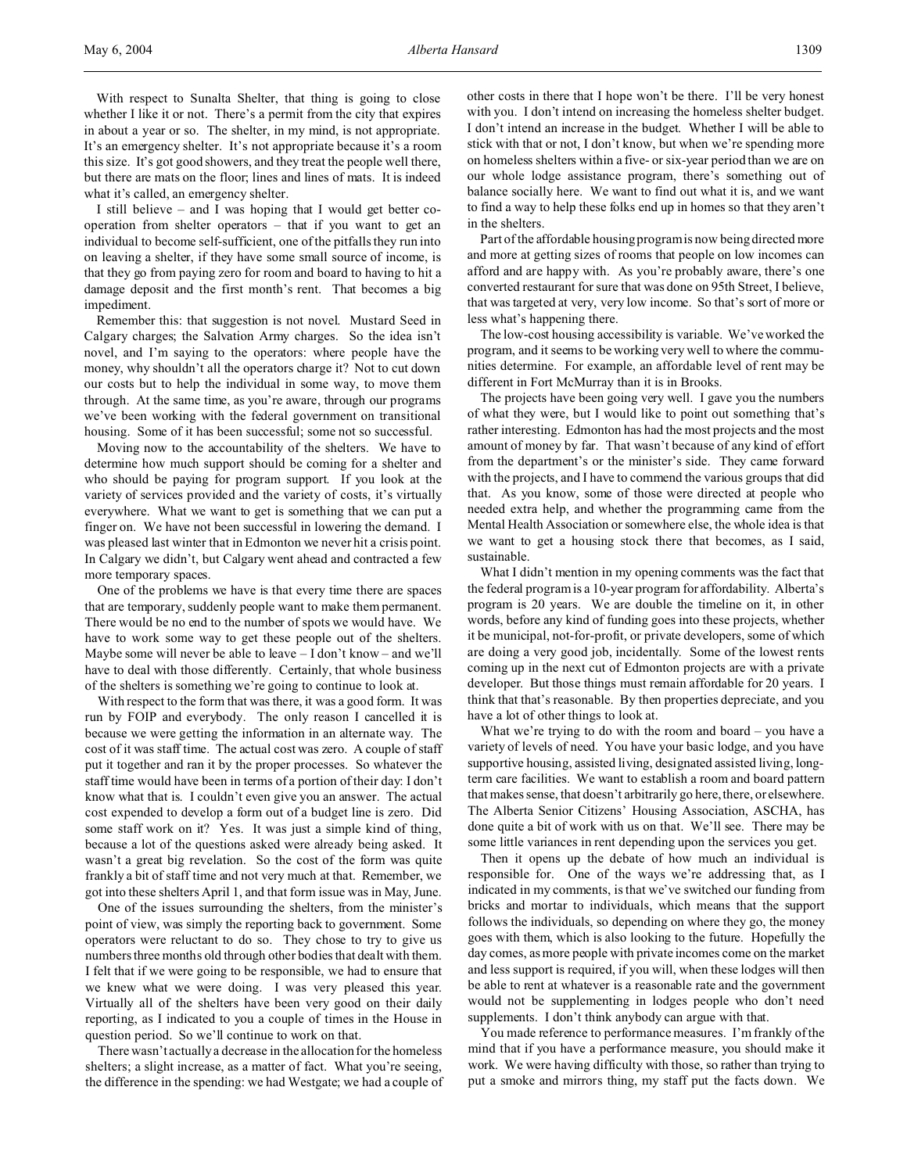With respect to Sunalta Shelter, that thing is going to close whether I like it or not. There's a permit from the city that expires in about a year or so. The shelter, in my mind, is not appropriate. It's an emergency shelter. It's not appropriate because it's a room this size. It's got good showers, and they treat the people well there, but there are mats on the floor; lines and lines of mats. It is indeed what it's called, an emergency shelter.

I still believe – and I was hoping that I would get better cooperation from shelter operators – that if you want to get an individual to become self-sufficient, one of the pitfalls they run into on leaving a shelter, if they have some small source of income, is that they go from paying zero for room and board to having to hit a damage deposit and the first month's rent. That becomes a big impediment.

Remember this: that suggestion is not novel. Mustard Seed in Calgary charges; the Salvation Army charges. So the idea isn't novel, and I'm saying to the operators: where people have the money, why shouldn't all the operators charge it? Not to cut down our costs but to help the individual in some way, to move them through. At the same time, as you're aware, through our programs we've been working with the federal government on transitional housing. Some of it has been successful; some not so successful.

Moving now to the accountability of the shelters. We have to determine how much support should be coming for a shelter and who should be paying for program support. If you look at the variety of services provided and the variety of costs, it's virtually everywhere. What we want to get is something that we can put a finger on. We have not been successful in lowering the demand. I was pleased last winter that in Edmonton we never hit a crisis point. In Calgary we didn't, but Calgary went ahead and contracted a few more temporary spaces.

One of the problems we have is that every time there are spaces that are temporary, suddenly people want to make them permanent. There would be no end to the number of spots we would have. We have to work some way to get these people out of the shelters. Maybe some will never be able to leave – I don't know – and we'll have to deal with those differently. Certainly, that whole business of the shelters is something we're going to continue to look at.

With respect to the form that was there, it was a good form. It was run by FOIP and everybody. The only reason I cancelled it is because we were getting the information in an alternate way. The cost of it was staff time. The actual cost was zero. A couple of staff put it together and ran it by the proper processes. So whatever the staff time would have been in terms of a portion of their day: I don't know what that is. I couldn't even give you an answer. The actual cost expended to develop a form out of a budget line is zero. Did some staff work on it? Yes. It was just a simple kind of thing, because a lot of the questions asked were already being asked. It wasn't a great big revelation. So the cost of the form was quite frankly a bit of staff time and not very much at that. Remember, we got into these shelters April 1, and that form issue was in May, June.

One of the issues surrounding the shelters, from the minister's point of view, was simply the reporting back to government. Some operators were reluctant to do so. They chose to try to give us numbers three months old through other bodies that dealt with them. I felt that if we were going to be responsible, we had to ensure that we knew what we were doing. I was very pleased this year. Virtually all of the shelters have been very good on their daily reporting, as I indicated to you a couple of times in the House in question period. So we'll continue to work on that.

There wasn't actually a decrease in the allocation for the homeless shelters; a slight increase, as a matter of fact. What you're seeing, the difference in the spending: we had Westgate; we had a couple of other costs in there that I hope won't be there. I'll be very honest with you. I don't intend on increasing the homeless shelter budget. I don't intend an increase in the budget. Whether I will be able to stick with that or not, I don't know, but when we're spending more on homeless shelters within a five- or six-year period than we are on our whole lodge assistance program, there's something out of balance socially here. We want to find out what it is, and we want to find a way to help these folks end up in homes so that they aren't in the shelters.

Part of the affordable housing program is now being directed more and more at getting sizes of rooms that people on low incomes can afford and are happy with. As you're probably aware, there's one converted restaurant for sure that was done on 95th Street, I believe, that was targeted at very, very low income. So that's sort of more or less what's happening there.

The low-cost housing accessibility is variable. We've worked the program, and it seems to be working very well to where the communities determine. For example, an affordable level of rent may be different in Fort McMurray than it is in Brooks.

The projects have been going very well. I gave you the numbers of what they were, but I would like to point out something that's rather interesting. Edmonton has had the most projects and the most amount of money by far. That wasn't because of any kind of effort from the department's or the minister's side. They came forward with the projects, and I have to commend the various groups that did that. As you know, some of those were directed at people who needed extra help, and whether the programming came from the Mental Health Association or somewhere else, the whole idea is that we want to get a housing stock there that becomes, as I said, sustainable.

What I didn't mention in my opening comments was the fact that the federal program is a 10-year program for affordability. Alberta's program is 20 years. We are double the timeline on it, in other words, before any kind of funding goes into these projects, whether it be municipal, not-for-profit, or private developers, some of which are doing a very good job, incidentally. Some of the lowest rents coming up in the next cut of Edmonton projects are with a private developer. But those things must remain affordable for 20 years. I think that that's reasonable. By then properties depreciate, and you have a lot of other things to look at.

What we're trying to do with the room and board – you have a variety of levels of need. You have your basic lodge, and you have supportive housing, assisted living, designated assisted living, longterm care facilities. We want to establish a room and board pattern that makes sense, that doesn't arbitrarily go here, there, or elsewhere. The Alberta Senior Citizens' Housing Association, ASCHA, has done quite a bit of work with us on that. We'll see. There may be some little variances in rent depending upon the services you get.

Then it opens up the debate of how much an individual is responsible for. One of the ways we're addressing that, as I indicated in my comments, is that we've switched our funding from bricks and mortar to individuals, which means that the support follows the individuals, so depending on where they go, the money goes with them, which is also looking to the future. Hopefully the day comes, as more people with private incomes come on the market and less support is required, if you will, when these lodges will then be able to rent at whatever is a reasonable rate and the government would not be supplementing in lodges people who don't need supplements. I don't think anybody can argue with that.

You made reference to performance measures. I'm frankly of the mind that if you have a performance measure, you should make it work. We were having difficulty with those, so rather than trying to put a smoke and mirrors thing, my staff put the facts down. We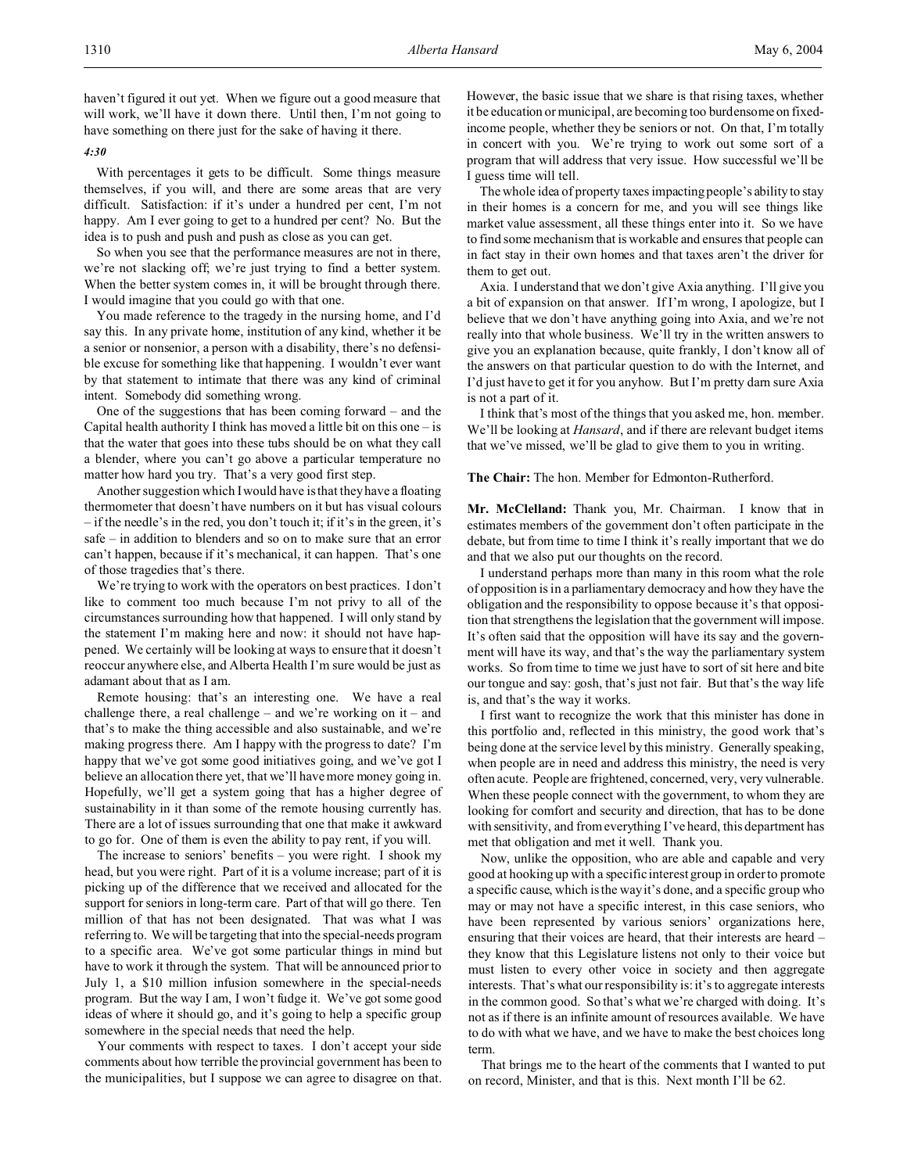haven't figured it out yet. When we figure out a good measure that will work, we'll have it down there. Until then, I'm not going to have something on there just for the sake of having it there.

*4:30*

With percentages it gets to be difficult. Some things measure themselves, if you will, and there are some areas that are very difficult. Satisfaction: if it's under a hundred per cent, I'm not happy. Am I ever going to get to a hundred per cent? No. But the idea is to push and push and push as close as you can get.

So when you see that the performance measures are not in there, we're not slacking off; we're just trying to find a better system. When the better system comes in, it will be brought through there. I would imagine that you could go with that one.

You made reference to the tragedy in the nursing home, and I'd say this. In any private home, institution of any kind, whether it be a senior or nonsenior, a person with a disability, there's no defensible excuse for something like that happening. I wouldn't ever want by that statement to intimate that there was any kind of criminal intent. Somebody did something wrong.

One of the suggestions that has been coming forward – and the Capital health authority I think has moved a little bit on this one  $-$  is that the water that goes into these tubs should be on what they call a blender, where you can't go above a particular temperature no matter how hard you try. That's a very good first step.

Another suggestion which I would have is that they have a floating thermometer that doesn't have numbers on it but has visual colours – if the needle's in the red, you don't touch it; if it's in the green, it's safe – in addition to blenders and so on to make sure that an error can't happen, because if it's mechanical, it can happen. That's one of those tragedies that's there.

We're trying to work with the operators on best practices. I don't like to comment too much because I'm not privy to all of the circumstances surrounding how that happened. I will only stand by the statement I'm making here and now: it should not have happened. We certainly will be looking at ways to ensure that it doesn't reoccur anywhere else, and Alberta Health I'm sure would be just as adamant about that as I am.

Remote housing: that's an interesting one. We have a real challenge there, a real challenge – and we're working on it – and that's to make the thing accessible and also sustainable, and we're making progress there. Am I happy with the progress to date? I'm happy that we've got some good initiatives going, and we've got I believe an allocation there yet, that we'll have more money going in. Hopefully, we'll get a system going that has a higher degree of sustainability in it than some of the remote housing currently has. There are a lot of issues surrounding that one that make it awkward to go for. One of them is even the ability to pay rent, if you will.

The increase to seniors' benefits – you were right. I shook my head, but you were right. Part of it is a volume increase; part of it is picking up of the difference that we received and allocated for the support for seniors in long-term care. Part of that will go there. Ten million of that has not been designated. That was what I was referring to. We will be targeting that into the special-needs program to a specific area. We've got some particular things in mind but have to work it through the system. That will be announced prior to July 1, a \$10 million infusion somewhere in the special-needs program. But the way I am, I won't fudge it. We've got some good ideas of where it should go, and it's going to help a specific group somewhere in the special needs that need the help.

Your comments with respect to taxes. I don't accept your side comments about how terrible the provincial government has been to the municipalities, but I suppose we can agree to disagree on that. However, the basic issue that we share is that rising taxes, whether it be education or municipal, are becoming too burdensome on fixedincome people, whether they be seniors or not. On that, I'm totally in concert with you. We're trying to work out some sort of a program that will address that very issue. How successful we'll be I guess time will tell.

The whole idea of property taxes impacting people's ability to stay in their homes is a concern for me, and you will see things like market value assessment, all these things enter into it. So we have to find some mechanism that is workable and ensures that people can in fact stay in their own homes and that taxes aren't the driver for them to get out.

Axia. I understand that we don't give Axia anything. I'll give you a bit of expansion on that answer. If I'm wrong, I apologize, but I believe that we don't have anything going into Axia, and we're not really into that whole business. We'll try in the written answers to give you an explanation because, quite frankly, I don't know all of the answers on that particular question to do with the Internet, and I'd just have to get it for you anyhow. But I'm pretty darn sure Axia is not a part of it.

I think that's most of the things that you asked me, hon. member. We'll be looking at *Hansard*, and if there are relevant budget items that we've missed, we'll be glad to give them to you in writing.

**The Chair:** The hon. Member for Edmonton-Rutherford.

**Mr. McClelland:** Thank you, Mr. Chairman. I know that in estimates members of the government don't often participate in the debate, but from time to time I think it's really important that we do and that we also put our thoughts on the record.

I understand perhaps more than many in this room what the role of opposition is in a parliamentary democracy and how they have the obligation and the responsibility to oppose because it's that opposition that strengthens the legislation that the government will impose. It's often said that the opposition will have its say and the government will have its way, and that's the way the parliamentary system works. So from time to time we just have to sort of sit here and bite our tongue and say: gosh, that's just not fair. But that's the way life is, and that's the way it works.

I first want to recognize the work that this minister has done in this portfolio and, reflected in this ministry, the good work that's being done at the service level by this ministry. Generally speaking, when people are in need and address this ministry, the need is very often acute. People are frightened, concerned, very, very vulnerable. When these people connect with the government, to whom they are looking for comfort and security and direction, that has to be done with sensitivity, and from everything I've heard, this department has met that obligation and met it well. Thank you.

Now, unlike the opposition, who are able and capable and very good at hooking up with a specific interest group in order to promote a specific cause, which is the way it's done, and a specific group who may or may not have a specific interest, in this case seniors, who have been represented by various seniors' organizations here, ensuring that their voices are heard, that their interests are heard – they know that this Legislature listens not only to their voice but must listen to every other voice in society and then aggregate interests. That's what our responsibility is: it's to aggregate interests in the common good. So that's what we're charged with doing. It's not as if there is an infinite amount of resources available. We have to do with what we have, and we have to make the best choices long term.

That brings me to the heart of the comments that I wanted to put on record, Minister, and that is this. Next month I'll be 62.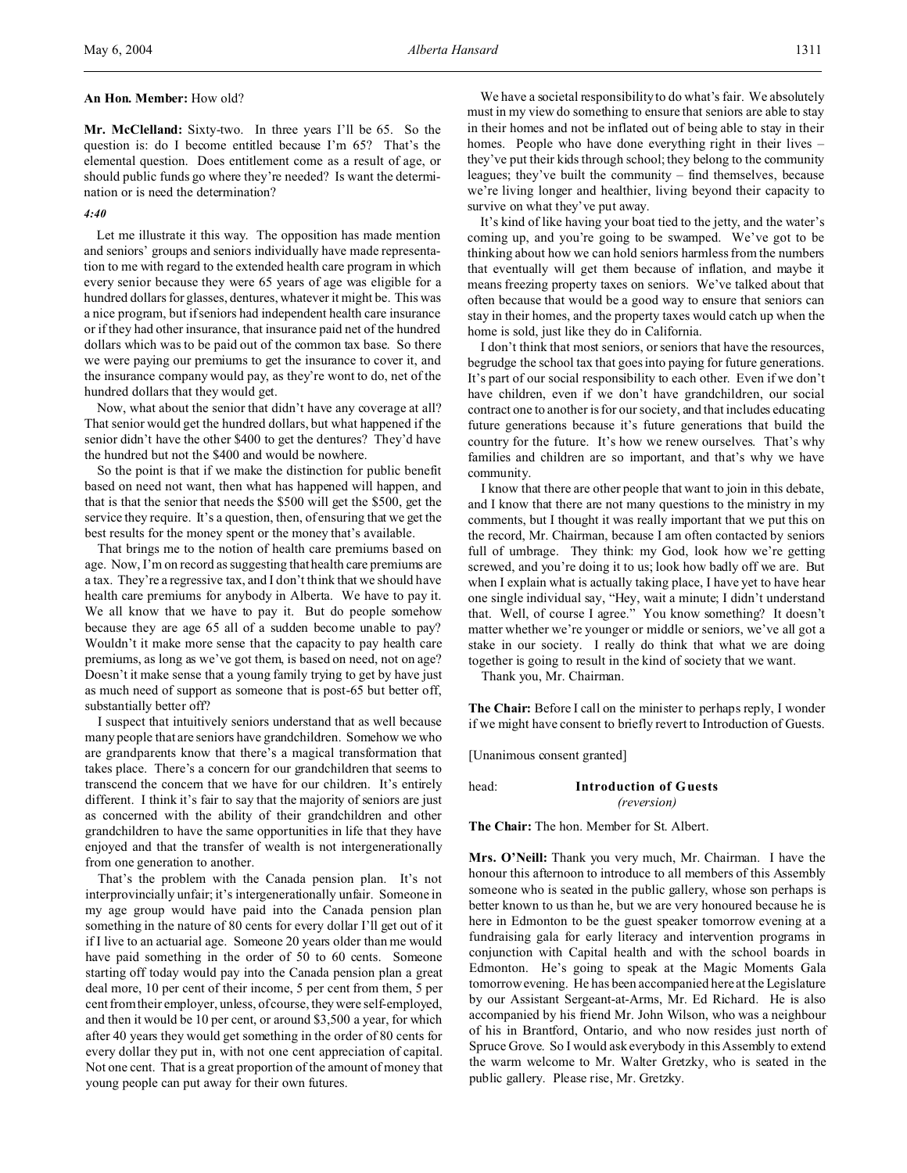# **An Hon. Member:** How old?

**Mr. McClelland:** Sixty-two. In three years I'll be 65. So the question is: do I become entitled because I'm 65? That's the elemental question. Does entitlement come as a result of age, or should public funds go where they're needed? Is want the determination or is need the determination?

#### *4:40*

Let me illustrate it this way. The opposition has made mention and seniors' groups and seniors individually have made representation to me with regard to the extended health care program in which every senior because they were 65 years of age was eligible for a hundred dollars for glasses, dentures, whatever it might be. This was a nice program, but if seniors had independent health care insurance or if they had other insurance, that insurance paid net of the hundred dollars which was to be paid out of the common tax base. So there we were paying our premiums to get the insurance to cover it, and the insurance company would pay, as they're wont to do, net of the hundred dollars that they would get.

Now, what about the senior that didn't have any coverage at all? That senior would get the hundred dollars, but what happened if the senior didn't have the other \$400 to get the dentures? They'd have the hundred but not the \$400 and would be nowhere.

So the point is that if we make the distinction for public benefit based on need not want, then what has happened will happen, and that is that the senior that needs the \$500 will get the \$500, get the service they require. It's a question, then, of ensuring that we get the best results for the money spent or the money that's available.

That brings me to the notion of health care premiums based on age. Now, I'm on record as suggesting that health care premiums are a tax. They're a regressive tax, and I don't think that we should have health care premiums for anybody in Alberta. We have to pay it. We all know that we have to pay it. But do people somehow because they are age 65 all of a sudden become unable to pay? Wouldn't it make more sense that the capacity to pay health care premiums, as long as we've got them, is based on need, not on age? Doesn't it make sense that a young family trying to get by have just as much need of support as someone that is post-65 but better off, substantially better off?

I suspect that intuitively seniors understand that as well because many people that are seniors have grandchildren. Somehow we who are grandparents know that there's a magical transformation that takes place. There's a concern for our grandchildren that seems to transcend the concern that we have for our children. It's entirely different. I think it's fair to say that the majority of seniors are just as concerned with the ability of their grandchildren and other grandchildren to have the same opportunities in life that they have enjoyed and that the transfer of wealth is not intergenerationally from one generation to another.

That's the problem with the Canada pension plan. It's not interprovincially unfair; it's intergenerationally unfair. Someone in my age group would have paid into the Canada pension plan something in the nature of 80 cents for every dollar I'll get out of it if I live to an actuarial age. Someone 20 years older than me would have paid something in the order of 50 to 60 cents. Someone starting off today would pay into the Canada pension plan a great deal more, 10 per cent of their income, 5 per cent from them, 5 per cent from their employer, unless, of course, they were self-employed, and then it would be 10 per cent, or around \$3,500 a year, for which after 40 years they would get something in the order of 80 cents for every dollar they put in, with not one cent appreciation of capital. Not one cent. That is a great proportion of the amount of money that young people can put away for their own futures.

We have a societal responsibility to do what's fair. We absolutely must in my view do something to ensure that seniors are able to stay in their homes and not be inflated out of being able to stay in their homes. People who have done everything right in their lives – they've put their kids through school; they belong to the community leagues; they've built the community – find themselves, because we're living longer and healthier, living beyond their capacity to survive on what they've put away.

It's kind of like having your boat tied to the jetty, and the water's coming up, and you're going to be swamped. We've got to be thinking about how we can hold seniors harmless from the numbers that eventually will get them because of inflation, and maybe it means freezing property taxes on seniors. We've talked about that often because that would be a good way to ensure that seniors can stay in their homes, and the property taxes would catch up when the home is sold, just like they do in California.

I don't think that most seniors, or seniors that have the resources, begrudge the school tax that goes into paying for future generations. It's part of our social responsibility to each other. Even if we don't have children, even if we don't have grandchildren, our social contract one to another is for our society, and that includes educating future generations because it's future generations that build the country for the future. It's how we renew ourselves. That's why families and children are so important, and that's why we have community.

I know that there are other people that want to join in this debate, and I know that there are not many questions to the ministry in my comments, but I thought it was really important that we put this on the record, Mr. Chairman, because I am often contacted by seniors full of umbrage. They think: my God, look how we're getting screwed, and you're doing it to us; look how badly off we are. But when I explain what is actually taking place, I have yet to have hear one single individual say, "Hey, wait a minute; I didn't understand that. Well, of course I agree." You know something? It doesn't matter whether we're younger or middle or seniors, we've all got a stake in our society. I really do think that what we are doing together is going to result in the kind of society that we want.

Thank you, Mr. Chairman.

**The Chair:** Before I call on the minister to perhaps reply, I wonder if we might have consent to briefly revert to Introduction of Guests.

[Unanimous consent granted]

head: **Introduction of Guests** *(reversion)*

**The Chair:** The hon. Member for St. Albert.

**Mrs. O'Neill:** Thank you very much, Mr. Chairman. I have the honour this afternoon to introduce to all members of this Assembly someone who is seated in the public gallery, whose son perhaps is better known to us than he, but we are very honoured because he is here in Edmonton to be the guest speaker tomorrow evening at a fundraising gala for early literacy and intervention programs in conjunction with Capital health and with the school boards in Edmonton. He's going to speak at the Magic Moments Gala tomorrow evening. He has been accompanied here at the Legislature by our Assistant Sergeant-at-Arms, Mr. Ed Richard. He is also accompanied by his friend Mr. John Wilson, who was a neighbour of his in Brantford, Ontario, and who now resides just north of Spruce Grove. So I would ask everybody in this Assembly to extend the warm welcome to Mr. Walter Gretzky, who is seated in the public gallery. Please rise, Mr. Gretzky.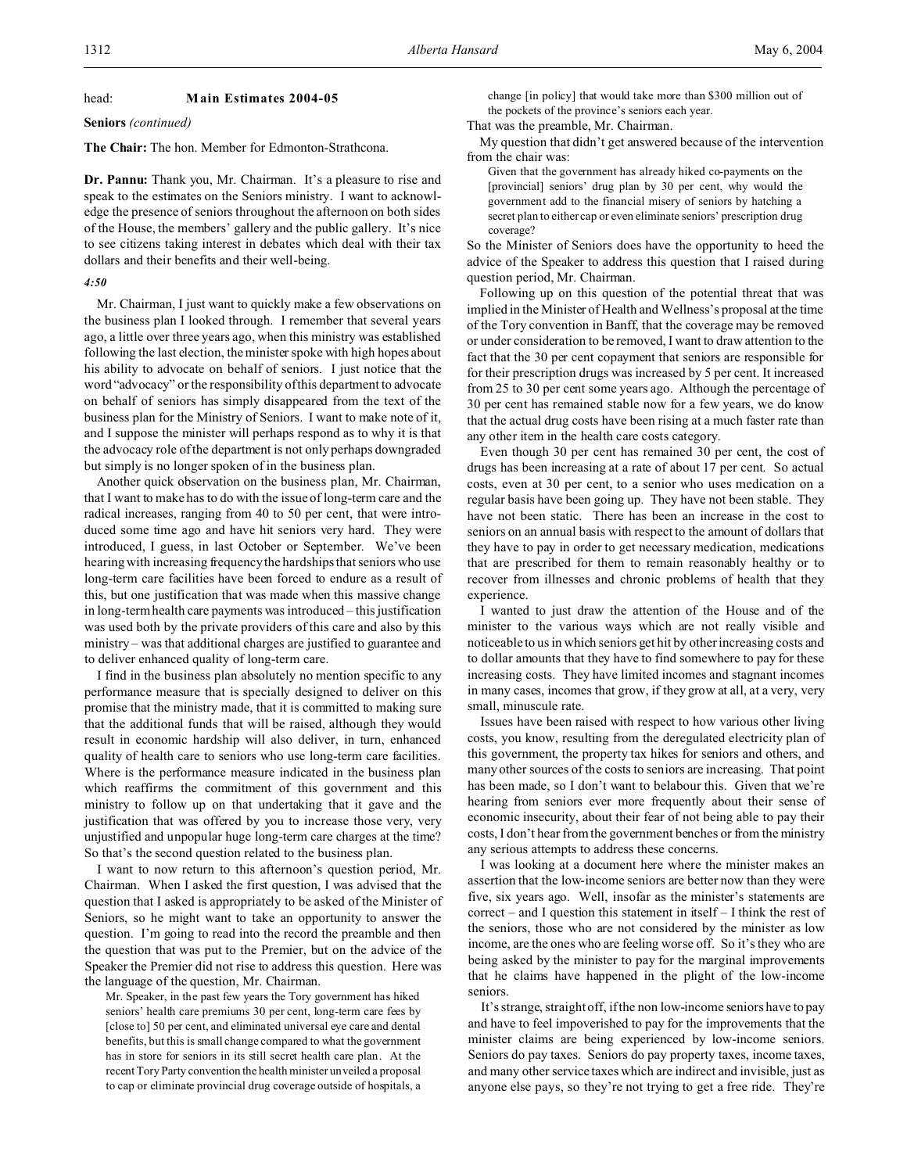#### head: **Main Estimates 2004-05**

**Seniors** *(continued)*

**The Chair:** The hon. Member for Edmonton-Strathcona.

**Dr. Pannu:** Thank you, Mr. Chairman. It's a pleasure to rise and speak to the estimates on the Seniors ministry. I want to acknowledge the presence of seniors throughout the afternoon on both sides of the House, the members' gallery and the public gallery. It's nice to see citizens taking interest in debates which deal with their tax dollars and their benefits and their well-being.

# *4:50*

Mr. Chairman, I just want to quickly make a few observations on the business plan I looked through. I remember that several years ago, a little over three years ago, when this ministry was established following the last election, the minister spoke with high hopes about his ability to advocate on behalf of seniors. I just notice that the word "advocacy" or the responsibility of this department to advocate on behalf of seniors has simply disappeared from the text of the business plan for the Ministry of Seniors. I want to make note of it, and I suppose the minister will perhaps respond as to why it is that the advocacy role of the department is not only perhaps downgraded but simply is no longer spoken of in the business plan.

Another quick observation on the business plan, Mr. Chairman, that I want to make has to do with the issue of long-term care and the radical increases, ranging from 40 to 50 per cent, that were introduced some time ago and have hit seniors very hard. They were introduced, I guess, in last October or September. We've been hearing with increasing frequency the hardships that seniors who use long-term care facilities have been forced to endure as a result of this, but one justification that was made when this massive change in long-term health care payments was introduced – this justification was used both by the private providers of this care and also by this ministry – was that additional charges are justified to guarantee and to deliver enhanced quality of long-term care.

I find in the business plan absolutely no mention specific to any performance measure that is specially designed to deliver on this promise that the ministry made, that it is committed to making sure that the additional funds that will be raised, although they would result in economic hardship will also deliver, in turn, enhanced quality of health care to seniors who use long-term care facilities. Where is the performance measure indicated in the business plan which reaffirms the commitment of this government and this ministry to follow up on that undertaking that it gave and the justification that was offered by you to increase those very, very unjustified and unpopular huge long-term care charges at the time? So that's the second question related to the business plan.

I want to now return to this afternoon's question period, Mr. Chairman. When I asked the first question, I was advised that the question that I asked is appropriately to be asked of the Minister of Seniors, so he might want to take an opportunity to answer the question. I'm going to read into the record the preamble and then the question that was put to the Premier, but on the advice of the Speaker the Premier did not rise to address this question. Here was the language of the question, Mr. Chairman.

Mr. Speaker, in the past few years the Tory government has hiked seniors' health care premiums 30 per cent, long-term care fees by [close to] 50 per cent, and eliminated universal eye care and dental benefits, but this is small change compared to what the government has in store for seniors in its still secret health care plan. At the recent Tory Party convention the health minister unveiled a proposal to cap or eliminate provincial drug coverage outside of hospitals, a change [in policy] that would take more than \$300 million out of the pockets of the province's seniors each year.

That was the preamble, Mr. Chairman.

My question that didn't get answered because of the intervention from the chair was:

Given that the government has already hiked co-payments on the [provincial] seniors' drug plan by 30 per cent, why would the government add to the financial misery of seniors by hatching a secret plan to either cap or even eliminate seniors' prescription drug coverage?

So the Minister of Seniors does have the opportunity to heed the advice of the Speaker to address this question that I raised during question period, Mr. Chairman.

Following up on this question of the potential threat that was implied in the Minister of Health and Wellness's proposal at the time of the Tory convention in Banff, that the coverage may be removed or under consideration to be removed, I want to draw attention to the fact that the 30 per cent copayment that seniors are responsible for for their prescription drugs was increased by 5 per cent. It increased from 25 to 30 per cent some years ago. Although the percentage of 30 per cent has remained stable now for a few years, we do know that the actual drug costs have been rising at a much faster rate than any other item in the health care costs category.

Even though 30 per cent has remained 30 per cent, the cost of drugs has been increasing at a rate of about 17 per cent. So actual costs, even at 30 per cent, to a senior who uses medication on a regular basis have been going up. They have not been stable. They have not been static. There has been an increase in the cost to seniors on an annual basis with respect to the amount of dollars that they have to pay in order to get necessary medication, medications that are prescribed for them to remain reasonably healthy or to recover from illnesses and chronic problems of health that they experience.

I wanted to just draw the attention of the House and of the minister to the various ways which are not really visible and noticeable to us in which seniors get hit by other increasing costs and to dollar amounts that they have to find somewhere to pay for these increasing costs. They have limited incomes and stagnant incomes in many cases, incomes that grow, if they grow at all, at a very, very small, minuscule rate.

Issues have been raised with respect to how various other living costs, you know, resulting from the deregulated electricity plan of this government, the property tax hikes for seniors and others, and many other sources of the costs to seniors are increasing. That point has been made, so I don't want to belabour this. Given that we're hearing from seniors ever more frequently about their sense of economic insecurity, about their fear of not being able to pay their costs, I don't hear from the government benches or from the ministry any serious attempts to address these concerns.

I was looking at a document here where the minister makes an assertion that the low-income seniors are better now than they were five, six years ago. Well, insofar as the minister's statements are correct – and I question this statement in itself – I think the rest of the seniors, those who are not considered by the minister as low income, are the ones who are feeling worse off. So it's they who are being asked by the minister to pay for the marginal improvements that he claims have happened in the plight of the low-income seniors.

It's strange, straight off, if the non low-income seniors have to pay and have to feel impoverished to pay for the improvements that the minister claims are being experienced by low-income seniors. Seniors do pay taxes. Seniors do pay property taxes, income taxes, and many other service taxes which are indirect and invisible, just as anyone else pays, so they're not trying to get a free ride. They're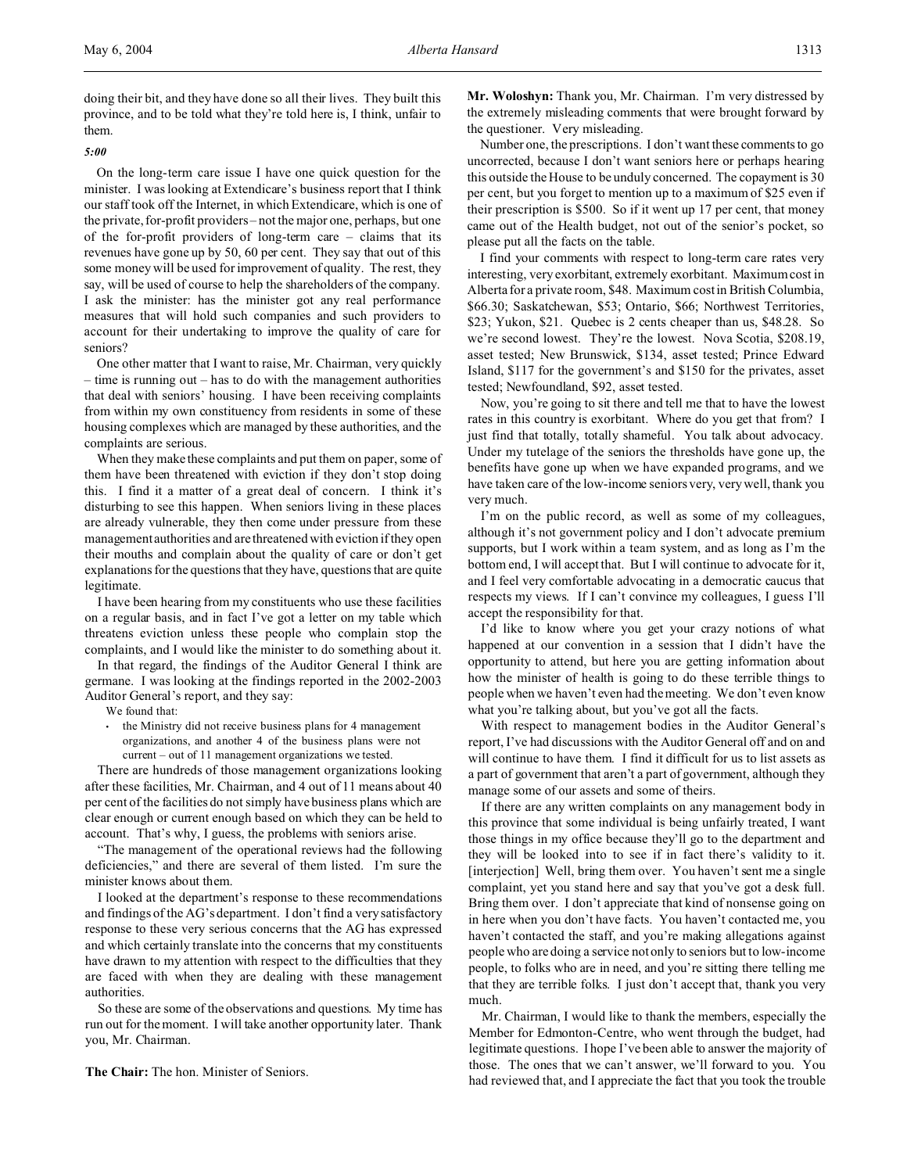doing their bit, and they have done so all their lives. They built this province, and to be told what they're told here is, I think, unfair to them.

#### *5:00*

On the long-term care issue I have one quick question for the minister. I was looking at Extendicare's business report that I think our staff took off the Internet, in which Extendicare, which is one of the private, for-profit providers – not the major one, perhaps, but one of the for-profit providers of long-term care – claims that its revenues have gone up by 50, 60 per cent. They say that out of this some money will be used for improvement of quality. The rest, they say, will be used of course to help the shareholders of the company. I ask the minister: has the minister got any real performance measures that will hold such companies and such providers to account for their undertaking to improve the quality of care for seniors?

One other matter that I want to raise, Mr. Chairman, very quickly – time is running out – has to do with the management authorities that deal with seniors' housing. I have been receiving complaints from within my own constituency from residents in some of these housing complexes which are managed by these authorities, and the complaints are serious.

When they make these complaints and put them on paper, some of them have been threatened with eviction if they don't stop doing this. I find it a matter of a great deal of concern. I think it's disturbing to see this happen. When seniors living in these places are already vulnerable, they then come under pressure from these management authorities and are threatened with eviction if they open their mouths and complain about the quality of care or don't get explanations for the questions that they have, questions that are quite legitimate.

I have been hearing from my constituents who use these facilities on a regular basis, and in fact I've got a letter on my table which threatens eviction unless these people who complain stop the complaints, and I would like the minister to do something about it.

In that regard, the findings of the Auditor General I think are germane. I was looking at the findings reported in the 2002-2003 Auditor General's report, and they say:

We found that:

the Ministry did not receive business plans for 4 management organizations, and another 4 of the business plans were not current – out of 11 management organizations we tested.

There are hundreds of those management organizations looking after these facilities, Mr. Chairman, and 4 out of 11 means about 40 per cent of the facilities do not simply have business plans which are clear enough or current enough based on which they can be held to account. That's why, I guess, the problems with seniors arise.

"The management of the operational reviews had the following deficiencies," and there are several of them listed. I'm sure the minister knows about them.

I looked at the department's response to these recommendations and findings of the AG's department. I don't find a very satisfactory response to these very serious concerns that the AG has expressed and which certainly translate into the concerns that my constituents have drawn to my attention with respect to the difficulties that they are faced with when they are dealing with these management authorities.

So these are some of the observations and questions. My time has run out for the moment. I will take another opportunity later. Thank you, Mr. Chairman.

**The Chair:** The hon. Minister of Seniors.

**Mr. Woloshyn:** Thank you, Mr. Chairman. I'm very distressed by the extremely misleading comments that were brought forward by the questioner. Very misleading.

Number one, the prescriptions. I don't want these comments to go uncorrected, because I don't want seniors here or perhaps hearing this outside the House to be unduly concerned. The copayment is 30 per cent, but you forget to mention up to a maximum of \$25 even if their prescription is \$500. So if it went up 17 per cent, that money came out of the Health budget, not out of the senior's pocket, so please put all the facts on the table.

I find your comments with respect to long-term care rates very interesting, very exorbitant, extremely exorbitant. Maximum cost in Alberta for a private room, \$48. Maximum cost in British Columbia, \$66.30; Saskatchewan, \$53; Ontario, \$66; Northwest Territories, \$23; Yukon, \$21. Quebec is 2 cents cheaper than us, \$48.28. So we're second lowest. They're the lowest. Nova Scotia, \$208.19, asset tested; New Brunswick, \$134, asset tested; Prince Edward Island, \$117 for the government's and \$150 for the privates, asset tested; Newfoundland, \$92, asset tested.

Now, you're going to sit there and tell me that to have the lowest rates in this country is exorbitant. Where do you get that from? I just find that totally, totally shameful. You talk about advocacy. Under my tutelage of the seniors the thresholds have gone up, the benefits have gone up when we have expanded programs, and we have taken care of the low-income seniors very, very well, thank you very much.

I'm on the public record, as well as some of my colleagues, although it's not government policy and I don't advocate premium supports, but I work within a team system, and as long as I'm the bottom end, I will accept that. But I will continue to advocate for it, and I feel very comfortable advocating in a democratic caucus that respects my views. If I can't convince my colleagues, I guess I'll accept the responsibility for that.

I'd like to know where you get your crazy notions of what happened at our convention in a session that I didn't have the opportunity to attend, but here you are getting information about how the minister of health is going to do these terrible things to people when we haven't even had the meeting. We don't even know what you're talking about, but you've got all the facts.

With respect to management bodies in the Auditor General's report, I've had discussions with the Auditor General off and on and will continue to have them. I find it difficult for us to list assets as a part of government that aren't a part of government, although they manage some of our assets and some of theirs.

If there are any written complaints on any management body in this province that some individual is being unfairly treated, I want those things in my office because they'll go to the department and they will be looked into to see if in fact there's validity to it. [interjection] Well, bring them over. You haven't sent me a single complaint, yet you stand here and say that you've got a desk full. Bring them over. I don't appreciate that kind of nonsense going on in here when you don't have facts. You haven't contacted me, you haven't contacted the staff, and you're making allegations against people who are doing a service not only to seniors but to low-income people, to folks who are in need, and you're sitting there telling me that they are terrible folks. I just don't accept that, thank you very much.

Mr. Chairman, I would like to thank the members, especially the Member for Edmonton-Centre, who went through the budget, had legitimate questions. I hope I've been able to answer the majority of those. The ones that we can't answer, we'll forward to you. You had reviewed that, and I appreciate the fact that you took the trouble